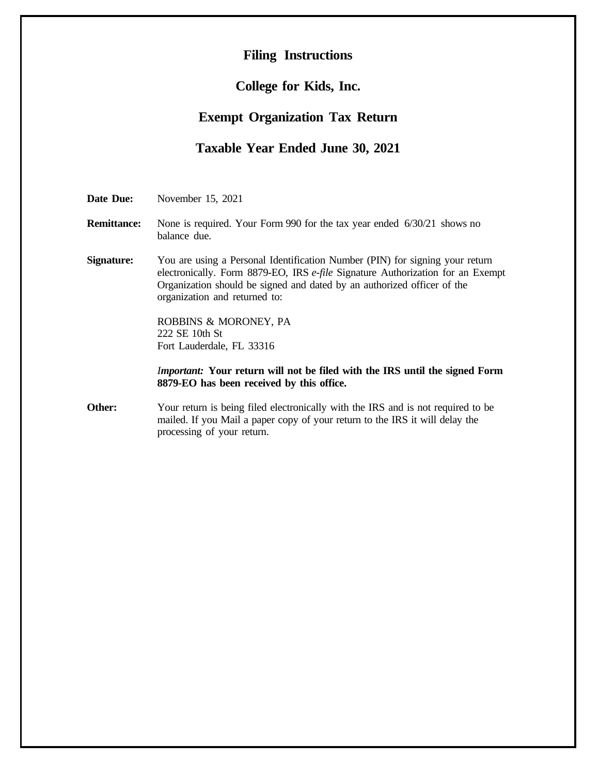# **Filing Instructions**

## **College for Kids, Inc.**

# **Exempt Organization Tax Return**

# **Taxable Year Ended June 30, 2021**

**Date Due:** November 15, 2021

- **Remittance:** None is required. Your Form 990 for the tax year ended 6/30/21 shows no balance due.
- **Signature:** You are using a Personal Identification Number (PIN) for signing your return electronically. Form 8879-EO, IRS *e-file* Signature Authorization for an Exempt Organization should be signed and dated by an authorized officer of the organization and returned to:

ROBBINS & MORONEY, PA 222 SE 10th St Fort Lauderdale, FL 33316

*Important:* **Your return will not be filed with the IRS until the signed Form 8879-EO has been received by this office.**

**Other:** Your return is being filed electronically with the IRS and is not required to be mailed. If you Mail a paper copy of your return to the IRS it will delay the processing of your return.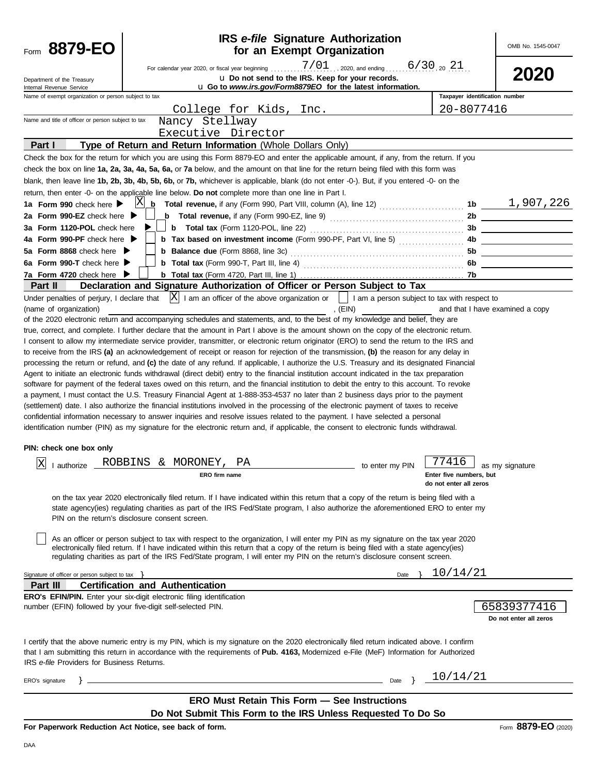| 8879-EO                                                                                                                                                                                                                                                                                                                           |                                                |                                                                                  | for an Exempt Organization | <b>IRS</b> e-file Signature Authorization                                                                                                                                                                                                                                    |                                | OMB No. 1545-0047                     |
|-----------------------------------------------------------------------------------------------------------------------------------------------------------------------------------------------------------------------------------------------------------------------------------------------------------------------------------|------------------------------------------------|----------------------------------------------------------------------------------|----------------------------|------------------------------------------------------------------------------------------------------------------------------------------------------------------------------------------------------------------------------------------------------------------------------|--------------------------------|---------------------------------------|
| Department of the Treasury<br>Internal Revenue Service                                                                                                                                                                                                                                                                            |                                                | For calendar year 2020, or fiscal year beginning                                 |                            | $7/01$ , 2020, and ending 6/30, 20 21<br>u Do not send to the IRS. Keep for your records.<br>u Go to www.irs.gov/Form8879EO for the latest information.                                                                                                                      |                                | 2020                                  |
| Name of exempt organization or person subject to tax                                                                                                                                                                                                                                                                              |                                                |                                                                                  |                            |                                                                                                                                                                                                                                                                              | Taxpayer identification number |                                       |
|                                                                                                                                                                                                                                                                                                                                   |                                                | College for Kids, Inc.                                                           |                            |                                                                                                                                                                                                                                                                              | 20-8077416                     |                                       |
| Name and title of officer or person subject to tax                                                                                                                                                                                                                                                                                |                                                | Nancy Stellway                                                                   |                            |                                                                                                                                                                                                                                                                              |                                |                                       |
| Part I                                                                                                                                                                                                                                                                                                                            |                                                | Executive Director<br>Type of Return and Return Information (Whole Dollars Only) |                            |                                                                                                                                                                                                                                                                              |                                |                                       |
| Check the box for the return for which you are using this Form 8879-EO and enter the applicable amount, if any, from the return. If you                                                                                                                                                                                           |                                                |                                                                                  |                            |                                                                                                                                                                                                                                                                              |                                |                                       |
| check the box on line 1a, 2a, 3a, 4a, 5a, 6a, or 7a below, and the amount on that line for the return being filed with this form was                                                                                                                                                                                              |                                                |                                                                                  |                            |                                                                                                                                                                                                                                                                              |                                |                                       |
| blank, then leave line 1b, 2b, 3b, 4b, 5b, 6b, or 7b, whichever is applicable, blank (do not enter -0-). But, if you entered -0- on the                                                                                                                                                                                           |                                                |                                                                                  |                            |                                                                                                                                                                                                                                                                              |                                |                                       |
| return, then enter -0- on the applicable line below. Do not complete more than one line in Part I.                                                                                                                                                                                                                                |                                                |                                                                                  |                            |                                                                                                                                                                                                                                                                              |                                |                                       |
| 1a Form 990 check here                                                                                                                                                                                                                                                                                                            | X                                              |                                                                                  |                            | $\frac{1}{2}$ Total revenue, if any (Form 990, Part VIII, column (A), line 12)  1b $\underline{\hspace{1cm}1,907}$ , 226                                                                                                                                                     |                                |                                       |
| 2a Form 990-EZ check here $\blacktriangleright$                                                                                                                                                                                                                                                                                   |                                                |                                                                                  |                            |                                                                                                                                                                                                                                                                              | 2b                             |                                       |
| 3a Form 1120-POL check here                                                                                                                                                                                                                                                                                                       |                                                | <b>b</b> Total tax (Form 1120-POL, line 22)                                      |                            |                                                                                                                                                                                                                                                                              | 3b                             |                                       |
| 4a Form 990-PF check here                                                                                                                                                                                                                                                                                                         |                                                |                                                                                  |                            | <b>b</b> Tax based on investment income (Form 990-PF, Part VI, line 5)                                                                                                                                                                                                       | 4b.                            |                                       |
| 5a Form 8868 check here                                                                                                                                                                                                                                                                                                           |                                                | <b>b</b> Balance due (Form 8868, line 3c)                                        |                            |                                                                                                                                                                                                                                                                              | 5b                             |                                       |
| 6a Form 990-T check here<br>7a Form 4720 check here ▶                                                                                                                                                                                                                                                                             |                                                |                                                                                  |                            |                                                                                                                                                                                                                                                                              | 6b.<br>7b                      |                                       |
| <b>Part II</b>                                                                                                                                                                                                                                                                                                                    |                                                |                                                                                  |                            | Declaration and Signature Authorization of Officer or Person Subject to Tax                                                                                                                                                                                                  |                                |                                       |
| Under penalties of perjury, I declare that<br>(name of organization)                                                                                                                                                                                                                                                              |                                                |                                                                                  |                            | $ X $ I am an officer of the above organization or $ $   I am a person subject to tax with respect to<br>, $(EIN)$                                                                                                                                                           |                                | and that I have examined a copy       |
| of the 2020 electronic return and accompanying schedules and statements, and, to the best of my knowledge and belief, they are                                                                                                                                                                                                    |                                                |                                                                                  |                            |                                                                                                                                                                                                                                                                              |                                |                                       |
| true, correct, and complete. I further declare that the amount in Part I above is the amount shown on the copy of the electronic return.                                                                                                                                                                                          |                                                |                                                                                  |                            |                                                                                                                                                                                                                                                                              |                                |                                       |
| I consent to allow my intermediate service provider, transmitter, or electronic return originator (ERO) to send the return to the IRS and                                                                                                                                                                                         |                                                |                                                                                  |                            |                                                                                                                                                                                                                                                                              |                                |                                       |
| to receive from the IRS (a) an acknowledgement of receipt or reason for rejection of the transmission, (b) the reason for any delay in                                                                                                                                                                                            |                                                |                                                                                  |                            |                                                                                                                                                                                                                                                                              |                                |                                       |
| processing the return or refund, and (c) the date of any refund. If applicable, I authorize the U.S. Treasury and its designated Financial<br>Agent to initiate an electronic funds withdrawal (direct debit) entry to the financial institution account indicated in the tax preparation                                         |                                                |                                                                                  |                            |                                                                                                                                                                                                                                                                              |                                |                                       |
| software for payment of the federal taxes owed on this return, and the financial institution to debit the entry to this account. To revoke                                                                                                                                                                                        |                                                |                                                                                  |                            |                                                                                                                                                                                                                                                                              |                                |                                       |
| a payment, I must contact the U.S. Treasury Financial Agent at 1-888-353-4537 no later than 2 business days prior to the payment                                                                                                                                                                                                  |                                                |                                                                                  |                            |                                                                                                                                                                                                                                                                              |                                |                                       |
| (settlement) date. I also authorize the financial institutions involved in the processing of the electronic payment of taxes to receive                                                                                                                                                                                           |                                                |                                                                                  |                            |                                                                                                                                                                                                                                                                              |                                |                                       |
| confidential information necessary to answer inquiries and resolve issues related to the payment. I have selected a personal                                                                                                                                                                                                      |                                                |                                                                                  |                            |                                                                                                                                                                                                                                                                              |                                |                                       |
| identification number (PIN) as my signature for the electronic return and, if applicable, the consent to electronic funds withdrawal.                                                                                                                                                                                             |                                                |                                                                                  |                            |                                                                                                                                                                                                                                                                              |                                |                                       |
| PIN: check one box only                                                                                                                                                                                                                                                                                                           |                                                |                                                                                  |                            |                                                                                                                                                                                                                                                                              |                                |                                       |
| lxl                                                                                                                                                                                                                                                                                                                               | ROBBINS & MORONEY,                             | ΡA                                                                               |                            |                                                                                                                                                                                                                                                                              | 77416                          |                                       |
| I authorize                                                                                                                                                                                                                                                                                                                       |                                                | ERO firm name                                                                    |                            | to enter my PIN                                                                                                                                                                                                                                                              | Enter five numbers, but        | as my signature                       |
|                                                                                                                                                                                                                                                                                                                                   |                                                |                                                                                  |                            |                                                                                                                                                                                                                                                                              | do not enter all zeros         |                                       |
|                                                                                                                                                                                                                                                                                                                                   | PIN on the return's disclosure consent screen. |                                                                                  |                            | on the tax year 2020 electronically filed return. If I have indicated within this return that a copy of the return is being filed with a<br>state agency(ies) regulating charities as part of the IRS Fed/State program, I also authorize the aforementioned ERO to enter my |                                |                                       |
|                                                                                                                                                                                                                                                                                                                                   |                                                |                                                                                  |                            | As an officer or person subject to tax with respect to the organization, I will enter my PIN as my signature on the tax year 2020<br>electronically filed return. If I have indicated within this return that a copy of the return is being filed with a state agency(ies)   |                                |                                       |
|                                                                                                                                                                                                                                                                                                                                   |                                                |                                                                                  |                            | regulating charities as part of the IRS Fed/State program, I will enter my PIN on the return's disclosure consent screen.                                                                                                                                                    |                                |                                       |
| Signature of officer or person subject to tax $\}$                                                                                                                                                                                                                                                                                |                                                |                                                                                  |                            | Date $\}$                                                                                                                                                                                                                                                                    | 10/14/21                       |                                       |
| Part III                                                                                                                                                                                                                                                                                                                          | <b>Certification and Authentication</b>        |                                                                                  |                            |                                                                                                                                                                                                                                                                              |                                |                                       |
| <b>ERO's EFIN/PIN.</b> Enter your six-digit electronic filing identification                                                                                                                                                                                                                                                      |                                                |                                                                                  |                            |                                                                                                                                                                                                                                                                              |                                |                                       |
| number (EFIN) followed by your five-digit self-selected PIN.                                                                                                                                                                                                                                                                      |                                                |                                                                                  |                            |                                                                                                                                                                                                                                                                              |                                | 65839377416<br>Do not enter all zeros |
| I certify that the above numeric entry is my PIN, which is my signature on the 2020 electronically filed return indicated above. I confirm<br>that I am submitting this return in accordance with the requirements of Pub. 4163, Modernized e-File (MeF) Information for Authorized<br>IRS e-file Providers for Business Returns. |                                                |                                                                                  |                            |                                                                                                                                                                                                                                                                              |                                |                                       |
| ERO's signature                                                                                                                                                                                                                                                                                                                   |                                                | <u> 1989 - Johann Barn, amerikansk politiker (d. 1989)</u>                       |                            |                                                                                                                                                                                                                                                                              | Date } $\frac{10/14}{21}$      |                                       |
|                                                                                                                                                                                                                                                                                                                                   |                                                |                                                                                  |                            |                                                                                                                                                                                                                                                                              |                                |                                       |
|                                                                                                                                                                                                                                                                                                                                   |                                                | <b>ERO Must Retain This Form - See Instructions</b>                              |                            |                                                                                                                                                                                                                                                                              |                                |                                       |
|                                                                                                                                                                                                                                                                                                                                   |                                                |                                                                                  |                            | Do Not Submit This Form to the IRS Unless Requested To Do So                                                                                                                                                                                                                 |                                |                                       |
| For Paperwork Reduction Act Notice, see back of form.                                                                                                                                                                                                                                                                             |                                                |                                                                                  |                            |                                                                                                                                                                                                                                                                              |                                | Form 8879-EO (2020)                   |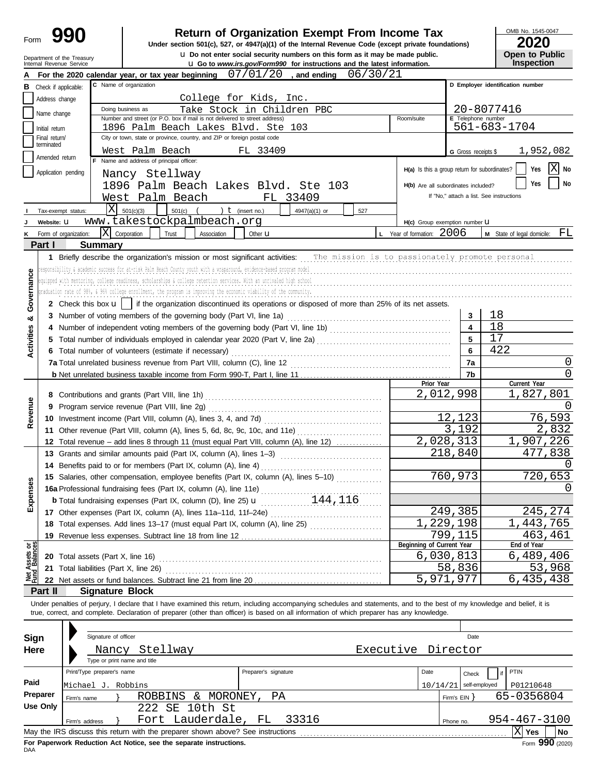| Form                           |                                                        |                                        | <b>Return of Organization Exempt From Income Tax</b><br>Under section 501(c), 527, or 4947(a)(1) of the Internal Revenue Code (except private foundations)                                                                                                                             |                     | OMB No. 1545-0047                        |
|--------------------------------|--------------------------------------------------------|----------------------------------------|----------------------------------------------------------------------------------------------------------------------------------------------------------------------------------------------------------------------------------------------------------------------------------------|---------------------|------------------------------------------|
|                                |                                                        |                                        | <b>u</b> Do not enter social security numbers on this form as it may be made public.                                                                                                                                                                                                   |                     | Open to Public                           |
|                                | Department of the Treasury<br>Internal Revenue Service |                                        | <b>u</b> Go to www.irs.gov/Form990 for instructions and the latest information.                                                                                                                                                                                                        |                     | <b>Inspection</b>                        |
|                                |                                                        |                                        | 07/01/20<br>06/30/21<br>, and ending<br>For the 2020 calendar year, or tax year beginning                                                                                                                                                                                              |                     |                                          |
|                                | <b>B</b> Check if applicable:                          |                                        | C Name of organization                                                                                                                                                                                                                                                                 |                     | D Employer identification number         |
|                                | Address change                                         |                                        | College for Kids, Inc.                                                                                                                                                                                                                                                                 |                     |                                          |
|                                | Name change                                            |                                        | Doing business as<br>Take Stock in Children PBC<br>Number and street (or P.O. box if mail is not delivered to street address)<br>Room/suite                                                                                                                                            | E Telephone number  | 20-8077416                               |
|                                | Initial return                                         |                                        | 1896 Palm Beach Lakes Blvd. Ste 103                                                                                                                                                                                                                                                    |                     | 561-683-1704                             |
|                                | Final return/<br>terminated                            |                                        | City or town, state or province, country, and ZIP or foreign postal code                                                                                                                                                                                                               |                     |                                          |
|                                | Amended return                                         |                                        | West Palm Beach<br>FL 33409                                                                                                                                                                                                                                                            | G Gross receipts \$ | 1,952,082                                |
|                                |                                                        |                                        | Name and address of principal officer:<br>H(a) Is this a group return for subordinates?                                                                                                                                                                                                |                     | X<br>Yes<br>No                           |
|                                | Application pending                                    |                                        | Nancy Stellway                                                                                                                                                                                                                                                                         |                     |                                          |
|                                |                                                        |                                        | 1896 Palm Beach Lakes Blvd. Ste 103<br>H(b) Are all subordinates included?                                                                                                                                                                                                             |                     | No<br>Yes                                |
|                                |                                                        |                                        | West Palm Beach<br>FL 33409                                                                                                                                                                                                                                                            |                     | If "No," attach a list. See instructions |
|                                | Tax-exempt status:                                     | X                                      | 501(c)(3)<br>) $t$ (insert no.)<br>501(c)<br>4947(a)(1) or<br>527                                                                                                                                                                                                                      |                     |                                          |
|                                | Website: U                                             |                                        | www.takestockpalmbeach.org<br>H(c) Group exemption number U                                                                                                                                                                                                                            |                     |                                          |
| ĸ                              | Form of organization:                                  | $ X $ Corporation                      | L Year of formation: $2006$<br>Trust<br>Association<br>Other $\mathbf u$                                                                                                                                                                                                               |                     | $M$ State of legal domicile: $FL$        |
|                                | Part I                                                 | <b>Summary</b>                         |                                                                                                                                                                                                                                                                                        |                     |                                          |
|                                |                                                        |                                        | 1 Briefly describe the organization's mission or most significant activities: The mission is to passionately promote personal                                                                                                                                                          |                     |                                          |
|                                |                                                        |                                        | responsibility & academic success for at-risk Palm Beach County youth with a wraparound, evidence-based program model<br>equipped with mentoring, college readiness, scholarships & college retention services. With an unrivaled high school                                          |                     |                                          |
|                                |                                                        |                                        | graduation rate of 98%, & 96% college enrollment, the program is improving the economic viability of the community.                                                                                                                                                                    |                     |                                          |
| Governance                     |                                                        |                                        | 2 Check this box $\mathbf{u}$   if the organization discontinued its operations or disposed of more than 25% of its net assets.                                                                                                                                                        |                     |                                          |
|                                |                                                        |                                        |                                                                                                                                                                                                                                                                                        | 3                   | 18                                       |
| ೲ                              |                                                        |                                        |                                                                                                                                                                                                                                                                                        | 4                   | 18                                       |
|                                |                                                        |                                        |                                                                                                                                                                                                                                                                                        | 5                   | 17                                       |
| Activities                     |                                                        |                                        | 6 Total number of volunteers (estimate if necessary)                                                                                                                                                                                                                                   | 6                   | 422                                      |
|                                |                                                        |                                        |                                                                                                                                                                                                                                                                                        | 7a                  | $\Omega$                                 |
|                                |                                                        |                                        |                                                                                                                                                                                                                                                                                        | 7b                  | $\Omega$                                 |
|                                |                                                        |                                        | Prior Year                                                                                                                                                                                                                                                                             |                     | Current Year                             |
|                                |                                                        |                                        |                                                                                                                                                                                                                                                                                        | 2,012,998           | 1,827,801                                |
| Revenue                        | 9                                                      |                                        | Program service revenue (Part VIII, line 2g)                                                                                                                                                                                                                                           |                     |                                          |
|                                |                                                        |                                        |                                                                                                                                                                                                                                                                                        | 12,123              | 76,593                                   |
|                                |                                                        |                                        |                                                                                                                                                                                                                                                                                        | 3,192               | 2,832                                    |
|                                |                                                        |                                        | 12 Total revenue - add lines 8 through 11 (must equal Part VIII, column (A), line 12)                                                                                                                                                                                                  | 2,028,313           | 1,907,226                                |
|                                |                                                        |                                        | 13 Grants and similar amounts paid (Part IX, column (A), lines 1–3)                                                                                                                                                                                                                    | 218,840             | 477,838                                  |
|                                |                                                        |                                        | 14 Benefits paid to or for members (Part IX, column (A), line 4)                                                                                                                                                                                                                       |                     | 0                                        |
|                                |                                                        |                                        | 15 Salaries, other compensation, employee benefits (Part IX, column (A), lines 5-10)                                                                                                                                                                                                   | 760,973             | 720,653                                  |
| Expenses                       |                                                        |                                        | 15 Salaries, other compensation, $\frac{1}{2}$ and $\frac{1}{2}$ and $\frac{1}{2}$ are $\frac{1}{2}$ and $\frac{1}{2}$ are $\frac{1}{2}$ and $\frac{1}{2}$ are $\frac{1}{2}$ and $\frac{1}{2}$ and $\frac{1}{2}$ and $\frac{1}{2}$ are $\frac{1}{2}$ and $\frac{1}{2}$ and $\frac{1}{$ |                     | $\Omega$                                 |
|                                |                                                        |                                        |                                                                                                                                                                                                                                                                                        |                     |                                          |
|                                |                                                        |                                        | 17 Other expenses (Part IX, column (A), lines 11a-11d, 11f-24e)                                                                                                                                                                                                                        | 249,385             | 245,274                                  |
|                                |                                                        |                                        | 18 Total expenses. Add lines 13-17 (must equal Part IX, column (A), line 25)                                                                                                                                                                                                           | 1,229,198           | 1,443,765                                |
|                                |                                                        |                                        | 19 Revenue less expenses. Subtract line 18 from line 12<br>Beginning of Current Year                                                                                                                                                                                                   | 799,115             | 463,461<br>End of Year                   |
| Net Assets or<br>Fund Balances |                                                        |                                        |                                                                                                                                                                                                                                                                                        | 6,030,813           | 6,489,406                                |
|                                |                                                        | 21 Total liabilities (Part X, line 26) |                                                                                                                                                                                                                                                                                        | 58,836              | 53,968                                   |
|                                |                                                        |                                        |                                                                                                                                                                                                                                                                                        | 5,971,977           | 6,435,438                                |
|                                | Part II                                                | <b>Signature Block</b>                 |                                                                                                                                                                                                                                                                                        |                     |                                          |
|                                |                                                        |                                        | Under penalties of perjury, I declare that I have examined this return, including accompanying schedules and statements, and to the best of my knowledge and belief, it is                                                                                                             |                     |                                          |
|                                |                                                        |                                        | true, correct, and complete. Declaration of preparer (other than officer) is based on all information of which preparer has any knowledge.                                                                                                                                             |                     |                                          |
|                                |                                                        |                                        |                                                                                                                                                                                                                                                                                        |                     |                                          |
| Sign                           |                                                        | Signature of officer                   |                                                                                                                                                                                                                                                                                        | Date                |                                          |
| Here                           |                                                        |                                        | Executive Director<br>Nancy Stellway                                                                                                                                                                                                                                                   |                     |                                          |
|                                |                                                        | Type or print name and title           |                                                                                                                                                                                                                                                                                        |                     |                                          |
|                                |                                                        | Print/Type preparer's name             | Preparer's signature<br>Date                                                                                                                                                                                                                                                           | Check               | PTIN                                     |
| Paid                           |                                                        | Michael J. Robbins                     | 10/14/21                                                                                                                                                                                                                                                                               | self-employed       | P01210648                                |
|                                | Preparer                                               | Firm's name                            | ROBBINS & MORONEY,<br>РA                                                                                                                                                                                                                                                               | Firm's EIN }        | 65-0356804                               |
|                                | Use Only                                               |                                        | 222 SE 10th St                                                                                                                                                                                                                                                                         |                     |                                          |
|                                |                                                        | Firm's address                         | Fort Lauderdale, FL<br>33316                                                                                                                                                                                                                                                           | Phone no.           | 954-467-3100                             |
|                                |                                                        |                                        | May the IRS discuss this return with the preparer shown above? See instructions                                                                                                                                                                                                        |                     | $ X $ Yes<br>No                          |

| Sign     | Signature of officer       |                                                                                 |                      |                    |                          | Date         |                    |                 |
|----------|----------------------------|---------------------------------------------------------------------------------|----------------------|--------------------|--------------------------|--------------|--------------------|-----------------|
| Here     | Nancy                      | Stellway                                                                        |                      | Executive Director |                          |              |                    |                 |
|          |                            | Type or print name and title                                                    |                      |                    |                          |              |                    |                 |
|          | Print/Type preparer's name |                                                                                 | Preparer's signature |                    | Date                     | Check        | PTIN               |                 |
| Paid     | Michael J. Robbins         |                                                                                 |                      |                    | $10/14/21$ self-employed |              | P01210648          |                 |
| Preparer | Firm's name                | MORONEY,<br>ROBBINS<br>&                                                        | РA                   |                    |                          | Firm's $EIN$ | 65-0356804         |                 |
| Use Only |                            | 222 SE 10th St                                                                  |                      |                    |                          |              |                    |                 |
|          | Firm's address             | Fort Lauderdale, FL                                                             | 33316                |                    | Phone no.                |              | $954 - 467 - 3100$ |                 |
|          |                            | May the IRS discuss this return with the preparer shown above? See instructions |                      |                    |                          |              | Χl<br>Yes          | No              |
|          |                            | For Paperwork Reduction Act Notice, see the separate instructions.              |                      |                    |                          |              |                    | Form 990 (2020) |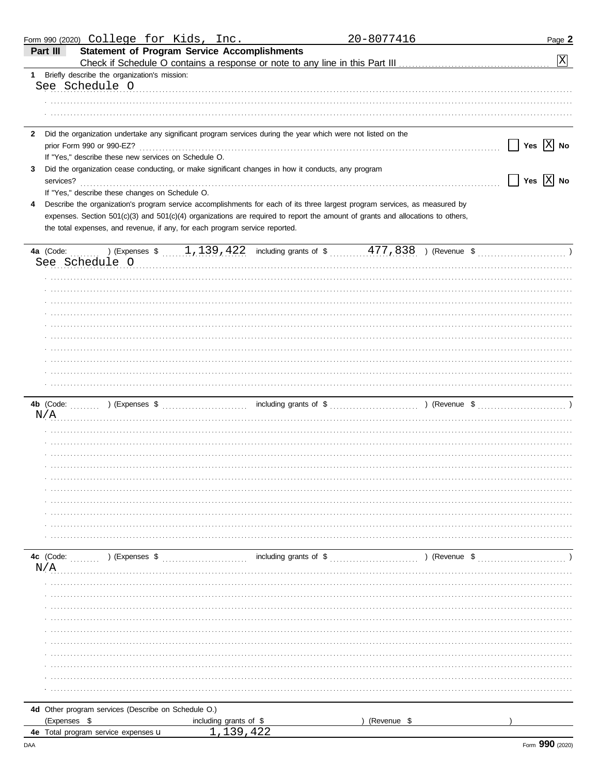| Form 990 (2020) College for Kids, Inc.                                                                                          |                                                                                                     | 20-8077416  | Page 2                    |
|---------------------------------------------------------------------------------------------------------------------------------|-----------------------------------------------------------------------------------------------------|-------------|---------------------------|
| Part III<br><b>Statement of Program Service Accomplishments</b>                                                                 |                                                                                                     |             |                           |
| Check if Schedule O contains a response or note to any line in this Part III [11] [11] [11] [11] [11] [11] [1                   |                                                                                                     |             | $\vert X \vert$           |
| 1 Briefly describe the organization's mission:                                                                                  |                                                                                                     |             |                           |
| See Schedule O                                                                                                                  |                                                                                                     |             |                           |
|                                                                                                                                 |                                                                                                     |             |                           |
|                                                                                                                                 |                                                                                                     |             |                           |
| Did the organization undertake any significant program services during the year which were not listed on the<br>$\mathbf{2}$    |                                                                                                     |             |                           |
| prior Form 990 or 990-EZ?                                                                                                       |                                                                                                     |             | Yes $\boxed{X}$ No        |
| If "Yes," describe these new services on Schedule O.                                                                            |                                                                                                     |             |                           |
| Did the organization cease conducting, or make significant changes in how it conducts, any program<br>3                         |                                                                                                     |             |                           |
| services?                                                                                                                       |                                                                                                     |             | Yes $\boxed{\text{X}}$ No |
| If "Yes," describe these changes on Schedule O.                                                                                 |                                                                                                     |             |                           |
| Describe the organization's program service accomplishments for each of its three largest program services, as measured by<br>4 |                                                                                                     |             |                           |
| expenses. Section 501(c)(3) and 501(c)(4) organizations are required to report the amount of grants and allocations to others,  |                                                                                                     |             |                           |
| the total expenses, and revenue, if any, for each program service reported.                                                     |                                                                                                     |             |                           |
| 4a (Code:                                                                                                                       | ) (Expenses $\frac{1}{11394422}$ including grants of $\frac{1}{174838}$ ) (Revenue $\frac{1}{1748}$ |             |                           |
| See Schedule O                                                                                                                  |                                                                                                     |             |                           |
|                                                                                                                                 |                                                                                                     |             |                           |
|                                                                                                                                 |                                                                                                     |             |                           |
|                                                                                                                                 |                                                                                                     |             |                           |
|                                                                                                                                 |                                                                                                     |             |                           |
|                                                                                                                                 |                                                                                                     |             |                           |
|                                                                                                                                 |                                                                                                     |             |                           |
|                                                                                                                                 |                                                                                                     |             |                           |
|                                                                                                                                 |                                                                                                     |             |                           |
|                                                                                                                                 |                                                                                                     |             |                           |
|                                                                                                                                 |                                                                                                     |             |                           |
|                                                                                                                                 |                                                                                                     |             |                           |
| N/A                                                                                                                             |                                                                                                     |             |                           |
|                                                                                                                                 |                                                                                                     |             |                           |
|                                                                                                                                 |                                                                                                     |             |                           |
|                                                                                                                                 |                                                                                                     |             |                           |
|                                                                                                                                 |                                                                                                     |             |                           |
|                                                                                                                                 |                                                                                                     |             |                           |
|                                                                                                                                 |                                                                                                     |             |                           |
|                                                                                                                                 |                                                                                                     |             |                           |
|                                                                                                                                 |                                                                                                     |             |                           |
|                                                                                                                                 |                                                                                                     |             |                           |
|                                                                                                                                 |                                                                                                     |             |                           |
| 4c (Code:<br>) (Expenses \$                                                                                                     |                                                                                                     |             |                           |
| N/A                                                                                                                             |                                                                                                     |             |                           |
|                                                                                                                                 |                                                                                                     |             |                           |
|                                                                                                                                 |                                                                                                     |             |                           |
|                                                                                                                                 |                                                                                                     |             |                           |
|                                                                                                                                 |                                                                                                     |             |                           |
|                                                                                                                                 |                                                                                                     |             |                           |
|                                                                                                                                 |                                                                                                     |             |                           |
|                                                                                                                                 |                                                                                                     |             |                           |
|                                                                                                                                 |                                                                                                     |             |                           |
|                                                                                                                                 |                                                                                                     |             |                           |
|                                                                                                                                 |                                                                                                     |             |                           |
| 4d Other program services (Describe on Schedule O.)                                                                             |                                                                                                     |             |                           |
| (Expenses \$                                                                                                                    | including grants of \$                                                                              | (Revenue \$ |                           |
| 4e Total program service expenses u                                                                                             | 39 422                                                                                              |             |                           |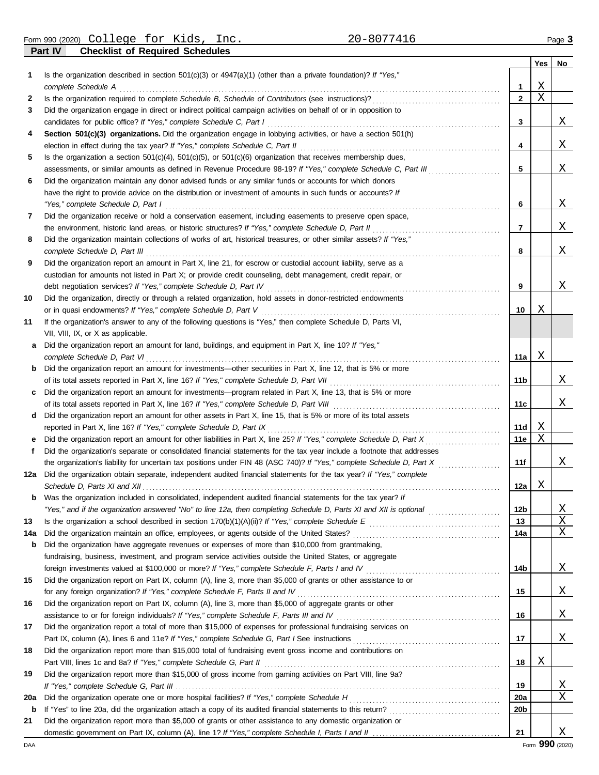**Part IV Checklist of Required Schedules** Form 990 (2020) Page **3** College for Kids, Inc. 20-8077416

|     |                                                                                                                                                                                                                                |                     | Yes | No |
|-----|--------------------------------------------------------------------------------------------------------------------------------------------------------------------------------------------------------------------------------|---------------------|-----|----|
| 1   | Is the organization described in section $501(c)(3)$ or $4947(a)(1)$ (other than a private foundation)? If "Yes,"                                                                                                              |                     | Χ   |    |
| 2   | complete Schedule A                                                                                                                                                                                                            | 1<br>$\overline{2}$ | X   |    |
| 3   | Did the organization engage in direct or indirect political campaign activities on behalf of or in opposition to                                                                                                               |                     |     |    |
|     | candidates for public office? If "Yes," complete Schedule C, Part I                                                                                                                                                            | 3                   |     | Χ  |
| 4   | Section 501(c)(3) organizations. Did the organization engage in lobbying activities, or have a section 501(h)                                                                                                                  |                     |     |    |
|     | election in effect during the tax year? If "Yes," complete Schedule C, Part II                                                                                                                                                 | 4                   |     | Χ  |
| 5   | Is the organization a section $501(c)(4)$ , $501(c)(5)$ , or $501(c)(6)$ organization that receives membership dues,                                                                                                           |                     |     |    |
|     | assessments, or similar amounts as defined in Revenue Procedure 98-19? If "Yes," complete Schedule C, Part III                                                                                                                 | 5                   |     | Χ  |
| 6   | Did the organization maintain any donor advised funds or any similar funds or accounts for which donors                                                                                                                        |                     |     |    |
|     | have the right to provide advice on the distribution or investment of amounts in such funds or accounts? If                                                                                                                    |                     |     |    |
|     | "Yes," complete Schedule D, Part I                                                                                                                                                                                             | 6                   |     | Χ  |
| 7   | Did the organization receive or hold a conservation easement, including easements to preserve open space,                                                                                                                      |                     |     |    |
|     | the environment, historic land areas, or historic structures? If "Yes," complete Schedule D, Part II                                                                                                                           | 7                   |     | Χ  |
| 8   | Did the organization maintain collections of works of art, historical treasures, or other similar assets? If "Yes,"                                                                                                            |                     |     |    |
|     | complete Schedule D, Part III                                                                                                                                                                                                  | 8                   |     | Χ  |
| 9   | Did the organization report an amount in Part X, line 21, for escrow or custodial account liability, serve as a                                                                                                                |                     |     |    |
|     | custodian for amounts not listed in Part X; or provide credit counseling, debt management, credit repair, or                                                                                                                   |                     |     |    |
|     | debt negotiation services? If "Yes," complete Schedule D, Part IV                                                                                                                                                              | 9                   |     | Χ  |
| 10  | Did the organization, directly or through a related organization, hold assets in donor-restricted endowments                                                                                                                   |                     |     |    |
|     | or in quasi endowments? If "Yes," complete Schedule D, Part V                                                                                                                                                                  | 10                  | Χ   |    |
| 11  | If the organization's answer to any of the following questions is "Yes," then complete Schedule D, Parts VI,                                                                                                                   |                     |     |    |
|     | VII, VIII, IX, or X as applicable.                                                                                                                                                                                             |                     |     |    |
| a   | Did the organization report an amount for land, buildings, and equipment in Part X, line 10? If "Yes,"                                                                                                                         |                     |     |    |
|     | complete Schedule D, Part VI                                                                                                                                                                                                   | 11a                 | Χ   |    |
| b   | Did the organization report an amount for investments—other securities in Part X, line 12, that is 5% or more                                                                                                                  |                     |     |    |
|     | of its total assets reported in Part X, line 16? If "Yes," complete Schedule D, Part VII                                                                                                                                       | 11b                 |     | Χ  |
| c   | Did the organization report an amount for investments—program related in Part X, line 13, that is 5% or more                                                                                                                   |                     |     |    |
|     |                                                                                                                                                                                                                                | 11с                 |     | Χ  |
| d   | Did the organization report an amount for other assets in Part X, line 15, that is 5% or more of its total assets                                                                                                              |                     |     |    |
|     | reported in Part X, line 16? If "Yes," complete Schedule D, Part IX                                                                                                                                                            | 11d                 | Χ   |    |
|     |                                                                                                                                                                                                                                | 11e                 | Χ   |    |
| f   | Did the organization's separate or consolidated financial statements for the tax year include a footnote that addresses                                                                                                        |                     |     |    |
|     |                                                                                                                                                                                                                                | 11f                 |     | Χ  |
| 12a | Did the organization obtain separate, independent audited financial statements for the tax year? If "Yes," complete                                                                                                            |                     |     |    |
|     |                                                                                                                                                                                                                                | 12a                 | Χ   |    |
|     | Was the organization included in consolidated, independent audited financial statements for the tax year? If                                                                                                                   |                     |     |    |
|     |                                                                                                                                                                                                                                | 12 <sub>b</sub>     |     | Χ  |
| 13  |                                                                                                                                                                                                                                | 13                  |     | Χ  |
| 14a |                                                                                                                                                                                                                                | 14a                 |     | Χ  |
| b   | Did the organization have aggregate revenues or expenses of more than \$10,000 from grantmaking,                                                                                                                               |                     |     |    |
|     | fundraising, business, investment, and program service activities outside the United States, or aggregate                                                                                                                      |                     |     |    |
|     | foreign investments valued at \$100,000 or more? If "Yes," complete Schedule F, Parts I and IV [[[[[[[[[[[[[[[                                                                                                                 | 14b                 |     | X  |
| 15  | Did the organization report on Part IX, column (A), line 3, more than \$5,000 of grants or other assistance to or                                                                                                              |                     |     |    |
|     | for any foreign organization? If "Yes," complete Schedule F, Parts II and IV [[11][11] CONDERGALARA CONDERGAN CONDERGAN CONDERGAN CONDERGAN CONDERGAN CONDERGAN CONDERGAN CONDERGAN CONDERGAN CONDERGAN CONDERGAN CONDERGAN CO | 15                  |     | Χ  |
| 16  | Did the organization report on Part IX, column (A), line 3, more than \$5,000 of aggregate grants or other                                                                                                                     |                     |     | Χ  |
|     |                                                                                                                                                                                                                                | 16                  |     |    |
| 17  | Did the organization report a total of more than \$15,000 of expenses for professional fundraising services on                                                                                                                 | 17                  |     | Χ  |
| 18  | Did the organization report more than \$15,000 total of fundraising event gross income and contributions on                                                                                                                    |                     |     |    |
|     |                                                                                                                                                                                                                                | 18                  | Χ   |    |
| 19  | Did the organization report more than \$15,000 of gross income from gaming activities on Part VIII, line 9a?                                                                                                                   |                     |     |    |
|     |                                                                                                                                                                                                                                | 19                  |     | X  |
| 20a |                                                                                                                                                                                                                                | 20a                 |     | Χ  |
| b   |                                                                                                                                                                                                                                | 20b                 |     |    |
| 21  | Did the organization report more than \$5,000 of grants or other assistance to any domestic organization or                                                                                                                    |                     |     |    |
|     |                                                                                                                                                                                                                                | 21                  |     | Χ  |
|     |                                                                                                                                                                                                                                |                     |     |    |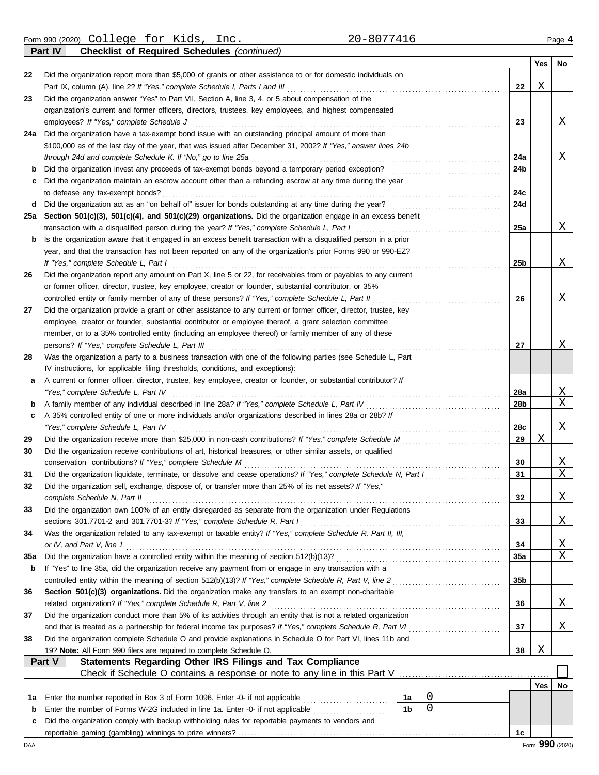Form 990 (2020) Page **4** College for Kids, Inc. 20-8077416

**Part IV Checklist of Required Schedules** *(continued)*

|             | sonnot of hoganoa conoaaloo (comma                                                                                                                                 |                |  |             |     | Yes | No          |  |  |  |
|-------------|--------------------------------------------------------------------------------------------------------------------------------------------------------------------|----------------|--|-------------|-----|-----|-------------|--|--|--|
| 22          | Did the organization report more than \$5,000 of grants or other assistance to or for domestic individuals on                                                      |                |  |             |     |     |             |  |  |  |
|             | Part IX, column (A), line 2? If "Yes," complete Schedule I, Parts I and III                                                                                        |                |  |             | 22  | Χ   |             |  |  |  |
| 23          | Did the organization answer "Yes" to Part VII, Section A, line 3, 4, or 5 about compensation of the                                                                |                |  |             |     |     |             |  |  |  |
|             | organization's current and former officers, directors, trustees, key employees, and highest compensated                                                            |                |  |             |     |     |             |  |  |  |
|             | employees? If "Yes," complete Schedule J                                                                                                                           |                |  |             | 23  |     | Χ           |  |  |  |
| 24a         | Did the organization have a tax-exempt bond issue with an outstanding principal amount of more than                                                                |                |  |             |     |     |             |  |  |  |
|             | \$100,000 as of the last day of the year, that was issued after December 31, 2002? If "Yes," answer lines 24b                                                      |                |  |             |     |     |             |  |  |  |
|             | through 24d and complete Schedule K. If "No," go to line 25a                                                                                                       |                |  |             | 24a |     | Χ           |  |  |  |
| b           | Did the organization invest any proceeds of tax-exempt bonds beyond a temporary period exception?                                                                  |                |  |             | 24b |     |             |  |  |  |
| c           | Did the organization maintain an escrow account other than a refunding escrow at any time during the year                                                          |                |  |             |     |     |             |  |  |  |
|             | to defease any tax-exempt bonds?                                                                                                                                   |                |  |             | 24с |     |             |  |  |  |
| d           |                                                                                                                                                                    |                |  |             | 24d |     |             |  |  |  |
| 25a         | Section 501(c)(3), 501(c)(4), and 501(c)(29) organizations. Did the organization engage in an excess benefit                                                       |                |  |             |     |     |             |  |  |  |
|             | transaction with a disqualified person during the year? If "Yes," complete Schedule L, Part I                                                                      |                |  |             | 25a |     | Χ           |  |  |  |
| b           | Is the organization aware that it engaged in an excess benefit transaction with a disqualified person in a prior                                                   |                |  |             |     |     |             |  |  |  |
|             | year, and that the transaction has not been reported on any of the organization's prior Forms 990 or 990-EZ?                                                       |                |  |             |     |     |             |  |  |  |
|             | If "Yes," complete Schedule L, Part I                                                                                                                              |                |  |             | 25b |     | Χ           |  |  |  |
| 26          | Did the organization report any amount on Part X, line 5 or 22, for receivables from or payables to any current                                                    |                |  |             |     |     |             |  |  |  |
|             | or former officer, director, trustee, key employee, creator or founder, substantial contributor, or 35%                                                            |                |  |             |     |     |             |  |  |  |
|             | controlled entity or family member of any of these persons? If "Yes," complete Schedule L, Part II                                                                 |                |  |             | 26  |     | Χ           |  |  |  |
| 27          | Did the organization provide a grant or other assistance to any current or former officer, director, trustee, key                                                  |                |  |             |     |     |             |  |  |  |
|             | employee, creator or founder, substantial contributor or employee thereof, a grant selection committee                                                             |                |  |             |     |     |             |  |  |  |
|             | member, or to a 35% controlled entity (including an employee thereof) or family member of any of these                                                             |                |  |             | 27  |     | Χ           |  |  |  |
| 28          | persons? If "Yes," complete Schedule L, Part III<br>Was the organization a party to a business transaction with one of the following parties (see Schedule L, Part |                |  |             |     |     |             |  |  |  |
|             | IV instructions, for applicable filing thresholds, conditions, and exceptions):                                                                                    |                |  |             |     |     |             |  |  |  |
| a           | A current or former officer, director, trustee, key employee, creator or founder, or substantial contributor? If                                                   |                |  |             |     |     |             |  |  |  |
|             | "Yes," complete Schedule L, Part IV                                                                                                                                |                |  |             | 28a |     | X           |  |  |  |
| b           | A family member of any individual described in line 28a? If "Yes," complete Schedule L, Part IV                                                                    |                |  |             | 28b |     | $\mathbf X$ |  |  |  |
| c           | A 35% controlled entity of one or more individuals and/or organizations described in lines 28a or 28b? If                                                          |                |  |             |     |     |             |  |  |  |
|             | "Yes," complete Schedule L, Part IV                                                                                                                                |                |  |             | 28c |     | Χ           |  |  |  |
| 29          |                                                                                                                                                                    |                |  |             | 29  | Χ   |             |  |  |  |
| 30          | Did the organization receive contributions of art, historical treasures, or other similar assets, or qualified                                                     |                |  |             |     |     |             |  |  |  |
|             | conservation contributions? If "Yes," complete Schedule M                                                                                                          |                |  |             | 30  |     | X           |  |  |  |
| 31          | Did the organization liquidate, terminate, or dissolve and cease operations? If "Yes," complete Schedule N, Part I                                                 |                |  |             | 31  |     | $\mathbf X$ |  |  |  |
| 32          | Did the organization sell, exchange, dispose of, or transfer more than 25% of its net assets? If "Yes,"                                                            |                |  |             |     |     |             |  |  |  |
|             | complete Schedule N, Part II                                                                                                                                       |                |  |             | 32  |     | Χ           |  |  |  |
| 33          | Did the organization own 100% of an entity disregarded as separate from the organization under Regulations                                                         |                |  |             |     |     |             |  |  |  |
|             | sections 301.7701-2 and 301.7701-3? If "Yes," complete Schedule R, Part I                                                                                          |                |  |             | 33  |     | Χ           |  |  |  |
| 34          | Was the organization related to any tax-exempt or taxable entity? If "Yes," complete Schedule R, Part II, III,                                                     |                |  |             |     |     |             |  |  |  |
|             | or IV, and Part V, line 1                                                                                                                                          |                |  |             | 34  |     | Χ           |  |  |  |
| 35a         |                                                                                                                                                                    |                |  |             | 35a |     | Χ           |  |  |  |
| b           | If "Yes" to line 35a, did the organization receive any payment from or engage in any transaction with a                                                            |                |  |             |     |     |             |  |  |  |
|             |                                                                                                                                                                    |                |  |             | 35b |     |             |  |  |  |
| 36          | Section 501(c)(3) organizations. Did the organization make any transfers to an exempt non-charitable                                                               |                |  |             |     |     |             |  |  |  |
|             | related organization? If "Yes," complete Schedule R, Part V, line 2                                                                                                |                |  |             | 36  |     | Χ           |  |  |  |
| 37          | Did the organization conduct more than 5% of its activities through an entity that is not a related organization                                                   |                |  |             |     |     |             |  |  |  |
|             | and that is treated as a partnership for federal income tax purposes? If "Yes," complete Schedule R, Part VI                                                       |                |  |             | 37  |     | Χ           |  |  |  |
| 38          | Did the organization complete Schedule O and provide explanations in Schedule O for Part VI, lines 11b and                                                         |                |  |             |     |     |             |  |  |  |
|             | 19? Note: All Form 990 filers are required to complete Schedule O.<br>Statements Regarding Other IRS Filings and Tax Compliance<br>Part V                          |                |  |             | 38  | Χ   |             |  |  |  |
|             | Check if Schedule O contains a response or note to any line in this Part V                                                                                         |                |  |             |     |     |             |  |  |  |
|             |                                                                                                                                                                    |                |  |             |     | Yes | No          |  |  |  |
| 1a          | Enter the number reported in Box 3 of Form 1096. Enter -0- if not applicable                                                                                       | 1a             |  | 0           |     |     |             |  |  |  |
| $\mathbf b$ | Enter the number of Forms W-2G included in line 1a. Enter -0- if not applicable                                                                                    | 1 <sub>b</sub> |  | $\mathbf 0$ |     |     |             |  |  |  |
| c           | Did the organization comply with backup withholding rules for reportable payments to vendors and                                                                   |                |  |             |     |     |             |  |  |  |
|             |                                                                                                                                                                    |                |  |             | 1c  |     |             |  |  |  |
|             |                                                                                                                                                                    |                |  |             |     |     |             |  |  |  |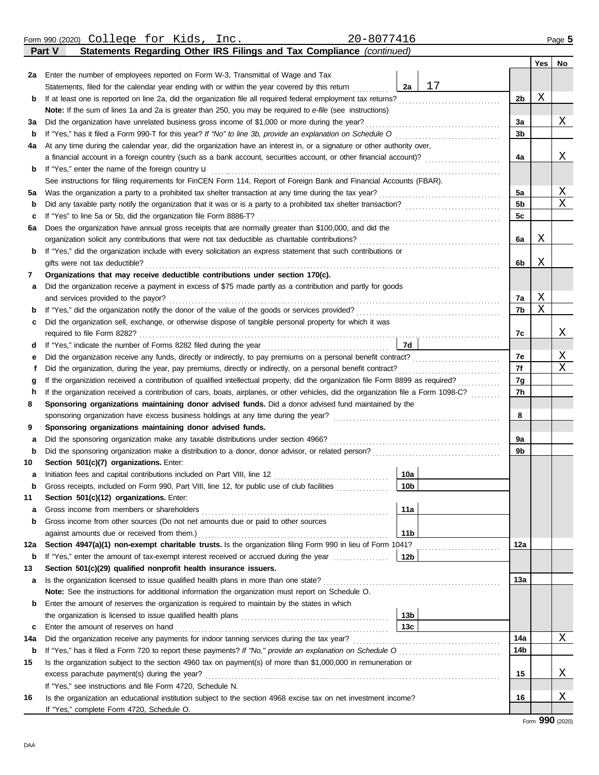|          | Statements Regarding Other IRS Filings and Tax Compliance (continued)<br>Part V                                                                                                                                    |    |                      |     |                         |  |  |  |  |  |  |  |  |
|----------|--------------------------------------------------------------------------------------------------------------------------------------------------------------------------------------------------------------------|----|----------------------|-----|-------------------------|--|--|--|--|--|--|--|--|
|          |                                                                                                                                                                                                                    |    |                      | Yes | No                      |  |  |  |  |  |  |  |  |
| 2a       | Enter the number of employees reported on Form W-3, Transmittal of Wage and Tax                                                                                                                                    |    |                      |     |                         |  |  |  |  |  |  |  |  |
|          | 2a<br>Statements, filed for the calendar year ending with or within the year covered by this return                                                                                                                | 17 |                      |     |                         |  |  |  |  |  |  |  |  |
| b        | If at least one is reported on line 2a, did the organization file all required federal employment tax returns?                                                                                                     |    | 2b                   | Χ   |                         |  |  |  |  |  |  |  |  |
|          | Note: If the sum of lines 1a and 2a is greater than 250, you may be required to e-file (see instructions)                                                                                                          |    |                      |     |                         |  |  |  |  |  |  |  |  |
| За       | Did the organization have unrelated business gross income of \$1,000 or more during the year?                                                                                                                      |    | 3a                   |     | Χ                       |  |  |  |  |  |  |  |  |
| b        |                                                                                                                                                                                                                    |    | 3b                   |     |                         |  |  |  |  |  |  |  |  |
| 4a       | At any time during the calendar year, did the organization have an interest in, or a signature or other authority over,                                                                                            |    |                      |     |                         |  |  |  |  |  |  |  |  |
|          |                                                                                                                                                                                                                    |    | 4a                   |     | Χ                       |  |  |  |  |  |  |  |  |
| b        | If "Yes," enter the name of the foreign country u                                                                                                                                                                  |    |                      |     |                         |  |  |  |  |  |  |  |  |
|          | See instructions for filing requirements for FinCEN Form 114, Report of Foreign Bank and Financial Accounts (FBAR).                                                                                                |    |                      |     |                         |  |  |  |  |  |  |  |  |
| 5а       | Was the organization a party to a prohibited tax shelter transaction at any time during the tax year?                                                                                                              |    | 5a<br>5 <sub>b</sub> |     | <u>X</u><br>$\mathbf X$ |  |  |  |  |  |  |  |  |
| b        |                                                                                                                                                                                                                    |    |                      |     |                         |  |  |  |  |  |  |  |  |
|          | If "Yes" to line 5a or 5b, did the organization file Form 8886-T?<br>c                                                                                                                                             |    |                      |     |                         |  |  |  |  |  |  |  |  |
|          | Does the organization have annual gross receipts that are normally greater than \$100,000, and did the<br>6а                                                                                                       |    |                      |     |                         |  |  |  |  |  |  |  |  |
|          | organization solicit any contributions that were not tax deductible as charitable contributions?<br>If "Yes," did the organization include with every solicitation an express statement that such contributions or |    |                      |     |                         |  |  |  |  |  |  |  |  |
|          | b<br>gifts were not tax deductible?                                                                                                                                                                                |    |                      |     |                         |  |  |  |  |  |  |  |  |
| 7        | Organizations that may receive deductible contributions under section 170(c).                                                                                                                                      |    | 6b                   | Χ   |                         |  |  |  |  |  |  |  |  |
|          | Did the organization receive a payment in excess of \$75 made partly as a contribution and partly for goods                                                                                                        |    |                      |     |                         |  |  |  |  |  |  |  |  |
| а        | and services provided to the payor?                                                                                                                                                                                |    | 7a                   | Χ   |                         |  |  |  |  |  |  |  |  |
| b        |                                                                                                                                                                                                                    |    | 7b                   | Χ   |                         |  |  |  |  |  |  |  |  |
| c        | Did the organization sell, exchange, or otherwise dispose of tangible personal property for which it was                                                                                                           |    |                      |     |                         |  |  |  |  |  |  |  |  |
|          |                                                                                                                                                                                                                    |    | 7с                   |     | Χ                       |  |  |  |  |  |  |  |  |
| d        | 7d                                                                                                                                                                                                                 |    |                      |     |                         |  |  |  |  |  |  |  |  |
| е        |                                                                                                                                                                                                                    |    | 7е                   |     | Χ                       |  |  |  |  |  |  |  |  |
| f        | Did the organization, during the year, pay premiums, directly or indirectly, on a personal benefit contract?                                                                                                       |    | 7f                   |     | $\mathbf X$             |  |  |  |  |  |  |  |  |
| g        | If the organization received a contribution of qualified intellectual property, did the organization file Form 8899 as required?                                                                                   |    | 7g                   |     |                         |  |  |  |  |  |  |  |  |
| h        | If the organization received a contribution of cars, boats, airplanes, or other vehicles, did the organization file a Form 1098-C?                                                                                 |    | 7h                   |     |                         |  |  |  |  |  |  |  |  |
| 8        | Sponsoring organizations maintaining donor advised funds. Did a donor advised fund maintained by the                                                                                                               |    |                      |     |                         |  |  |  |  |  |  |  |  |
|          | sponsoring organization have excess business holdings at any time during the year?                                                                                                                                 |    | 8                    |     |                         |  |  |  |  |  |  |  |  |
| 9        | Sponsoring organizations maintaining donor advised funds.                                                                                                                                                          |    |                      |     |                         |  |  |  |  |  |  |  |  |
| а        | Did the sponsoring organization make any taxable distributions under section 4966?                                                                                                                                 |    | 9a                   |     |                         |  |  |  |  |  |  |  |  |
| b        |                                                                                                                                                                                                                    |    | 9b                   |     |                         |  |  |  |  |  |  |  |  |
| 10       | Section 501(c)(7) organizations. Enter:                                                                                                                                                                            |    |                      |     |                         |  |  |  |  |  |  |  |  |
| а        | 10a                                                                                                                                                                                                                |    |                      |     |                         |  |  |  |  |  |  |  |  |
|          | 10 <sub>b</sub><br>Gross receipts, included on Form 990, Part VIII, line 12, for public use of club facilities                                                                                                     |    |                      |     |                         |  |  |  |  |  |  |  |  |
| 11       | Section 501(c)(12) organizations. Enter:                                                                                                                                                                           |    |                      |     |                         |  |  |  |  |  |  |  |  |
| а        | 11a<br>Gross income from members or shareholders                                                                                                                                                                   |    |                      |     |                         |  |  |  |  |  |  |  |  |
| b        | Gross income from other sources (Do not net amounts due or paid to other sources                                                                                                                                   |    |                      |     |                         |  |  |  |  |  |  |  |  |
|          | 11 <sub>b</sub><br>against amounts due or received from them.)                                                                                                                                                     |    |                      |     |                         |  |  |  |  |  |  |  |  |
| 12a      | Section 4947(a)(1) non-exempt charitable trusts. Is the organization filing Form 990 in lieu of Form 1041?                                                                                                         |    | 12a                  |     |                         |  |  |  |  |  |  |  |  |
| b        | 12b<br>If "Yes," enter the amount of tax-exempt interest received or accrued during the year                                                                                                                       |    |                      |     |                         |  |  |  |  |  |  |  |  |
| 13       | Section 501(c)(29) qualified nonprofit health insurance issuers.                                                                                                                                                   |    |                      |     |                         |  |  |  |  |  |  |  |  |
| а        | Is the organization licensed to issue qualified health plans in more than one state?                                                                                                                               |    | 13a                  |     |                         |  |  |  |  |  |  |  |  |
|          | Note: See the instructions for additional information the organization must report on Schedule O.                                                                                                                  |    |                      |     |                         |  |  |  |  |  |  |  |  |
| b        | Enter the amount of reserves the organization is required to maintain by the states in which                                                                                                                       |    |                      |     |                         |  |  |  |  |  |  |  |  |
|          | 13 <sub>b</sub><br>13 <sub>c</sub><br>Enter the amount of reserves on hand                                                                                                                                         |    |                      |     |                         |  |  |  |  |  |  |  |  |
| c<br>14a | Did the organization receive any payments for indoor tanning services during the tax year?                                                                                                                         |    | 14a                  |     | X                       |  |  |  |  |  |  |  |  |
| b        |                                                                                                                                                                                                                    |    | 14b                  |     |                         |  |  |  |  |  |  |  |  |
| 15       | Is the organization subject to the section 4960 tax on payment(s) of more than \$1,000,000 in remuneration or                                                                                                      |    |                      |     |                         |  |  |  |  |  |  |  |  |
|          | excess parachute payment(s) during the year?                                                                                                                                                                       |    | 15                   |     | X                       |  |  |  |  |  |  |  |  |
|          | If "Yes," see instructions and file Form 4720, Schedule N.                                                                                                                                                         |    |                      |     |                         |  |  |  |  |  |  |  |  |
| 16       | Is the organization an educational institution subject to the section 4968 excise tax on net investment income?                                                                                                    |    | 16                   |     | Χ                       |  |  |  |  |  |  |  |  |
|          | If "Yes," complete Form 4720, Schedule O.                                                                                                                                                                          |    |                      |     |                         |  |  |  |  |  |  |  |  |
|          |                                                                                                                                                                                                                    |    |                      |     |                         |  |  |  |  |  |  |  |  |

Form 990 (2020) Page **5** College for Kids, Inc. 20-8077416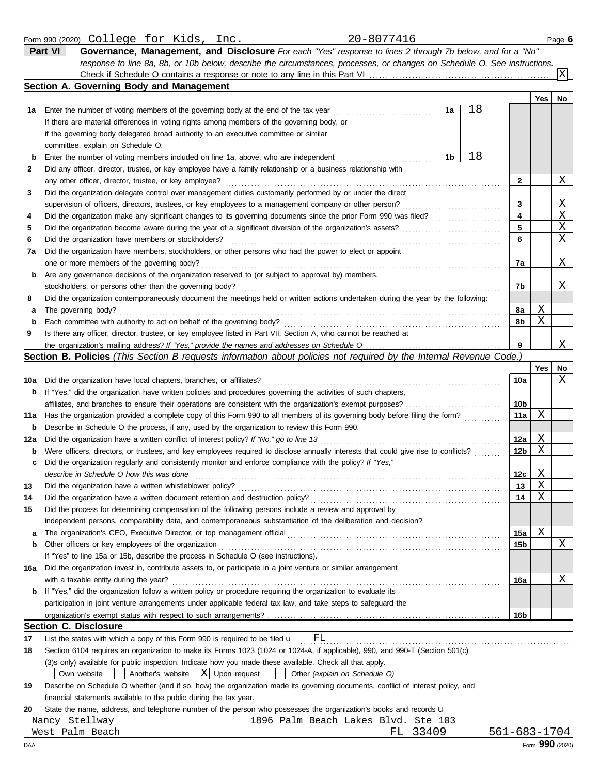|     | response to line 8a, 8b, or 10b below, describe the circumstances, processes, or changes on Schedule O. See instructions.<br>Check if Schedule O contains a response or note to any line in this Part VI |    |    |              |                 | X  |
|-----|----------------------------------------------------------------------------------------------------------------------------------------------------------------------------------------------------------|----|----|--------------|-----------------|----|
|     | Section A. Governing Body and Management                                                                                                                                                                 |    |    |              |                 |    |
|     |                                                                                                                                                                                                          |    |    |              | Yes             | No |
| 1a  | Enter the number of voting members of the governing body at the end of the tax year                                                                                                                      | 1a | 18 |              |                 |    |
|     | If there are material differences in voting rights among members of the governing body, or                                                                                                               |    |    |              |                 |    |
|     | if the governing body delegated broad authority to an executive committee or similar                                                                                                                     |    |    |              |                 |    |
|     | committee, explain on Schedule O.                                                                                                                                                                        |    |    |              |                 |    |
| b   | Enter the number of voting members included on line 1a, above, who are independent                                                                                                                       | 1b | 18 |              |                 |    |
| 2   | Did any officer, director, trustee, or key employee have a family relationship or a business relationship with                                                                                           |    |    |              |                 |    |
|     | any other officer, director, trustee, or key employee?                                                                                                                                                   |    |    | 2            |                 | Χ  |
| 3   | Did the organization delegate control over management duties customarily performed by or under the direct                                                                                                |    |    |              |                 |    |
|     | supervision of officers, directors, trustees, or key employees to a management company or other person?                                                                                                  |    |    | 3            |                 | X  |
| 4   | Did the organization make any significant changes to its governing documents since the prior Form 990 was filed?                                                                                         |    |    | 4            |                 | Χ  |
| 5   |                                                                                                                                                                                                          |    |    | 5            |                 | Χ  |
| 6   | Did the organization have members or stockholders?                                                                                                                                                       |    |    | 6            |                 | Χ  |
| 7а  | Did the organization have members, stockholders, or other persons who had the power to elect or appoint                                                                                                  |    |    |              |                 |    |
|     | one or more members of the governing body?                                                                                                                                                               |    |    | 7a           |                 | Χ  |
| b   | Are any governance decisions of the organization reserved to (or subject to approval by) members,                                                                                                        |    |    |              |                 |    |
|     | stockholders, or persons other than the governing body?                                                                                                                                                  |    |    | 7b           |                 | Χ  |
| 8   | Did the organization contemporaneously document the meetings held or written actions undertaken during the year by the following:                                                                        |    |    |              |                 |    |
| а   | The governing body?                                                                                                                                                                                      |    |    | 8а           | Χ               |    |
| b   |                                                                                                                                                                                                          |    |    | 8b           | Χ               |    |
| 9   | Is there any officer, director, trustee, or key employee listed in Part VII, Section A, who cannot be reached at                                                                                         |    |    |              |                 |    |
|     |                                                                                                                                                                                                          |    |    | 9            |                 | Χ  |
|     | Section B. Policies (This Section B requests information about policies not required by the Internal Revenue Code.)                                                                                      |    |    |              |                 |    |
|     |                                                                                                                                                                                                          |    |    |              | Yes             | No |
| 10a | Did the organization have local chapters, branches, or affiliates?                                                                                                                                       |    |    | 10a          |                 | Χ  |
| b   | If "Yes," did the organization have written policies and procedures governing the activities of such chapters,                                                                                           |    |    |              |                 |    |
|     |                                                                                                                                                                                                          |    |    | 10b          |                 |    |
| 11a | Has the organization provided a complete copy of this Form 990 to all members of its governing body before filing the form?                                                                              |    |    | 11a          | Χ               |    |
| b   | Describe in Schedule O the process, if any, used by the organization to review this Form 990.                                                                                                            |    |    |              |                 |    |
| 12a | Did the organization have a written conflict of interest policy? If "No," go to line 13                                                                                                                  |    |    | 12a          | Χ               |    |
| b   | Were officers, directors, or trustees, and key employees required to disclose annually interests that could give rise to conflicts?                                                                      |    |    | 12b          | Χ               |    |
| c   | Did the organization regularly and consistently monitor and enforce compliance with the policy? If "Yes,"                                                                                                |    |    |              |                 |    |
|     | describe in Schedule O how this was done                                                                                                                                                                 |    |    | 12c          | X               |    |
| 13  |                                                                                                                                                                                                          |    |    | 13           | Χ               |    |
| 14  | Did the organization have a written document retention and destruction policy?                                                                                                                           |    |    | 14           | X               |    |
| 15  | Did the process for determining compensation of the following persons include a review and approval by                                                                                                   |    |    |              |                 |    |
|     | independent persons, comparability data, and contemporaneous substantiation of the deliberation and decision?                                                                                            |    |    |              |                 |    |
| a   |                                                                                                                                                                                                          |    |    | 15a          | Χ               |    |
| b   | Other officers or key employees of the organization                                                                                                                                                      |    |    | 15b          |                 | Χ  |
|     | If "Yes" to line 15a or 15b, describe the process in Schedule O (see instructions).                                                                                                                      |    |    |              |                 |    |
| 16a | Did the organization invest in, contribute assets to, or participate in a joint venture or similar arrangement<br>with a taxable entity during the year?                                                 |    |    |              |                 | Χ  |
|     |                                                                                                                                                                                                          |    |    | 16a          |                 |    |
| b   | If "Yes," did the organization follow a written policy or procedure requiring the organization to evaluate its                                                                                           |    |    |              |                 |    |
|     | participation in joint venture arrangements under applicable federal tax law, and take steps to safeguard the                                                                                            |    |    |              |                 |    |
|     |                                                                                                                                                                                                          |    |    | 16b          |                 |    |
|     | <b>Section C. Disclosure</b>                                                                                                                                                                             |    |    |              |                 |    |
| 17  | List the states with which a copy of this Form 990 is required to be filed $\mathbf{u}$ FL                                                                                                               |    |    |              |                 |    |
| 18  | Section 6104 requires an organization to make its Forms 1023 (1024 or 1024-A, if applicable), 990, and 990-T (Section 501(c)                                                                             |    |    |              |                 |    |
|     | (3)s only) available for public inspection. Indicate how you made these available. Check all that apply.                                                                                                 |    |    |              |                 |    |
|     | $ X $ Upon request<br>Another's website<br>Other (explain on Schedule O)<br>Own website                                                                                                                  |    |    |              |                 |    |
| 19  | Describe on Schedule O whether (and if so, how) the organization made its governing documents, conflict of interest policy, and                                                                          |    |    |              |                 |    |
|     | financial statements available to the public during the tax year.                                                                                                                                        |    |    |              |                 |    |
| 20  | State the name, address, and telephone number of the person who possesses the organization's books and records u<br>1896 Palm Beach Lakes Blvd. Ste 103<br>Nancy Stellway                                |    |    |              |                 |    |
|     | West Palm Beach<br>FL 33409                                                                                                                                                                              |    |    | 561-683-1704 |                 |    |
| DAA |                                                                                                                                                                                                          |    |    |              | Form 990 (2020) |    |
|     |                                                                                                                                                                                                          |    |    |              |                 |    |

Form 990 (2020) Page **6** College for Kids, Inc. 20-8077416 **Part VI Governance, Management, and Disclosure** *For each "Yes" response to lines 2 through 7b below, and for a "No"*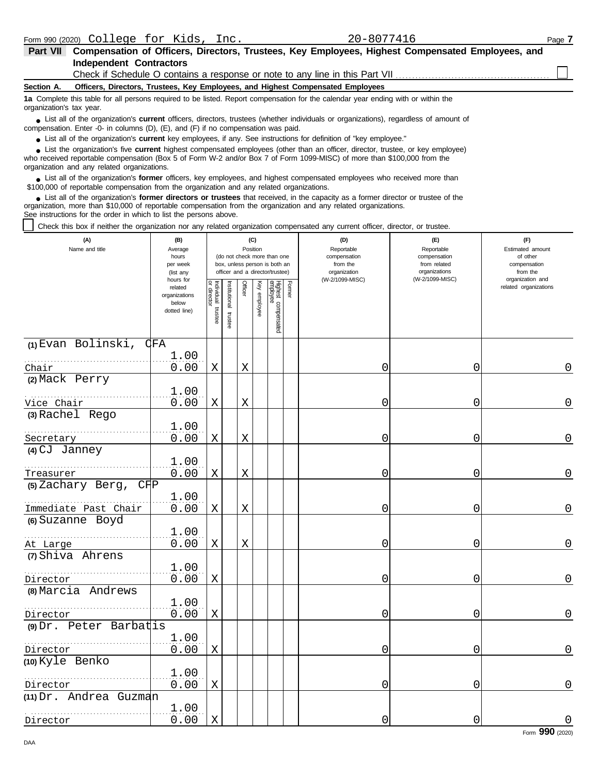| <b>Part VII</b>          | Compensation of Officers, Directors, Trustees, Key Employees, Highest Compensated Employees, and                                                                                                                                                                                                           |  |  |  |  |  |  |  |  |  |
|--------------------------|------------------------------------------------------------------------------------------------------------------------------------------------------------------------------------------------------------------------------------------------------------------------------------------------------------|--|--|--|--|--|--|--|--|--|
|                          | <b>Independent Contractors</b>                                                                                                                                                                                                                                                                             |  |  |  |  |  |  |  |  |  |
|                          | Check if Schedule O contains a response or note to any line in this Part VII                                                                                                                                                                                                                               |  |  |  |  |  |  |  |  |  |
| Section A.               | Officers, Directors, Trustees, Key Employees, and Highest Compensated Employees                                                                                                                                                                                                                            |  |  |  |  |  |  |  |  |  |
| organization's tax year. | 1a Complete this table for all persons required to be listed. Report compensation for the calendar year ending with or within the                                                                                                                                                                          |  |  |  |  |  |  |  |  |  |
|                          | • List all of the organization's <b>current</b> officers, directors, trustees (whether individuals or organizations), regardless of amount of<br>compensation. Enter -0- in columns $(D)$ , $(E)$ , and $(F)$ if no compensation was paid.                                                                 |  |  |  |  |  |  |  |  |  |
|                          | • List all of the organization's <b>current</b> key employees, if any. See instructions for definition of "key employee."                                                                                                                                                                                  |  |  |  |  |  |  |  |  |  |
|                          | • List the organization's five current highest compensated employees (other than an officer, director, trustee, or key employee)<br>who received reportable compensation (Box 5 of Form W-2 and/or Box 7 of Form 1099-MISC) of more than \$100,000 from the<br>organization and any related organizations. |  |  |  |  |  |  |  |  |  |
|                          | • List all of the organization's former officers, key employees, and highest compensated employees who received more than<br>\$100,000 of reportable compensation from the organization and any related organizations.                                                                                     |  |  |  |  |  |  |  |  |  |
|                          | List all of the organization's <b>former directors or trustees</b> that received, in the capacity as a former director or trustee of the<br>organization, more than \$10,000 of reportable compensation from the organization and any related organizations.                                               |  |  |  |  |  |  |  |  |  |

See instructions for the order in which to list the persons above.

Check this box if neither the organization nor any related organization compensated any current officer, director, or trustee.

| (A)<br>Name and title              | (B)<br>Average<br>hours<br>per week<br>(list any               |                                   |                       |             | (C)<br>Position | (do not check more than one<br>box, unless person is both an<br>officer and a director/trustee) |        | (D)<br>Reportable<br>compensation<br>from the<br>organization | (E)<br>Reportable<br>compensation<br>from related<br>organizations | (F)<br>Estimated amount<br>of other<br>compensation<br>from the |
|------------------------------------|----------------------------------------------------------------|-----------------------------------|-----------------------|-------------|-----------------|-------------------------------------------------------------------------------------------------|--------|---------------------------------------------------------------|--------------------------------------------------------------------|-----------------------------------------------------------------|
|                                    | hours for<br>related<br>organizations<br>below<br>dotted line) | Individual trustee<br>or director | Institutional trustee | Officer     | Key employee    | Highest compensated<br>employee                                                                 | Former | (W-2/1099-MISC)                                               | (W-2/1099-MISC)                                                    | organization and<br>related organizations                       |
| (1) Evan Bolinski,                 | <b>CFA</b>                                                     |                                   |                       |             |                 |                                                                                                 |        |                                                               |                                                                    |                                                                 |
| Chair                              | 1.00<br>0.00                                                   | X                                 |                       | X           |                 |                                                                                                 |        | 0                                                             | 0                                                                  | 0                                                               |
| (2) Mack Perry                     |                                                                |                                   |                       |             |                 |                                                                                                 |        |                                                               |                                                                    |                                                                 |
|                                    | 1.00                                                           |                                   |                       |             |                 |                                                                                                 |        |                                                               |                                                                    |                                                                 |
| Vice Chair                         | 0.00                                                           | Χ                                 |                       | $\mathbf X$ |                 |                                                                                                 |        | 0                                                             | 0                                                                  | $\mathbf 0$                                                     |
| (3) Rachel Rego                    | 1.00                                                           |                                   |                       |             |                 |                                                                                                 |        |                                                               |                                                                    |                                                                 |
| Secretary                          | 0.00                                                           | $\mathbf X$                       |                       | Χ           |                 |                                                                                                 |        | 0                                                             | 0                                                                  | 0                                                               |
| (4) CJ Janney                      |                                                                |                                   |                       |             |                 |                                                                                                 |        |                                                               |                                                                    |                                                                 |
|                                    | 1.00                                                           |                                   |                       |             |                 |                                                                                                 |        |                                                               |                                                                    |                                                                 |
| Treasurer<br>(5) Zachary Berg, CHP | 0.00                                                           | Χ                                 |                       | Χ           |                 |                                                                                                 |        | 0                                                             | 0                                                                  | $\overline{0}$                                                  |
|                                    | 1.00                                                           |                                   |                       |             |                 |                                                                                                 |        |                                                               |                                                                    |                                                                 |
| Immediate Past Chair               | 0.00                                                           | Χ                                 |                       | $\mathbf X$ |                 |                                                                                                 |        | 0                                                             | 0                                                                  | $\mathbf 0$                                                     |
| (6) Suzanne Boyd                   |                                                                |                                   |                       |             |                 |                                                                                                 |        |                                                               |                                                                    |                                                                 |
| At Large                           | 1.00<br>0.00                                                   | X                                 |                       | X           |                 |                                                                                                 |        | 0                                                             | 0                                                                  | $\mathbf 0$                                                     |
| (7) Shiva Ahrens                   |                                                                |                                   |                       |             |                 |                                                                                                 |        |                                                               |                                                                    |                                                                 |
|                                    | 1.00                                                           |                                   |                       |             |                 |                                                                                                 |        |                                                               |                                                                    |                                                                 |
| Director                           | 0.00                                                           | X                                 |                       |             |                 |                                                                                                 |        | 0                                                             | 0                                                                  | $\Omega$                                                        |
| (8) Marcia Andrews                 |                                                                |                                   |                       |             |                 |                                                                                                 |        |                                                               |                                                                    |                                                                 |
| Director                           | 1.00<br>0.00                                                   | X                                 |                       |             |                 |                                                                                                 |        | 0                                                             | 0                                                                  | $\mathbf 0$                                                     |
| $(9)$ Dr. Peter Barbatis           |                                                                |                                   |                       |             |                 |                                                                                                 |        |                                                               |                                                                    |                                                                 |
|                                    | 1.00                                                           |                                   |                       |             |                 |                                                                                                 |        |                                                               |                                                                    |                                                                 |
| Director                           | 0.00                                                           | Χ                                 |                       |             |                 |                                                                                                 |        | 0                                                             | 0                                                                  | 0                                                               |
| (10) Kyle Benko                    |                                                                |                                   |                       |             |                 |                                                                                                 |        |                                                               |                                                                    |                                                                 |
| Director                           | 1.00<br>0.00                                                   | $\mathbf X$                       |                       |             |                 |                                                                                                 |        | 0                                                             | 0                                                                  | 0                                                               |
| $(11)$ Dr. Andrea Guzman           |                                                                |                                   |                       |             |                 |                                                                                                 |        |                                                               |                                                                    |                                                                 |
|                                    | 1.00                                                           |                                   |                       |             |                 |                                                                                                 |        |                                                               |                                                                    |                                                                 |
| Director                           | 0.00                                                           | X                                 |                       |             |                 |                                                                                                 |        | 0                                                             | 0                                                                  | $\mathsf 0$                                                     |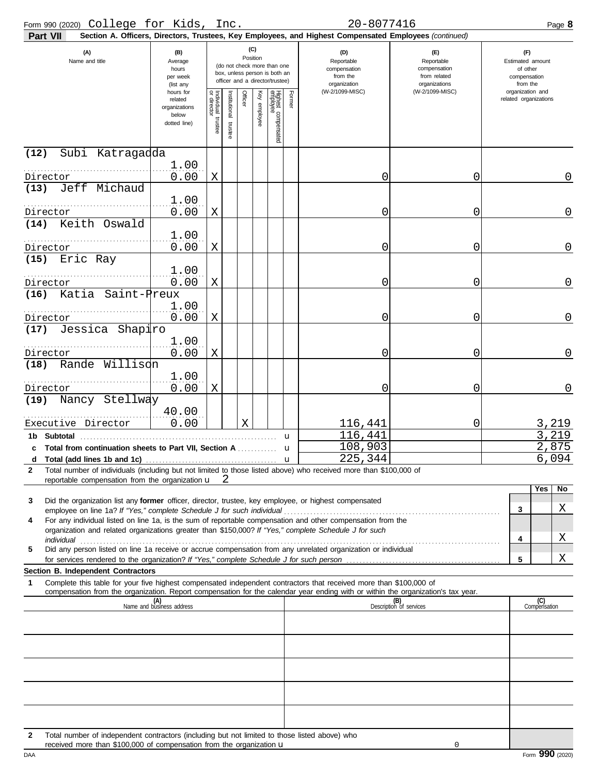| Form 990 (2020) College for Kids, Inc.                                                                                                                                                                                                                      |                                                                |                                   |                         |                 |          |                                                                                                 |                                                               | 20-8077416                                                                                             |                                                                    |   | Page 8                                                          |
|-------------------------------------------------------------------------------------------------------------------------------------------------------------------------------------------------------------------------------------------------------------|----------------------------------------------------------------|-----------------------------------|-------------------------|-----------------|----------|-------------------------------------------------------------------------------------------------|---------------------------------------------------------------|--------------------------------------------------------------------------------------------------------|--------------------------------------------------------------------|---|-----------------------------------------------------------------|
| Part VII                                                                                                                                                                                                                                                    |                                                                |                                   |                         |                 |          |                                                                                                 |                                                               | Section A. Officers, Directors, Trustees, Key Employees, and Highest Compensated Employees (continued) |                                                                    |   |                                                                 |
| (A)<br>Name and title                                                                                                                                                                                                                                       | (B)<br>Average<br>hours<br>per week<br>(list any               |                                   |                         | (C)<br>Position |          | (do not check more than one<br>box, unless person is both an<br>officer and a director/trustee) | (D)<br>Reportable<br>compensation<br>from the<br>organization |                                                                                                        | (E)<br>Reportable<br>compensation<br>from related<br>organizations |   | (F)<br>Estimated amount<br>of other<br>compensation<br>from the |
|                                                                                                                                                                                                                                                             | hours for<br>related<br>organizations<br>below<br>dotted line) | Individual trustee<br>or director | nstitutional<br>trustee | Officer         | employee | Highest compensated<br>employee                                                                 | Former                                                        | (W-2/1099-MISC)                                                                                        | (W-2/1099-MISC)                                                    |   | organization and<br>related organizations                       |
| (12)<br>Subi Katragadda                                                                                                                                                                                                                                     |                                                                |                                   |                         |                 |          |                                                                                                 |                                                               |                                                                                                        |                                                                    |   |                                                                 |
|                                                                                                                                                                                                                                                             | 1.00                                                           |                                   |                         |                 |          |                                                                                                 |                                                               |                                                                                                        |                                                                    |   |                                                                 |
| Director<br>Jeff Michaud<br>(13)                                                                                                                                                                                                                            | 0.00                                                           | X                                 |                         |                 |          |                                                                                                 |                                                               | 0                                                                                                      | 0                                                                  |   | 0                                                               |
|                                                                                                                                                                                                                                                             | 1.00                                                           |                                   |                         |                 |          |                                                                                                 |                                                               |                                                                                                        |                                                                    |   |                                                                 |
| Director                                                                                                                                                                                                                                                    | 0.00                                                           | X                                 |                         |                 |          |                                                                                                 |                                                               | 0                                                                                                      | 0                                                                  |   | 0                                                               |
| Keith Oswald<br>(14)                                                                                                                                                                                                                                        | 1.00                                                           |                                   |                         |                 |          |                                                                                                 |                                                               |                                                                                                        |                                                                    |   |                                                                 |
| Director                                                                                                                                                                                                                                                    | 0.00                                                           | X                                 |                         |                 |          |                                                                                                 |                                                               | 0                                                                                                      | 0                                                                  |   | 0                                                               |
| Eric Ray<br>(15)                                                                                                                                                                                                                                            | 1.00                                                           |                                   |                         |                 |          |                                                                                                 |                                                               |                                                                                                        |                                                                    |   |                                                                 |
| Director                                                                                                                                                                                                                                                    | 0.00                                                           | Χ                                 |                         |                 |          |                                                                                                 |                                                               | 0                                                                                                      | 0                                                                  |   | 0                                                               |
| Katia Saint-Preux<br>(16)                                                                                                                                                                                                                                   |                                                                |                                   |                         |                 |          |                                                                                                 |                                                               |                                                                                                        |                                                                    |   |                                                                 |
| Director                                                                                                                                                                                                                                                    | 1.00<br>0.00                                                   | Χ                                 |                         |                 |          |                                                                                                 |                                                               | 0                                                                                                      | 0                                                                  |   | 0                                                               |
| (17)<br>Jessica Shapiro                                                                                                                                                                                                                                     |                                                                |                                   |                         |                 |          |                                                                                                 |                                                               |                                                                                                        |                                                                    |   |                                                                 |
| Director                                                                                                                                                                                                                                                    | 1.00<br>0.00                                                   | Χ                                 |                         |                 |          |                                                                                                 |                                                               | 0                                                                                                      | 0                                                                  |   | 0                                                               |
| Rande Willisch<br>(18)                                                                                                                                                                                                                                      |                                                                |                                   |                         |                 |          |                                                                                                 |                                                               |                                                                                                        |                                                                    |   |                                                                 |
| .                                                                                                                                                                                                                                                           | 1.00                                                           |                                   |                         |                 |          |                                                                                                 |                                                               |                                                                                                        |                                                                    |   |                                                                 |
| Director                                                                                                                                                                                                                                                    | 0.00                                                           | Χ                                 |                         |                 |          |                                                                                                 |                                                               | 0                                                                                                      | 0                                                                  |   | 0                                                               |
| Nancy Stellway<br>(19)                                                                                                                                                                                                                                      | 40.00                                                          |                                   |                         |                 |          |                                                                                                 |                                                               |                                                                                                        |                                                                    |   |                                                                 |
| Executive Director                                                                                                                                                                                                                                          | 0.00                                                           |                                   |                         | Χ               |          |                                                                                                 |                                                               | 116,441                                                                                                | 0                                                                  |   | 3,219                                                           |
| 1b Subtotal                                                                                                                                                                                                                                                 |                                                                |                                   |                         |                 |          |                                                                                                 | u                                                             | 116,441                                                                                                |                                                                    |   | 3,219                                                           |
| c Total from continuation sheets to Part VII, Section A                                                                                                                                                                                                     |                                                                |                                   |                         |                 |          |                                                                                                 | u                                                             | 108,903<br>225,344                                                                                     |                                                                    |   | 2,875<br>6,094                                                  |
| Total number of individuals (including but not limited to those listed above) who received more than \$100,000 of<br>$\mathbf{2}$                                                                                                                           |                                                                |                                   |                         |                 |          |                                                                                                 |                                                               |                                                                                                        |                                                                    |   |                                                                 |
| reportable compensation from the organization $\mathbf{u}$ $2$                                                                                                                                                                                              |                                                                |                                   |                         |                 |          |                                                                                                 |                                                               |                                                                                                        |                                                                    |   |                                                                 |
| Did the organization list any former officer, director, trustee, key employee, or highest compensated<br>3                                                                                                                                                  |                                                                |                                   |                         |                 |          |                                                                                                 |                                                               |                                                                                                        |                                                                    |   | N <sub>o</sub><br>Yes                                           |
|                                                                                                                                                                                                                                                             |                                                                |                                   |                         |                 |          |                                                                                                 |                                                               |                                                                                                        |                                                                    | 3 | Χ                                                               |
| For any individual listed on line 1a, is the sum of reportable compensation and other compensation from the<br>4<br>organization and related organizations greater than \$150,000? If "Yes," complete Schedule J for such                                   |                                                                |                                   |                         |                 |          |                                                                                                 |                                                               |                                                                                                        |                                                                    |   |                                                                 |
|                                                                                                                                                                                                                                                             |                                                                |                                   |                         |                 |          |                                                                                                 |                                                               |                                                                                                        |                                                                    | 4 | Χ                                                               |
| Did any person listed on line 1a receive or accrue compensation from any unrelated organization or individual<br>5                                                                                                                                          |                                                                |                                   |                         |                 |          |                                                                                                 |                                                               |                                                                                                        |                                                                    | 5 | Χ                                                               |
| Section B. Independent Contractors                                                                                                                                                                                                                          |                                                                |                                   |                         |                 |          |                                                                                                 |                                                               |                                                                                                        |                                                                    |   |                                                                 |
| Complete this table for your five highest compensated independent contractors that received more than \$100,000 of<br>1<br>compensation from the organization. Report compensation for the calendar year ending with or within the organization's tax year. |                                                                |                                   |                         |                 |          |                                                                                                 |                                                               |                                                                                                        |                                                                    |   |                                                                 |
|                                                                                                                                                                                                                                                             | (A)<br>Name and business address                               |                                   |                         |                 |          |                                                                                                 |                                                               |                                                                                                        | (B)<br>Description of services                                     |   | (C)<br>Compensation                                             |
|                                                                                                                                                                                                                                                             |                                                                |                                   |                         |                 |          |                                                                                                 |                                                               |                                                                                                        |                                                                    |   |                                                                 |
|                                                                                                                                                                                                                                                             |                                                                |                                   |                         |                 |          |                                                                                                 |                                                               |                                                                                                        |                                                                    |   |                                                                 |
|                                                                                                                                                                                                                                                             |                                                                |                                   |                         |                 |          |                                                                                                 |                                                               |                                                                                                        |                                                                    |   |                                                                 |
|                                                                                                                                                                                                                                                             |                                                                |                                   |                         |                 |          |                                                                                                 |                                                               |                                                                                                        |                                                                    |   |                                                                 |
|                                                                                                                                                                                                                                                             |                                                                |                                   |                         |                 |          |                                                                                                 |                                                               |                                                                                                        |                                                                    |   |                                                                 |
|                                                                                                                                                                                                                                                             |                                                                |                                   |                         |                 |          |                                                                                                 |                                                               |                                                                                                        |                                                                    |   |                                                                 |
|                                                                                                                                                                                                                                                             |                                                                |                                   |                         |                 |          |                                                                                                 |                                                               |                                                                                                        |                                                                    |   |                                                                 |
|                                                                                                                                                                                                                                                             |                                                                |                                   |                         |                 |          |                                                                                                 |                                                               |                                                                                                        |                                                                    |   |                                                                 |
| Total number of independent contractors (including but not limited to those listed above) who<br>$\mathcal{P}$                                                                                                                                              |                                                                |                                   |                         |                 |          |                                                                                                 |                                                               |                                                                                                        |                                                                    |   |                                                                 |

**2** Total number of independent contractors (including but not limited to those listed above) who received more than \$100,000 of compensation from the organization  $\mathbf u$ 

0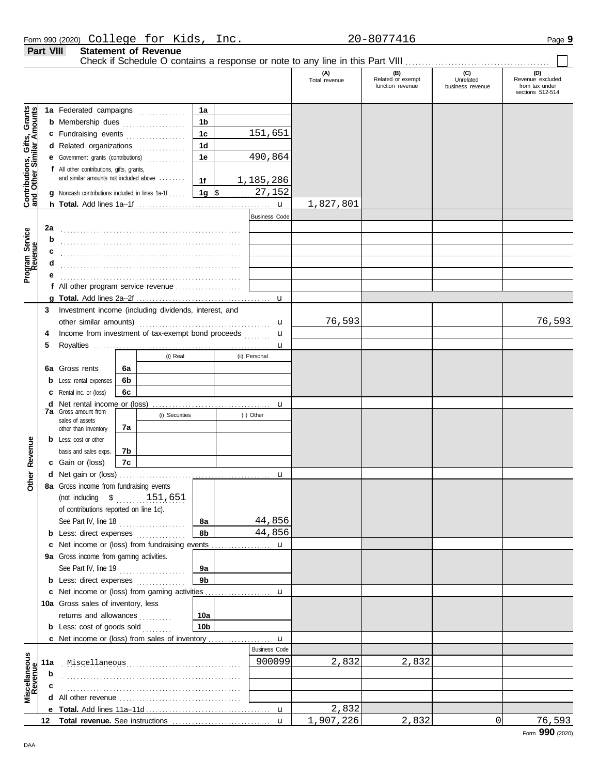|                  | Form $990(2020)$ $Colleqe$  | for | Kids | Inc. | 20-807741<br>2 U | Page: |
|------------------|-----------------------------|-----|------|------|------------------|-------|
| <b>Part VIII</b> | <b>Statement of Revenue</b> |     |      |      |                  |       |

Check if Schedule O contains a response or note to any line in this Part VIII . . . . . . . . . . . . . . . . . . . . . . . . . . . . . . . . . . . . . . . . . . . .

|                                                                  |                      |                                                                   |    |                |                 |       |                      | (A)<br>Total revenue | (B)<br>Related or exempt<br>function revenue | (C)<br>Unrelated<br>business revenue | (D)<br>Revenue excluded<br>from tax under |
|------------------------------------------------------------------|----------------------|-------------------------------------------------------------------|----|----------------|-----------------|-------|----------------------|----------------------|----------------------------------------------|--------------------------------------|-------------------------------------------|
|                                                                  |                      |                                                                   |    |                |                 |       |                      |                      |                                              |                                      | sections 512-514                          |
|                                                                  |                      | 1a Federated campaigns                                            |    |                | 1a              |       |                      |                      |                                              |                                      |                                           |
| <b>Contributions, Gifts, Grants</b><br>and Other Similar Amounts |                      | <b>b</b> Membership dues                                          |    |                | 1b              |       |                      |                      |                                              |                                      |                                           |
|                                                                  |                      |                                                                   |    |                | 1 <sub>c</sub>  |       | 151,651              |                      |                                              |                                      |                                           |
|                                                                  |                      | c Fundraising events<br>1 <sub>d</sub><br>d Related organizations |    |                |                 |       |                      |                      |                                              |                                      |                                           |
|                                                                  |                      | e Government grants (contributions)                               |    |                | 1e              |       | 490,864              |                      |                                              |                                      |                                           |
|                                                                  |                      | f All other contributions, gifts, grants,                         |    |                |                 |       |                      |                      |                                              |                                      |                                           |
|                                                                  |                      | and similar amounts not included above                            |    |                | 1f              |       | 1,185,286            |                      |                                              |                                      |                                           |
|                                                                  |                      | <b>g</b> Noncash contributions included in lines 1a-1f            |    |                | 1g $\sqrt{3}$   |       | 27,152               |                      |                                              |                                      |                                           |
|                                                                  |                      |                                                                   |    |                |                 |       | $\mathbf{u}$         | 1,827,801            |                                              |                                      |                                           |
|                                                                  |                      |                                                                   |    |                |                 |       | <b>Business Code</b> |                      |                                              |                                      |                                           |
| Program Service<br>Revenue                                       | 2a                   |                                                                   |    |                |                 |       |                      |                      |                                              |                                      |                                           |
|                                                                  | b                    |                                                                   |    |                |                 |       |                      |                      |                                              |                                      |                                           |
|                                                                  |                      |                                                                   |    |                |                 |       |                      |                      |                                              |                                      |                                           |
|                                                                  | d                    |                                                                   |    |                |                 |       |                      |                      |                                              |                                      |                                           |
|                                                                  |                      |                                                                   |    |                |                 |       |                      |                      |                                              |                                      |                                           |
|                                                                  |                      |                                                                   |    |                |                 |       |                      |                      |                                              |                                      |                                           |
|                                                                  | 3                    | Investment income (including dividends, interest, and             |    |                |                 |       | u                    |                      |                                              |                                      |                                           |
|                                                                  |                      |                                                                   |    |                |                 |       | u                    | 76,593               |                                              |                                      | 76,593                                    |
|                                                                  | 4                    | Income from investment of tax-exempt bond proceeds                |    |                |                 |       | u<br><u>.</u>        |                      |                                              |                                      |                                           |
|                                                                  | 5                    |                                                                   |    |                |                 |       | u                    |                      |                                              |                                      |                                           |
|                                                                  |                      |                                                                   |    | (i) Real       |                 |       | (ii) Personal        |                      |                                              |                                      |                                           |
|                                                                  |                      | 6a Gross rents                                                    | 6а |                |                 |       |                      |                      |                                              |                                      |                                           |
|                                                                  |                      | Less: rental expenses                                             | 6b |                |                 |       |                      |                      |                                              |                                      |                                           |
|                                                                  |                      | Rental inc. or (loss)                                             | 6с |                |                 |       |                      |                      |                                              |                                      |                                           |
|                                                                  | d                    | Net rental income or (loss)                                       |    |                |                 |       | u                    |                      |                                              |                                      |                                           |
|                                                                  |                      | <b>7a</b> Gross amount from<br>sales of assets                    |    | (i) Securities |                 |       | (ii) Other           |                      |                                              |                                      |                                           |
|                                                                  |                      | other than inventory                                              | 7а |                |                 |       |                      |                      |                                              |                                      |                                           |
|                                                                  |                      | <b>b</b> Less: cost or other                                      |    |                |                 |       |                      |                      |                                              |                                      |                                           |
| Revenue                                                          |                      | basis and sales exps.                                             | 7b |                |                 |       |                      |                      |                                              |                                      |                                           |
|                                                                  |                      | c Gain or (loss)                                                  | 7c |                |                 |       |                      |                      |                                              |                                      |                                           |
| Other                                                            |                      |                                                                   |    |                |                 |       | u                    |                      |                                              |                                      |                                           |
|                                                                  |                      | 8a Gross income from fundraising events                           |    |                |                 |       |                      |                      |                                              |                                      |                                           |
|                                                                  |                      | (not including $$$ 151,651                                        |    |                |                 |       |                      |                      |                                              |                                      |                                           |
|                                                                  |                      | of contributions reported on line 1c).<br>See Part IV, line 18    |    |                | 8а              |       | 44,856               |                      |                                              |                                      |                                           |
|                                                                  |                      | <b>b</b> Less: direct expenses <i>minimum</i>                     |    |                | 8b              |       | 44,856               |                      |                                              |                                      |                                           |
|                                                                  |                      | c Net income or (loss) from fundraising events                    |    |                |                 |       | u                    |                      |                                              |                                      |                                           |
|                                                                  |                      | 9a Gross income from gaming activities.                           |    |                |                 |       |                      |                      |                                              |                                      |                                           |
|                                                                  |                      | See Part IV, line 19                                              |    |                | 9а              |       |                      |                      |                                              |                                      |                                           |
|                                                                  |                      | <b>b</b> Less: direct expenses <i>minimum</i>                     |    |                | 9 <sub>b</sub>  |       |                      |                      |                                              |                                      |                                           |
|                                                                  |                      | c Net income or (loss) from gaming activities                     |    |                |                 |       | u                    |                      |                                              |                                      |                                           |
|                                                                  |                      | 10a Gross sales of inventory, less                                |    |                |                 |       |                      |                      |                                              |                                      |                                           |
|                                                                  |                      | returns and allowances                                            |    |                | 10a             |       |                      |                      |                                              |                                      |                                           |
|                                                                  |                      | <b>b</b> Less: cost of goods sold $\ldots$                        |    |                | 10 <sub>b</sub> |       |                      |                      |                                              |                                      |                                           |
|                                                                  |                      | c Net income or (loss) from sales of inventory                    |    |                |                 |       | $\mathbf u$          |                      |                                              |                                      |                                           |
|                                                                  |                      |                                                                   |    |                |                 |       | <b>Business Code</b> |                      |                                              |                                      |                                           |
|                                                                  | Miscellaneous<br>11a |                                                                   |    |                | 900099          | 2,832 | 2,832                |                      |                                              |                                      |                                           |
| Miscellaneous<br>Revenue                                         | b                    |                                                                   |    |                |                 |       |                      |                      |                                              |                                      |                                           |
|                                                                  |                      |                                                                   |    |                |                 |       |                      |                      |                                              |                                      |                                           |
|                                                                  |                      |                                                                   |    |                |                 |       |                      | 2,832                |                                              |                                      |                                           |
|                                                                  |                      |                                                                   |    |                |                 |       | $\mathbf{u}$         | 1,907,226            | 2,832                                        | 0                                    | 76,593                                    |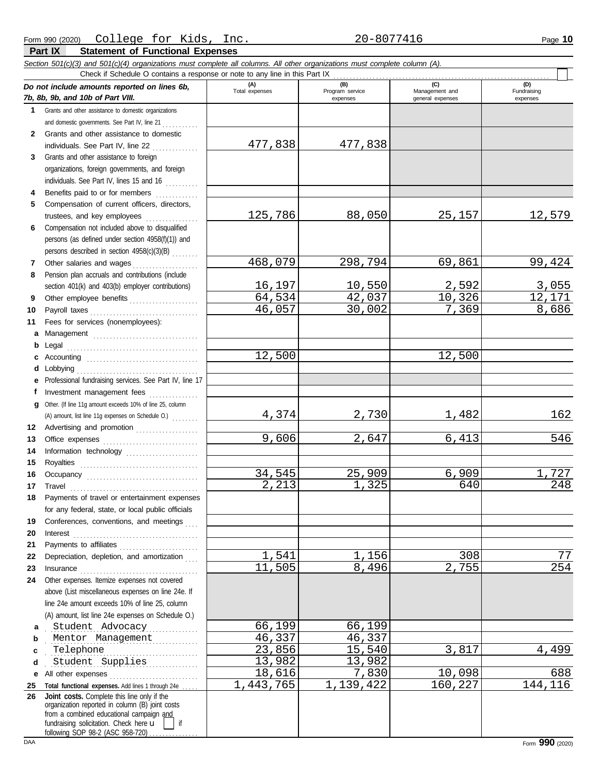|              | Section 501(c)(3) and 501(c)(4) organizations must complete all columns. All other organizations must complete column (A).<br>Check if Schedule O contains a response or note to any line in this Part IX                                                 |                  |                             |                                    |                         |
|--------------|-----------------------------------------------------------------------------------------------------------------------------------------------------------------------------------------------------------------------------------------------------------|------------------|-----------------------------|------------------------------------|-------------------------|
|              | Do not include amounts reported on lines 6b,                                                                                                                                                                                                              | (A)              | (B)                         | (C)                                | (D)                     |
|              | 7b, 8b, 9b, and 10b of Part VIII.                                                                                                                                                                                                                         | Total expenses   | Program service<br>expenses | Management and<br>general expenses | Fundraising<br>expenses |
| $\mathbf{1}$ | Grants and other assistance to domestic organizations                                                                                                                                                                                                     |                  |                             |                                    |                         |
|              | and domestic governments. See Part IV, line 21                                                                                                                                                                                                            |                  |                             |                                    |                         |
| 2            | Grants and other assistance to domestic                                                                                                                                                                                                                   |                  |                             |                                    |                         |
|              | individuals. See Part IV, line 22                                                                                                                                                                                                                         | 477,838          | 477,838                     |                                    |                         |
| 3            | Grants and other assistance to foreign                                                                                                                                                                                                                    |                  |                             |                                    |                         |
|              | organizations, foreign governments, and foreign                                                                                                                                                                                                           |                  |                             |                                    |                         |
|              | individuals. See Part IV, lines 15 and 16                                                                                                                                                                                                                 |                  |                             |                                    |                         |
| 4            | Benefits paid to or for members                                                                                                                                                                                                                           |                  |                             |                                    |                         |
| 5            | Compensation of current officers, directors,                                                                                                                                                                                                              |                  |                             |                                    |                         |
|              | trustees, and key employees                                                                                                                                                                                                                               | 125,786          | 88,050                      | 25, 157                            | <u>12,579</u>           |
| 6            | Compensation not included above to disqualified                                                                                                                                                                                                           |                  |                             |                                    |                         |
|              | persons (as defined under section 4958(f)(1)) and                                                                                                                                                                                                         |                  |                             |                                    |                         |
|              | persons described in section 4958(c)(3)(B)                                                                                                                                                                                                                |                  |                             |                                    |                         |
| 7            | Other salaries and wages<br>.                                                                                                                                                                                                                             | 468,079          | 298,794                     | 69,861                             | 99,424                  |
| 8            | Pension plan accruals and contributions (include                                                                                                                                                                                                          |                  |                             |                                    |                         |
|              | section 401(k) and 403(b) employer contributions)                                                                                                                                                                                                         | 16,197<br>64,534 | 10,550                      | <u>2,592</u><br>10,326             | $\frac{3,055}{12,171}$  |
| 9            | Other employee benefits                                                                                                                                                                                                                                   | 46,057           | 42,037<br>30,002            | 7,369                              | 8,686                   |
| 10           |                                                                                                                                                                                                                                                           |                  |                             |                                    |                         |
| 11           | Fees for services (nonemployees):                                                                                                                                                                                                                         |                  |                             |                                    |                         |
| a            | Management                                                                                                                                                                                                                                                |                  |                             |                                    |                         |
| b<br>c       |                                                                                                                                                                                                                                                           | 12,500           |                             | 12,500                             |                         |
| d            |                                                                                                                                                                                                                                                           |                  |                             |                                    |                         |
| е            | Professional fundraising services. See Part IV, line 17                                                                                                                                                                                                   |                  |                             |                                    |                         |
| f            | Investment management fees                                                                                                                                                                                                                                |                  |                             |                                    |                         |
| g            | Other. (If line 11g amount exceeds 10% of line 25, column                                                                                                                                                                                                 |                  |                             |                                    |                         |
|              |                                                                                                                                                                                                                                                           | 4,374            | 2,730                       | <u>1,482</u>                       | 162                     |
| 12           | Advertising and promotion                                                                                                                                                                                                                                 |                  |                             |                                    |                         |
| 13           |                                                                                                                                                                                                                                                           | 9,606            | 2,647                       | 6,413                              | 546                     |
| 14           | Information technology                                                                                                                                                                                                                                    |                  |                             |                                    |                         |
| 15           |                                                                                                                                                                                                                                                           |                  |                             |                                    |                         |
| 16           |                                                                                                                                                                                                                                                           | 34,545           | 25,909                      | 6,909                              | 1,727                   |
| 17           |                                                                                                                                                                                                                                                           | 2,213            | 1,325                       | 640                                | 248                     |
| 18           | Payments of travel or entertainment expenses                                                                                                                                                                                                              |                  |                             |                                    |                         |
|              | for any federal, state, or local public officials                                                                                                                                                                                                         |                  |                             |                                    |                         |
| 19           | Conferences, conventions, and meetings                                                                                                                                                                                                                    |                  |                             |                                    |                         |
| 20           | $\textbf{Interest} \hspace{0.05in} \ldots \hspace{0.05in} \ldots \hspace{0.05in} \ldots \hspace{0.05in} \ldots \hspace{0.05in} \ldots \hspace{0.05in} \ldots \hspace{0.05in} \ldots \hspace{0.05in} \ldots \hspace{0.05in} \ldots \hspace{0.05in} \ldots$ |                  |                             |                                    |                         |
| 21           |                                                                                                                                                                                                                                                           |                  |                             |                                    |                         |
| 22           | Depreciation, depletion, and amortization                                                                                                                                                                                                                 | 1,541            | 1,156                       | 308                                | 77                      |
| 23           |                                                                                                                                                                                                                                                           | 11,505           | 8,496                       | 2,755                              | 254                     |
| 24           | Other expenses. Itemize expenses not covered                                                                                                                                                                                                              |                  |                             |                                    |                         |
|              | above (List miscellaneous expenses on line 24e. If                                                                                                                                                                                                        |                  |                             |                                    |                         |
|              | line 24e amount exceeds 10% of line 25, column<br>(A) amount, list line 24e expenses on Schedule O.)                                                                                                                                                      |                  |                             |                                    |                         |
|              | Student Advocacy                                                                                                                                                                                                                                          | 66,199           | 66,199                      |                                    |                         |
| a<br>b       | Mentor Management                                                                                                                                                                                                                                         | 46,337           | 46,337                      |                                    |                         |
| c            | Telephone                                                                                                                                                                                                                                                 | 23,856           | 15,540                      | 3,817                              | 4,499                   |
| d            | Student Supplies                                                                                                                                                                                                                                          | 13,982           | 13,982                      |                                    |                         |
| е            |                                                                                                                                                                                                                                                           | 18,616           | 7,830                       | 10,098                             | 688                     |
| 25           | Total functional expenses. Add lines 1 through 24e                                                                                                                                                                                                        | 1,443,765        | 1,139,422                   | 160,227                            | 144,116                 |
| 26           | Joint costs. Complete this line only if the                                                                                                                                                                                                               |                  |                             |                                    |                         |
|              | organization reported in column (B) joint costs                                                                                                                                                                                                           |                  |                             |                                    |                         |
|              | from a combined educational campaign and<br>fundraising solicitation. Check here u<br>$\overline{\phantom{a}}$ if                                                                                                                                         |                  |                             |                                    |                         |
|              | following SOP 98-2 (ASC 958-720)                                                                                                                                                                                                                          |                  |                             |                                    |                         |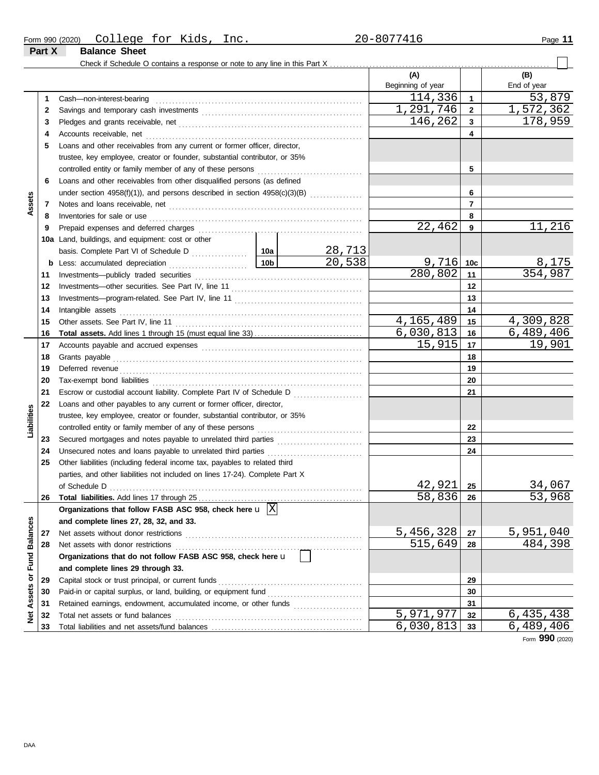| Form 990 (2020) | College              | $+\cap r$<br>⊥∪⊥ | ---<br>inc.<br>Kıds | $20 - 8077$ 411 | . .<br>Page |
|-----------------|----------------------|------------------|---------------------|-----------------|-------------|
| Part X          | <b>Balance Sheet</b> |                  |                     |                 |             |

 $\Box$ 

|                 |     |                                                                                                                                             |                 |        | (A)<br>Beginning of year |                | (B)<br>End of year       |
|-----------------|-----|---------------------------------------------------------------------------------------------------------------------------------------------|-----------------|--------|--------------------------|----------------|--------------------------|
|                 | 1   | Cash-non-interest-bearing                                                                                                                   |                 |        | 114,336                  | 1              | 53,879                   |
|                 | 2   |                                                                                                                                             |                 |        | 1,291,746                | $\mathbf{2}$   | 1,572,362                |
|                 | 3   |                                                                                                                                             |                 |        | 146,262                  | 3              | 178,959                  |
|                 | 4   |                                                                                                                                             |                 |        |                          | 4              |                          |
|                 | 5   | Loans and other receivables from any current or former officer, director,                                                                   |                 |        |                          |                |                          |
|                 |     | trustee, key employee, creator or founder, substantial contributor, or 35%                                                                  |                 |        |                          |                |                          |
|                 |     |                                                                                                                                             |                 |        |                          | 5              |                          |
|                 | 6   | Loans and other receivables from other disqualified persons (as defined                                                                     |                 |        |                          |                |                          |
|                 |     | under section 4958(f)(1)), and persons described in section 4958(c)(3)(B)                                                                   |                 |        |                          | 6              |                          |
| Assets          | 7   |                                                                                                                                             |                 |        |                          | $\overline{7}$ |                          |
|                 | 8   | Inventories for sale or use <i>communication</i> and <i>members</i> for sale or use <i>communication</i> and <i>members</i> for sale or use |                 |        |                          | 8              |                          |
|                 | 9   |                                                                                                                                             |                 |        | 22,462                   | 9              | 11,216                   |
|                 | 10a | Land, buildings, and equipment: cost or other                                                                                               |                 |        |                          |                |                          |
|                 |     |                                                                                                                                             |                 | 28,713 |                          |                |                          |
|                 |     |                                                                                                                                             | 10 <sub>b</sub> | 20,538 | $9,716$ 10c              |                | 8,175                    |
|                 | 11  |                                                                                                                                             |                 |        | 280,802                  | 11             | 354,987                  |
|                 | 12  |                                                                                                                                             |                 |        |                          | 12             |                          |
|                 | 13  |                                                                                                                                             |                 |        |                          | 13             |                          |
|                 | 14  | Intangible assets                                                                                                                           |                 |        |                          | 14             |                          |
|                 | 15  |                                                                                                                                             |                 |        | 4,165,489                | 15             | 4,309,828                |
|                 | 16  |                                                                                                                                             |                 |        | 6,030,813                | 16             | 6,489,406                |
|                 | 17  |                                                                                                                                             |                 |        | 15,915                   | 17             | 19,901                   |
|                 | 18  |                                                                                                                                             |                 |        |                          | 18             |                          |
|                 | 19  |                                                                                                                                             |                 | 19     |                          |                |                          |
|                 | 20  |                                                                                                                                             |                 |        | 20                       |                |                          |
|                 | 21  |                                                                                                                                             |                 |        |                          | 21             |                          |
|                 | 22  | Loans and other payables to any current or former officer, director,                                                                        |                 |        |                          |                |                          |
| Liabilities     |     | trustee, key employee, creator or founder, substantial contributor, or 35%                                                                  |                 |        |                          |                |                          |
|                 |     |                                                                                                                                             |                 |        |                          | 22             |                          |
|                 | 23  |                                                                                                                                             |                 |        |                          | 23             |                          |
|                 | 24  |                                                                                                                                             |                 |        |                          | 24             |                          |
|                 | 25  | Other liabilities (including federal income tax, payables to related third                                                                  |                 |        |                          |                |                          |
|                 |     | parties, and other liabilities not included on lines 17-24). Complete Part X                                                                |                 |        |                          |                |                          |
|                 |     |                                                                                                                                             |                 |        | 42,921                   | 25             | 34,067                   |
|                 | 26  | <b>Total liabilities.</b> Add lines 17 through 25                                                                                           |                 |        | 58,836                   | 26             | $\overline{53}$ ,<br>968 |
|                 |     | Organizations that follow FASB ASC 958, check here $\mathbf{u}$  X                                                                          |                 |        |                          |                |                          |
|                 |     | and complete lines 27, 28, 32, and 33.                                                                                                      |                 |        |                          |                |                          |
| <b>Balances</b> | 27  | Net assets without donor restrictions                                                                                                       |                 |        | 5,456,328                | 27             | 5,951,040                |
|                 | 28  | Net assets with donor restrictions                                                                                                          |                 |        | 515,649                  | 28             | 484,398                  |
| Fund            |     | Organizations that do not follow FASB ASC 958, check here u                                                                                 |                 |        |                          |                |                          |
|                 |     | and complete lines 29 through 33.                                                                                                           |                 |        |                          |                |                          |
| ŏ               | 29  | Capital stock or trust principal, or current funds                                                                                          |                 |        |                          | 29             |                          |
| Assets          | 30  |                                                                                                                                             |                 |        |                          | 30             |                          |
|                 | 31  | Retained earnings, endowment, accumulated income, or other funds                                                                            |                 |        |                          | 31             |                          |
| ğ               | 32  | Total net assets or fund balances                                                                                                           |                 |        | 5,971,977                | 32             | 6,435,438                |
|                 | 33  |                                                                                                                                             |                 |        | 6,030,813                | 33             | 6,489,406                |

Form **990** (2020)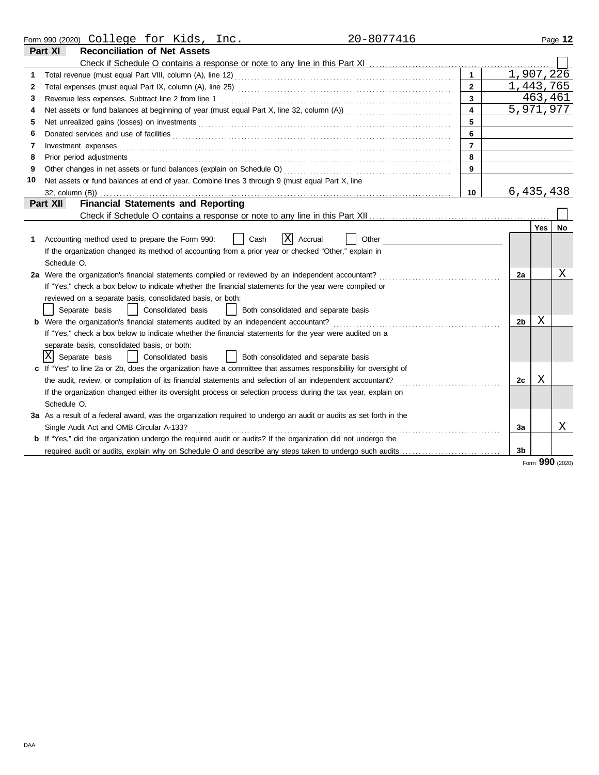|    | 20-8077416<br>Form 990 (2020) College for Kids, Inc.                                                                          |                |                        |         | Page 12   |
|----|-------------------------------------------------------------------------------------------------------------------------------|----------------|------------------------|---------|-----------|
|    | Part XI<br><b>Reconciliation of Net Assets</b>                                                                                |                |                        |         |           |
|    |                                                                                                                               |                |                        |         |           |
| 1  |                                                                                                                               |                | $1,907,2\overline{26}$ |         |           |
| 2  |                                                                                                                               | $\mathbf{2}$   | 1,443,765              |         |           |
| 3  |                                                                                                                               | $\mathbf{3}$   |                        | 463,461 |           |
| 4  |                                                                                                                               | 4              | 5,971,977              |         |           |
| 5  |                                                                                                                               | 5              |                        |         |           |
| 6  | Donated services and use of facilities <b>constructs</b> and the service of the service of the services and use of facilities | 6              |                        |         |           |
| 7  | Investment expenses                                                                                                           | $\overline{7}$ |                        |         |           |
| 8  | Prior period adjustments                                                                                                      | 8              |                        |         |           |
| 9  | Other changes in net assets or fund balances (explain on Schedule O)                                                          | 9              |                        |         |           |
| 10 | Net assets or fund balances at end of year. Combine lines 3 through 9 (must equal Part X, line                                |                |                        |         |           |
|    |                                                                                                                               | 10             | 6,435,438              |         |           |
|    | <b>Financial Statements and Reporting</b><br>Part XII                                                                         |                |                        |         |           |
|    |                                                                                                                               |                |                        |         |           |
|    |                                                                                                                               |                |                        | Yes     | <b>No</b> |
| 1  | X<br>Other<br>Accounting method used to prepare the Form 990:<br>Cash<br>Accrual                                              |                |                        |         |           |
|    | If the organization changed its method of accounting from a prior year or checked "Other," explain in                         |                |                        |         |           |
|    | Schedule O.                                                                                                                   |                |                        |         |           |
|    | 2a Were the organization's financial statements compiled or reviewed by an independent accountant?                            |                | 2a                     |         | Χ         |
|    | If "Yes," check a box below to indicate whether the financial statements for the year were compiled or                        |                |                        |         |           |
|    | reviewed on a separate basis, consolidated basis, or both:                                                                    |                |                        |         |           |
|    | Separate basis<br>Consolidated basis<br>Both consolidated and separate basis<br>$\perp$                                       |                |                        |         |           |
|    | <b>b</b> Were the organization's financial statements audited by an independent accountant?                                   |                | 2b                     | Χ       |           |
|    | If "Yes," check a box below to indicate whether the financial statements for the year were audited on a                       |                |                        |         |           |
|    | separate basis, consolidated basis, or both:                                                                                  |                |                        |         |           |
|    | ΙXΙ<br>Separate basis<br>Consolidated basis<br>  Both consolidated and separate basis                                         |                |                        |         |           |
|    | c If "Yes" to line 2a or 2b, does the organization have a committee that assumes responsibility for oversight of              |                |                        |         |           |
|    | the audit, review, or compilation of its financial statements and selection of an independent accountant?                     |                | 2c                     | Χ       |           |
|    | If the organization changed either its oversight process or selection process during the tax year, explain on                 |                |                        |         |           |
|    | Schedule O.                                                                                                                   |                |                        |         |           |
|    | 3a As a result of a federal award, was the organization required to undergo an audit or audits as set forth in the            |                |                        |         |           |
|    | Single Audit Act and OMB Circular A-133?                                                                                      |                | За                     |         | X         |
|    | <b>b</b> If "Yes," did the organization undergo the required audit or audits? If the organization did not undergo the         |                |                        |         |           |
|    | required audit or audits, explain why on Schedule O and describe any steps taken to undergo such audits                       |                | 3 <sub>b</sub>         |         |           |

Form **990** (2020)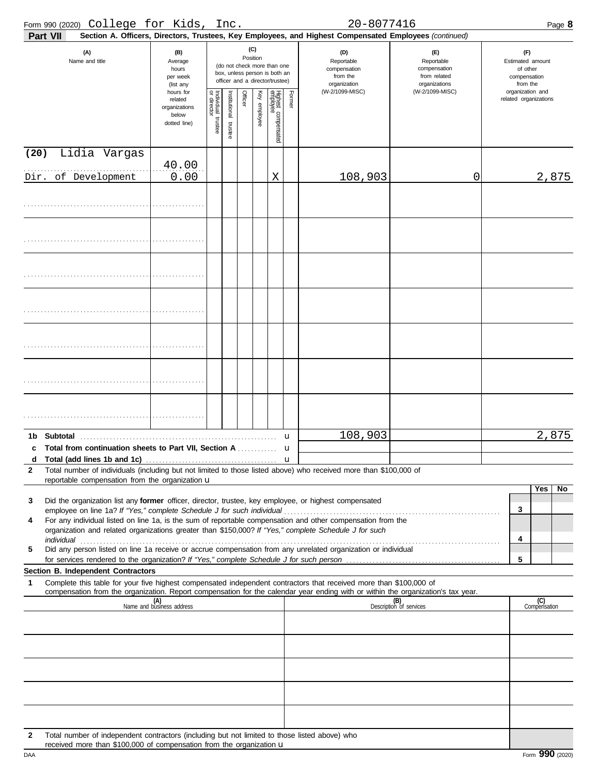|                   | Form 990 (2020) College for Kids, Inc.                                                                                                                                                                                                                 |                                                                |                                                                                                                    |                         |         |              |                                 |        | 20-8077416                                                                                             |                                                                    | Page 8                                                          |
|-------------------|--------------------------------------------------------------------------------------------------------------------------------------------------------------------------------------------------------------------------------------------------------|----------------------------------------------------------------|--------------------------------------------------------------------------------------------------------------------|-------------------------|---------|--------------|---------------------------------|--------|--------------------------------------------------------------------------------------------------------|--------------------------------------------------------------------|-----------------------------------------------------------------|
|                   | <b>Part VII</b>                                                                                                                                                                                                                                        |                                                                |                                                                                                                    |                         |         |              |                                 |        | Section A. Officers, Directors, Trustees, Key Employees, and Highest Compensated Employees (continued) |                                                                    |                                                                 |
|                   | (A)<br>Name and title                                                                                                                                                                                                                                  | (B)<br>Average<br>hours<br>per week<br>(list any               | (C)<br>Position<br>(do not check more than one<br>box, unless person is both an<br>officer and a director/trustee) |                         |         |              |                                 |        | (D)<br>Reportable<br>compensation<br>from the<br>organization                                          | (E)<br>Reportable<br>compensation<br>from related<br>organizations | (F)<br>Estimated amount<br>of other<br>compensation<br>from the |
|                   |                                                                                                                                                                                                                                                        | hours for<br>related<br>organizations<br>below<br>dotted line) | Individual 1<br>or director<br>trustee                                                                             | nstitutional<br>trustee | Officer | Key employee | Highest compensated<br>employee | Former | (W-2/1099-MISC)                                                                                        | (W-2/1099-MISC)                                                    | organization and<br>related organizations                       |
| (20)              | Lidia Vargas                                                                                                                                                                                                                                           |                                                                |                                                                                                                    |                         |         |              |                                 |        |                                                                                                        |                                                                    |                                                                 |
| Dir.              | of Development                                                                                                                                                                                                                                         | 40.00<br>0.00                                                  |                                                                                                                    |                         |         |              | Χ                               |        | 108,903                                                                                                | 0                                                                  | 2,875                                                           |
|                   |                                                                                                                                                                                                                                                        |                                                                |                                                                                                                    |                         |         |              |                                 |        |                                                                                                        |                                                                    |                                                                 |
|                   |                                                                                                                                                                                                                                                        |                                                                |                                                                                                                    |                         |         |              |                                 |        |                                                                                                        |                                                                    |                                                                 |
|                   |                                                                                                                                                                                                                                                        |                                                                |                                                                                                                    |                         |         |              |                                 |        |                                                                                                        |                                                                    |                                                                 |
|                   |                                                                                                                                                                                                                                                        |                                                                |                                                                                                                    |                         |         |              |                                 |        |                                                                                                        |                                                                    |                                                                 |
|                   |                                                                                                                                                                                                                                                        |                                                                |                                                                                                                    |                         |         |              |                                 |        |                                                                                                        |                                                                    |                                                                 |
|                   |                                                                                                                                                                                                                                                        |                                                                |                                                                                                                    |                         |         |              |                                 |        |                                                                                                        |                                                                    |                                                                 |
|                   |                                                                                                                                                                                                                                                        |                                                                |                                                                                                                    |                         |         |              |                                 |        |                                                                                                        |                                                                    |                                                                 |
|                   |                                                                                                                                                                                                                                                        |                                                                |                                                                                                                    |                         |         |              |                                 | u      | 108,903                                                                                                |                                                                    | 2,875                                                           |
|                   | Total from continuation sheets to Part VII, Section A                                                                                                                                                                                                  |                                                                |                                                                                                                    |                         |         |              |                                 | u      |                                                                                                        |                                                                    |                                                                 |
| d<br>$\mathbf{2}$ | Total number of individuals (including but not limited to those listed above) who received more than \$100,000 of                                                                                                                                      |                                                                |                                                                                                                    |                         |         |              |                                 |        |                                                                                                        |                                                                    |                                                                 |
|                   | reportable compensation from the organization u                                                                                                                                                                                                        |                                                                |                                                                                                                    |                         |         |              |                                 |        |                                                                                                        |                                                                    |                                                                 |
| 3                 | Did the organization list any former officer, director, trustee, key employee, or highest compensated                                                                                                                                                  |                                                                |                                                                                                                    |                         |         |              |                                 |        |                                                                                                        |                                                                    | Yes<br>No<br>3                                                  |
| 4                 | For any individual listed on line 1a, is the sum of reportable compensation and other compensation from the<br>organization and related organizations greater than \$150,000? If "Yes," complete Schedule J for such                                   |                                                                |                                                                                                                    |                         |         |              |                                 |        |                                                                                                        |                                                                    | 4                                                               |
| 5                 | Did any person listed on line 1a receive or accrue compensation from any unrelated organization or individual                                                                                                                                          |                                                                |                                                                                                                    |                         |         |              |                                 |        |                                                                                                        |                                                                    | 5                                                               |
|                   | Section B. Independent Contractors                                                                                                                                                                                                                     |                                                                |                                                                                                                    |                         |         |              |                                 |        |                                                                                                        |                                                                    |                                                                 |
| 1                 | Complete this table for your five highest compensated independent contractors that received more than \$100,000 of<br>compensation from the organization. Report compensation for the calendar year ending with or within the organization's tax year. |                                                                |                                                                                                                    |                         |         |              |                                 |        |                                                                                                        |                                                                    |                                                                 |
|                   |                                                                                                                                                                                                                                                        | (A)<br>Name and business address                               |                                                                                                                    |                         |         |              |                                 |        |                                                                                                        | (B)<br>Description of services                                     | (C)<br>Compensation                                             |
|                   |                                                                                                                                                                                                                                                        |                                                                |                                                                                                                    |                         |         |              |                                 |        |                                                                                                        |                                                                    |                                                                 |
|                   |                                                                                                                                                                                                                                                        |                                                                |                                                                                                                    |                         |         |              |                                 |        |                                                                                                        |                                                                    |                                                                 |
|                   |                                                                                                                                                                                                                                                        |                                                                |                                                                                                                    |                         |         |              |                                 |        |                                                                                                        |                                                                    |                                                                 |
|                   |                                                                                                                                                                                                                                                        |                                                                |                                                                                                                    |                         |         |              |                                 |        |                                                                                                        |                                                                    |                                                                 |
| 2                 | Total number of independent contractors (including but not limited to those listed above) who                                                                                                                                                          |                                                                |                                                                                                                    |                         |         |              |                                 |        |                                                                                                        |                                                                    |                                                                 |

received more than \$100,000 of compensation from the organization  $\mathbf u$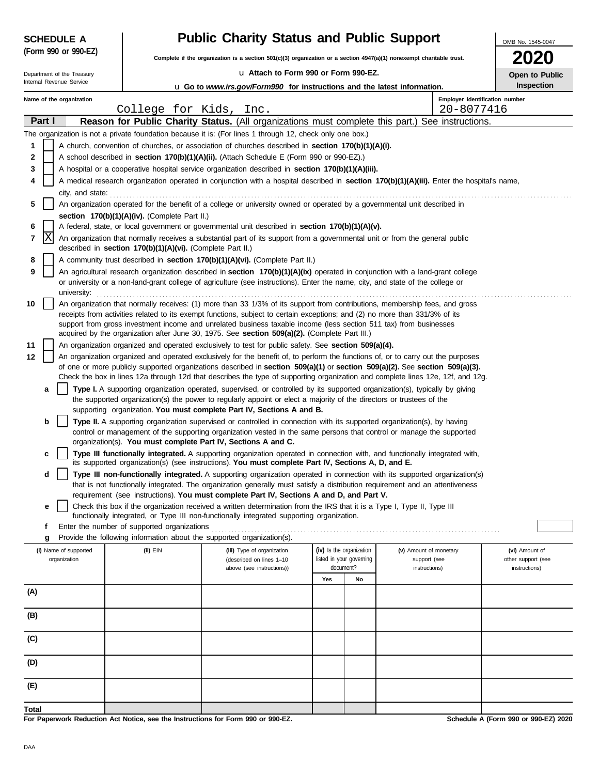| <b>SCHEDULE A</b>          |                                                            | <b>Public Charity Status and Public Support</b><br>OMB No. 1545-0047                                                                                                                                                                                |                                       |                               |                                              |                                      |  |  |  |
|----------------------------|------------------------------------------------------------|-----------------------------------------------------------------------------------------------------------------------------------------------------------------------------------------------------------------------------------------------------|---------------------------------------|-------------------------------|----------------------------------------------|--------------------------------------|--|--|--|
| (Form 990 or 990-EZ)       |                                                            | Complete if the organization is a section $501(c)(3)$ organization or a section $4947(a)(1)$ nonexempt charitable trust.                                                                                                                            |                                       |                               |                                              |                                      |  |  |  |
| Department of the Treasury |                                                            | La Attach to Form 990 or Form 990-EZ.                                                                                                                                                                                                               |                                       |                               |                                              |                                      |  |  |  |
| Internal Revenue Service   |                                                            | <b>u Go to www.irs.gov/Form990 for instructions and the latest information.</b>                                                                                                                                                                     |                                       |                               |                                              | Open to Public<br><b>Inspection</b>  |  |  |  |
| Name of the organization   | College for Kids, Inc.                                     |                                                                                                                                                                                                                                                     |                                       |                               | Employer identification number<br>20-8077416 |                                      |  |  |  |
| Part I                     |                                                            | Reason for Public Charity Status. (All organizations must complete this part.) See instructions.                                                                                                                                                    |                                       |                               |                                              |                                      |  |  |  |
|                            |                                                            | The organization is not a private foundation because it is: (For lines 1 through 12, check only one box.)                                                                                                                                           |                                       |                               |                                              |                                      |  |  |  |
| 1                          |                                                            | A church, convention of churches, or association of churches described in section 170(b)(1)(A)(i).                                                                                                                                                  |                                       |                               |                                              |                                      |  |  |  |
| 2                          |                                                            | A school described in <b>section 170(b)(1)(A)(ii).</b> (Attach Schedule E (Form 990 or 990-EZ).)                                                                                                                                                    |                                       |                               |                                              |                                      |  |  |  |
| 3                          |                                                            | A hospital or a cooperative hospital service organization described in section 170(b)(1)(A)(iii).                                                                                                                                                   |                                       |                               |                                              |                                      |  |  |  |
| 4                          |                                                            | A medical research organization operated in conjunction with a hospital described in section 170(b)(1)(A)(iii). Enter the hospital's name,                                                                                                          |                                       |                               |                                              |                                      |  |  |  |
|                            |                                                            | city, and state: <b>contract and state</b> contract and state of the state of the state of the state of the state of the state of the state of the state of the state of the state of the state of the state of the state of the st                 |                                       |                               |                                              |                                      |  |  |  |
| 5                          |                                                            | An organization operated for the benefit of a college or university owned or operated by a governmental unit described in                                                                                                                           |                                       |                               |                                              |                                      |  |  |  |
|                            | section 170(b)(1)(A)(iv). (Complete Part II.)              |                                                                                                                                                                                                                                                     |                                       |                               |                                              |                                      |  |  |  |
| 6                          |                                                            | A federal, state, or local government or governmental unit described in section 170(b)(1)(A)(v).                                                                                                                                                    |                                       |                               |                                              |                                      |  |  |  |
| X<br>7                     | described in section 170(b)(1)(A)(vi). (Complete Part II.) | An organization that normally receives a substantial part of its support from a governmental unit or from the general public                                                                                                                        |                                       |                               |                                              |                                      |  |  |  |
| 8                          |                                                            | A community trust described in section 170(b)(1)(A)(vi). (Complete Part II.)                                                                                                                                                                        |                                       |                               |                                              |                                      |  |  |  |
| 9                          |                                                            | An agricultural research organization described in section 170(b)(1)(A)(ix) operated in conjunction with a land-grant college                                                                                                                       |                                       |                               |                                              |                                      |  |  |  |
| university:                |                                                            | or university or a non-land-grant college of agriculture (see instructions). Enter the name, city, and state of the college or                                                                                                                      |                                       |                               |                                              |                                      |  |  |  |
| 10                         |                                                            | An organization that normally receives: (1) more than 33 1/3% of its support from contributions, membership fees, and gross                                                                                                                         |                                       |                               |                                              |                                      |  |  |  |
|                            |                                                            | receipts from activities related to its exempt functions, subject to certain exceptions; and (2) no more than 331/3% of its                                                                                                                         |                                       |                               |                                              |                                      |  |  |  |
|                            |                                                            | support from gross investment income and unrelated business taxable income (less section 511 tax) from businesses<br>acquired by the organization after June 30, 1975. See section $509(a)(2)$ . (Complete Part III.)                               |                                       |                               |                                              |                                      |  |  |  |
| 11                         |                                                            | An organization organized and operated exclusively to test for public safety. See section 509(a)(4).                                                                                                                                                |                                       |                               |                                              |                                      |  |  |  |
| 12                         |                                                            | An organization organized and operated exclusively for the benefit of, to perform the functions of, or to carry out the purposes                                                                                                                    |                                       |                               |                                              |                                      |  |  |  |
|                            |                                                            | of one or more publicly supported organizations described in section $509(a)(1)$ or section $509(a)(2)$ . See section $509(a)(3)$ .                                                                                                                 |                                       |                               |                                              |                                      |  |  |  |
|                            |                                                            | Check the box in lines 12a through 12d that describes the type of supporting organization and complete lines 12e, 12f, and 12g.                                                                                                                     |                                       |                               |                                              |                                      |  |  |  |
| a                          |                                                            | Type I. A supporting organization operated, supervised, or controlled by its supported organization(s), typically by giving<br>the supported organization(s) the power to regularly appoint or elect a majority of the directors or trustees of the |                                       |                               |                                              |                                      |  |  |  |
|                            |                                                            | supporting organization. You must complete Part IV, Sections A and B.                                                                                                                                                                               |                                       |                               |                                              |                                      |  |  |  |
| b                          |                                                            | Type II. A supporting organization supervised or controlled in connection with its supported organization(s), by having                                                                                                                             |                                       |                               |                                              |                                      |  |  |  |
|                            |                                                            | control or management of the supporting organization vested in the same persons that control or manage the supported                                                                                                                                |                                       |                               |                                              |                                      |  |  |  |
|                            |                                                            | organization(s). You must complete Part IV, Sections A and C.                                                                                                                                                                                       |                                       |                               |                                              |                                      |  |  |  |
| C                          |                                                            | Type III functionally integrated. A supporting organization operated in connection with, and functionally integrated with,<br>its supported organization(s) (see instructions). You must complete Part IV, Sections A, D, and E.                    |                                       |                               |                                              |                                      |  |  |  |
| d                          |                                                            | Type III non-functionally integrated. A supporting organization operated in connection with its supported organization(s)                                                                                                                           |                                       |                               |                                              |                                      |  |  |  |
|                            |                                                            | that is not functionally integrated. The organization generally must satisfy a distribution requirement and an attentiveness                                                                                                                        |                                       |                               |                                              |                                      |  |  |  |
|                            |                                                            | requirement (see instructions). You must complete Part IV, Sections A and D, and Part V.                                                                                                                                                            |                                       |                               |                                              |                                      |  |  |  |
| е                          |                                                            | Check this box if the organization received a written determination from the IRS that it is a Type I, Type II, Type III<br>functionally integrated, or Type III non-functionally integrated supporting organization.                                |                                       |                               |                                              |                                      |  |  |  |
| f                          | Enter the number of supported organizations                |                                                                                                                                                                                                                                                     |                                       |                               |                                              |                                      |  |  |  |
| g                          |                                                            | Provide the following information about the supported organization(s).                                                                                                                                                                              |                                       |                               |                                              |                                      |  |  |  |
| (i) Name of supported      | (ii) EIN                                                   | (iii) Type of organization                                                                                                                                                                                                                          | (iv) Is the organization              | (v) Amount of monetary        |                                              | (vi) Amount of                       |  |  |  |
| organization               |                                                            | (described on lines 1-10<br>above (see instructions))                                                                                                                                                                                               | listed in your governing<br>document? | support (see<br>instructions) |                                              | other support (see<br>instructions)  |  |  |  |
|                            |                                                            |                                                                                                                                                                                                                                                     | Yes<br>No                             |                               |                                              |                                      |  |  |  |
| (A)                        |                                                            |                                                                                                                                                                                                                                                     |                                       |                               |                                              |                                      |  |  |  |
| (B)                        |                                                            |                                                                                                                                                                                                                                                     |                                       |                               |                                              |                                      |  |  |  |
|                            |                                                            |                                                                                                                                                                                                                                                     |                                       |                               |                                              |                                      |  |  |  |
| (C)                        |                                                            |                                                                                                                                                                                                                                                     |                                       |                               |                                              |                                      |  |  |  |
| (D)                        |                                                            |                                                                                                                                                                                                                                                     |                                       |                               |                                              |                                      |  |  |  |
|                            |                                                            |                                                                                                                                                                                                                                                     |                                       |                               |                                              |                                      |  |  |  |
| (E)                        |                                                            |                                                                                                                                                                                                                                                     |                                       |                               |                                              |                                      |  |  |  |
| Total                      |                                                            |                                                                                                                                                                                                                                                     |                                       |                               |                                              |                                      |  |  |  |
|                            |                                                            | For Paperwork Reduction Act Notice, see the Instructions for Form 990 or 990-EZ.                                                                                                                                                                    |                                       |                               |                                              | Schedule A (Form 990 or 990-EZ) 2020 |  |  |  |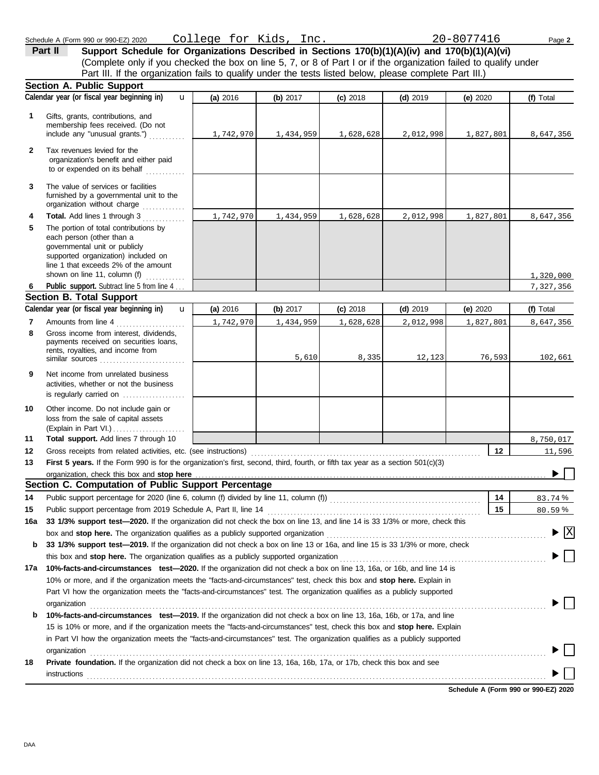(Complete only if you checked the box on line 5, 7, or 8 of Part I or if the organization failed to qualify under Part II Support Schedule for Organizations Described in Sections 170(b)(1)(A)(iv) and 170(b)(1)(A)(vi) Part III. If the organization fails to qualify under the tests listed below, please complete Part III.)

|              | <b>Section A. Public Support</b>                                                                                                                                                                                                          |           |           |            |            |           |                         |
|--------------|-------------------------------------------------------------------------------------------------------------------------------------------------------------------------------------------------------------------------------------------|-----------|-----------|------------|------------|-----------|-------------------------|
|              | Calendar year (or fiscal year beginning in)<br>$\mathbf{u}$                                                                                                                                                                               | (a) 2016  | (b) 2017  | $(c)$ 2018 | $(d)$ 2019 | (e) 2020  | (f) Total               |
| 1.           | Gifts, grants, contributions, and<br>membership fees received. (Do not<br>include any "unusual grants.")                                                                                                                                  | 1,742,970 | 1,434,959 | 1,628,628  | 2,012,998  | 1,827,801 | 8,647,356               |
| $\mathbf{2}$ | Tax revenues levied for the<br>organization's benefit and either paid<br>to or expended on its behalf<br>                                                                                                                                 |           |           |            |            |           |                         |
| 3            | The value of services or facilities<br>furnished by a governmental unit to the<br>organization without charge                                                                                                                             |           |           |            |            |           |                         |
| 4<br>5       | <b>Total.</b> Add lines 1 through 3<br>The portion of total contributions by<br>each person (other than a<br>governmental unit or publicly<br>supported organization) included on<br>line 1 that exceeds 2% of the amount                 | 1,742,970 | 1,434,959 | 1,628,628  | 2,012,998  | 1,827,801 | 8,647,356               |
|              | shown on line 11, column (f) $\ldots$                                                                                                                                                                                                     |           |           |            |            |           | 1,320,000               |
| 6            | Public support. Subtract line 5 from line 4.                                                                                                                                                                                              |           |           |            |            |           | 7,327,356               |
|              | <b>Section B. Total Support</b>                                                                                                                                                                                                           |           |           |            |            |           |                         |
|              | Calendar year (or fiscal year beginning in)<br>$\mathbf{u}$                                                                                                                                                                               | (a) 2016  | (b) 2017  | $(c)$ 2018 | $(d)$ 2019 | (e) 2020  | (f) Total               |
| 7            | Amounts from line 4<br>.                                                                                                                                                                                                                  | 1,742,970 | 1,434,959 | 1,628,628  | 2,012,998  | 1,827,801 | 8,647,356               |
| 8            | Gross income from interest, dividends,<br>payments received on securities loans,<br>rents, royalties, and income from<br>similar sources                                                                                                  |           | 5,610     | 8,335      | 12,123     | 76,593    | 102,661                 |
| 9            | Net income from unrelated business<br>activities, whether or not the business<br>is regularly carried on                                                                                                                                  |           |           |            |            |           |                         |
| 10           | Other income. Do not include gain or<br>loss from the sale of capital assets                                                                                                                                                              |           |           |            |            |           |                         |
| 11           | Total support. Add lines 7 through 10                                                                                                                                                                                                     |           |           |            |            |           | 8,750,017               |
| 12           |                                                                                                                                                                                                                                           |           |           |            |            | 12        | 11,596                  |
| 13           | First 5 years. If the Form 990 is for the organization's first, second, third, fourth, or fifth tax year as a section 501(c)(3)                                                                                                           |           |           |            |            |           |                         |
|              | organization, check this box and stop here                                                                                                                                                                                                |           |           |            |            |           |                         |
|              | Section C. Computation of Public Support Percentage                                                                                                                                                                                       |           |           |            |            |           |                         |
| 14           |                                                                                                                                                                                                                                           |           |           |            |            | 14        | 83.74%                  |
| 15           |                                                                                                                                                                                                                                           |           |           |            |            | 15        | 80.59%                  |
| 16a          | 33 1/3% support test-2020. If the organization did not check the box on line 13, and line 14 is 33 1/3% or more, check this                                                                                                               |           |           |            |            |           |                         |
|              | box and stop here. The organization qualifies as a publicly supported organization                                                                                                                                                        |           |           |            |            |           | $\overline{\mathbf{X}}$ |
| b            | 33 1/3% support test-2019. If the organization did not check a box on line 13 or 16a, and line 15 is 33 1/3% or more, check                                                                                                               |           |           |            |            |           |                         |
|              |                                                                                                                                                                                                                                           |           |           |            |            |           |                         |
| 17a          | 10%-facts-and-circumstances test-2020. If the organization did not check a box on line 13, 16a, or 16b, and line 14 is                                                                                                                    |           |           |            |            |           |                         |
|              | 10% or more, and if the organization meets the "facts-and-circumstances" test, check this box and stop here. Explain in                                                                                                                   |           |           |            |            |           |                         |
|              | Part VI how the organization meets the "facts-and-circumstances" test. The organization qualifies as a publicly supported                                                                                                                 |           |           |            |            |           |                         |
|              | organization<br>10%-facts-and-circumstances test-2019. If the organization did not check a box on line 13, 16a, 16b, or 17a, and line                                                                                                     |           |           |            |            |           |                         |
| b            |                                                                                                                                                                                                                                           |           |           |            |            |           |                         |
|              | 15 is 10% or more, and if the organization meets the "facts-and-circumstances" test, check this box and stop here. Explain                                                                                                                |           |           |            |            |           |                         |
|              | in Part VI how the organization meets the "facts-and-circumstances" test. The organization qualifies as a publicly supported                                                                                                              |           |           |            |            |           |                         |
| 18           | organization www.commutation.com/www.commutation.com/www.commutation.com/www.commutation.com/www.commutation.com<br>Private foundation. If the organization did not check a box on line 13, 16a, 16b, 17a, or 17b, check this box and see |           |           |            |            |           |                         |
|              |                                                                                                                                                                                                                                           |           |           |            |            |           |                         |
|              | instructions                                                                                                                                                                                                                              |           |           |            |            |           |                         |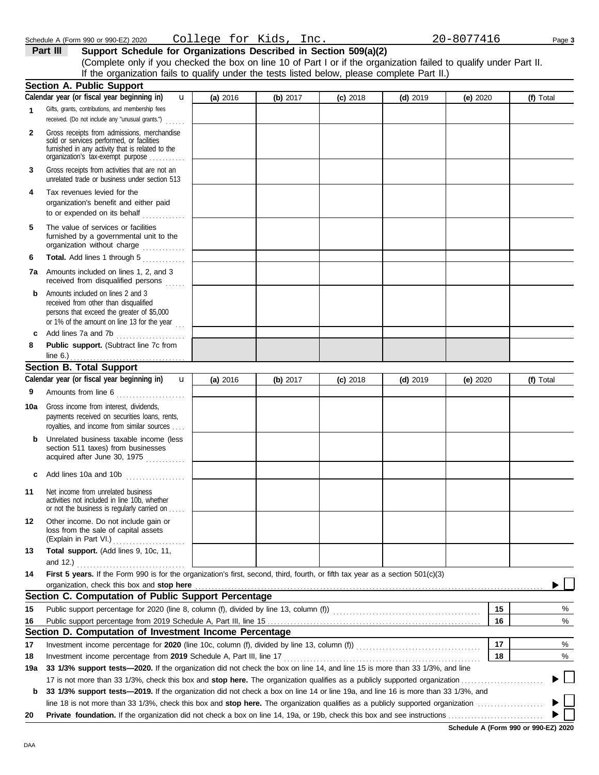| Schedule A (Form 990 or 990-EZ) 2020 | Kıds<br>$\sim$ $\sim$<br>aae.<br>◡ | 117<br>⊤ ∩ د .<br>20.<br>Inc.<br>nu. | Page 3 |
|--------------------------------------|------------------------------------|--------------------------------------|--------|
|                                      |                                    |                                      |        |

**Part III Support Schedule for Organizations Described in Section 509(a)(2)** (Complete only if you checked the box on line 10 of Part I or if the organization failed to qualify under Part II. If the organization fails to qualify under the tests listed below, please complete Part II.)

|     | <b>Section A. Public Support</b>                                                                                                                                                  |          |          |            |            |            |           |
|-----|-----------------------------------------------------------------------------------------------------------------------------------------------------------------------------------|----------|----------|------------|------------|------------|-----------|
|     | Calendar year (or fiscal year beginning in)<br>u                                                                                                                                  | (a) 2016 | (b) 2017 | $(c)$ 2018 | $(d)$ 2019 | (e) $2020$ | (f) Total |
| 1   | Gifts, grants, contributions, and membership fees<br>received. (Do not include any "unusual grants.")<br>.                                                                        |          |          |            |            |            |           |
| 2   | Gross receipts from admissions, merchandise<br>sold or services performed, or facilities<br>furnished in any activity that is related to the<br>organization's tax-exempt purpose |          |          |            |            |            |           |
| 3   | Gross receipts from activities that are not an<br>unrelated trade or business under section 513                                                                                   |          |          |            |            |            |           |
| 4   | Tax revenues levied for the<br>organization's benefit and either paid<br>to or expended on its behalf                                                                             |          |          |            |            |            |           |
| 5   | The value of services or facilities<br>furnished by a governmental unit to the<br>organization without charge                                                                     |          |          |            |            |            |           |
| 6   | Total. Add lines 1 through 5                                                                                                                                                      |          |          |            |            |            |           |
| 7a  | Amounts included on lines 1, 2, and 3<br>received from disqualified persons                                                                                                       |          |          |            |            |            |           |
| b   | Amounts included on lines 2 and 3<br>received from other than disqualified<br>persons that exceed the greater of \$5,000<br>or 1% of the amount on line 13 for the year $\ldots$  |          |          |            |            |            |           |
| c   | Add lines 7a and 7b                                                                                                                                                               |          |          |            |            |            |           |
| 8   | Public support. (Subtract line 7c from                                                                                                                                            |          |          |            |            |            |           |
|     | line $6.$ )                                                                                                                                                                       |          |          |            |            |            |           |
|     | <b>Section B. Total Support</b>                                                                                                                                                   |          |          |            |            |            |           |
|     | Calendar year (or fiscal year beginning in)<br>$\mathbf{u}$                                                                                                                       | (a) 2016 | (b) 2017 | $(c)$ 2018 | $(d)$ 2019 | (e) $2020$ | (f) Total |
| 9   | Amounts from line 6                                                                                                                                                               |          |          |            |            |            |           |
| 10a | Gross income from interest, dividends,<br>payments received on securities loans, rents,<br>royalties, and income from similar sources                                             |          |          |            |            |            |           |
| b   | Unrelated business taxable income (less<br>section 511 taxes) from businesses<br>acquired after June 30, 1975                                                                     |          |          |            |            |            |           |
| c   | Add lines 10a and 10b                                                                                                                                                             |          |          |            |            |            |           |
| 11  | Net income from unrelated business<br>activities not included in line 10b, whether<br>or not the business is regularly carried on                                                 |          |          |            |            |            |           |
| 12  | Other income. Do not include gain or<br>loss from the sale of capital assets<br>(Explain in Part VI.)                                                                             |          |          |            |            |            |           |
| 13  | Total support. (Add lines 9, 10c, 11,                                                                                                                                             |          |          |            |            |            |           |
| 14  | and 12.) $\ldots$<br>First 5 years. If the Form 990 is for the organization's first, second, third, fourth, or fifth tax year as a section 501(c)(3)                              |          |          |            |            |            |           |
|     | organization, check this box and stop here                                                                                                                                        |          |          |            |            |            |           |
|     | Section C. Computation of Public Support Percentage                                                                                                                               |          |          |            |            |            |           |
| 15  | Public support percentage for 2020 (line 8, column (f), divided by line 13, column (f)) [[[[[[[[[[[[[[[[[[[[[                                                                     |          |          |            |            | 15         | %         |
| 16  |                                                                                                                                                                                   |          |          |            |            | 16         | %         |
|     | Section D. Computation of Investment Income Percentage                                                                                                                            |          |          |            |            |            |           |
| 17  |                                                                                                                                                                                   |          |          |            |            | 17         | %         |
| 18  | Investment income percentage from 2019 Schedule A, Part III, line 17                                                                                                              |          |          |            |            | 18         | %         |
| 19a | 33 1/3% support tests—2020. If the organization did not check the box on line 14, and line 15 is more than 33 1/3%, and line                                                      |          |          |            |            |            |           |
|     |                                                                                                                                                                                   |          |          |            |            |            |           |
| b   | 33 1/3% support tests—2019. If the organization did not check a box on line 14 or line 19a, and line 16 is more than 33 1/3%, and                                                 |          |          |            |            |            |           |
|     | line 18 is not more than 33 1/3%, check this box and stop here. The organization qualifies as a publicly supported organization $\ldots$                                          |          |          |            |            |            |           |
| 20  |                                                                                                                                                                                   |          |          |            |            |            |           |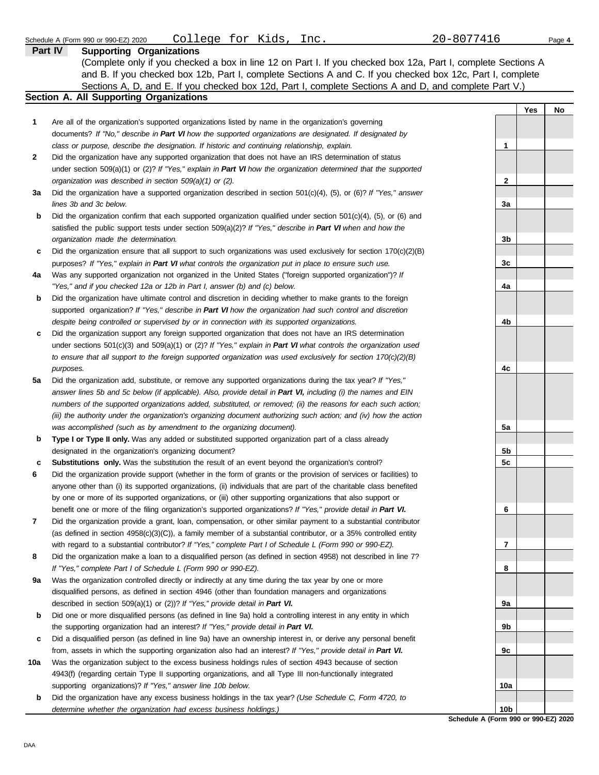|     | College for Kids, Inc.<br>Schedule A (Form 990 or 990-EZ) 2020                                                      | 20-8077416      | Page 4 |
|-----|---------------------------------------------------------------------------------------------------------------------|-----------------|--------|
|     | Part IV<br><b>Supporting Organizations</b>                                                                          |                 |        |
|     | (Complete only if you checked a box in line 12 on Part I. If you checked box 12a, Part I, complete Sections A       |                 |        |
|     | and B. If you checked box 12b, Part I, complete Sections A and C. If you checked box 12c, Part I, complete          |                 |        |
|     |                                                                                                                     |                 |        |
|     | Sections A, D, and E. If you checked box 12d, Part I, complete Sections A and D, and complete Part V.)              |                 |        |
|     | Section A. All Supporting Organizations                                                                             |                 |        |
|     |                                                                                                                     | Yes             | No     |
| 1   | Are all of the organization's supported organizations listed by name in the organization's governing                |                 |        |
|     | documents? If "No," describe in Part VI how the supported organizations are designated. If designated by            |                 |        |
|     | class or purpose, describe the designation. If historic and continuing relationship, explain.                       | 1               |        |
| 2   | Did the organization have any supported organization that does not have an IRS determination of status              |                 |        |
|     | under section 509(a)(1) or (2)? If "Yes," explain in Part VI how the organization determined that the supported     |                 |        |
|     | organization was described in section 509(a)(1) or (2).                                                             | 2               |        |
| За  | Did the organization have a supported organization described in section $501(c)(4)$ , (5), or (6)? If "Yes," answer |                 |        |
|     | lines 3b and 3c below.                                                                                              | 3a              |        |
| b   | Did the organization confirm that each supported organization qualified under section $501(c)(4)$ , (5), or (6) and |                 |        |
|     | satisfied the public support tests under section $509(a)(2)?$ If "Yes," describe in Part VI when and how the        |                 |        |
|     | organization made the determination.                                                                                | 3b              |        |
|     |                                                                                                                     |                 |        |
| c   | Did the organization ensure that all support to such organizations was used exclusively for section $170(c)(2)(B)$  |                 |        |
|     | purposes? If "Yes," explain in Part VI what controls the organization put in place to ensure such use.              | 3c              |        |
| 4a  | Was any supported organization not organized in the United States ("foreign supported organization")? If            |                 |        |
|     | "Yes," and if you checked 12a or 12b in Part I, answer (b) and (c) below.                                           | 4a              |        |
| b   | Did the organization have ultimate control and discretion in deciding whether to make grants to the foreign         |                 |        |
|     | supported organization? If "Yes," describe in Part VI how the organization had such control and discretion          |                 |        |
|     | despite being controlled or supervised by or in connection with its supported organizations.                        | 4b              |        |
| c   | Did the organization support any foreign supported organization that does not have an IRS determination             |                 |        |
|     | under sections $501(c)(3)$ and $509(a)(1)$ or (2)? If "Yes," explain in Part VI what controls the organization used |                 |        |
|     | to ensure that all support to the foreign supported organization was used exclusively for section $170(c)(2)(B)$    |                 |        |
|     | purposes.                                                                                                           | 4c              |        |
| 5a  | Did the organization add, substitute, or remove any supported organizations during the tax year? If "Yes,"          |                 |        |
|     | answer lines 5b and 5c below (if applicable). Also, provide detail in Part VI, including (i) the names and EIN      |                 |        |
|     | numbers of the supported organizations added, substituted, or removed; (ii) the reasons for each such action;       |                 |        |
|     | (iii) the authority under the organization's organizing document authorizing such action; and (iv) how the action   |                 |        |
|     | was accomplished (such as by amendment to the organizing document).                                                 | 5a              |        |
|     |                                                                                                                     |                 |        |
| b   | Type I or Type II only. Was any added or substituted supported organization part of a class already                 |                 |        |
|     | designated in the organization's organizing document?                                                               | 5b              |        |
| c   | Substitutions only. Was the substitution the result of an event beyond the organization's control?                  | 5c              |        |
| 6   | Did the organization provide support (whether in the form of grants or the provision of services or facilities) to  |                 |        |
|     | anyone other than (i) its supported organizations, (ii) individuals that are part of the charitable class benefited |                 |        |
|     | by one or more of its supported organizations, or (iii) other supporting organizations that also support or         |                 |        |
|     | benefit one or more of the filing organization's supported organizations? If "Yes," provide detail in Part VI.      | 6               |        |
| 7   | Did the organization provide a grant, loan, compensation, or other similar payment to a substantial contributor     |                 |        |
|     | (as defined in section $4958(c)(3)(C)$ ), a family member of a substantial contributor, or a 35% controlled entity  |                 |        |
|     | with regard to a substantial contributor? If "Yes," complete Part I of Schedule L (Form 990 or 990-EZ).             | 7               |        |
| 8   | Did the organization make a loan to a disqualified person (as defined in section 4958) not described in line 7?     |                 |        |
|     | If "Yes," complete Part I of Schedule L (Form 990 or 990-EZ).                                                       | 8               |        |
| 9а  | Was the organization controlled directly or indirectly at any time during the tax year by one or more               |                 |        |
|     | disqualified persons, as defined in section 4946 (other than foundation managers and organizations                  |                 |        |
|     | described in section 509(a)(1) or (2))? If "Yes," provide detail in Part VI.                                        | 9a              |        |
| b   | Did one or more disqualified persons (as defined in line 9a) hold a controlling interest in any entity in which     |                 |        |
|     | the supporting organization had an interest? If "Yes," provide detail in Part VI.                                   | 9b              |        |
|     | Did a disqualified person (as defined in line 9a) have an ownership interest in, or derive any personal benefit     |                 |        |
| c   |                                                                                                                     |                 |        |
|     | from, assets in which the supporting organization also had an interest? If "Yes," provide detail in Part VI.        | 9c              |        |
| 10a | Was the organization subject to the excess business holdings rules of section 4943 because of section               |                 |        |
|     | 4943(f) (regarding certain Type II supporting organizations, and all Type III non-functionally integrated           |                 |        |
|     | supporting organizations)? If "Yes," answer line 10b below.                                                         | 10a             |        |
| b   | Did the organization have any excess business holdings in the tax year? (Use Schedule C, Form 4720, to              |                 |        |
|     | determine whether the organization had excess business holdings.)                                                   | 10 <sub>b</sub> |        |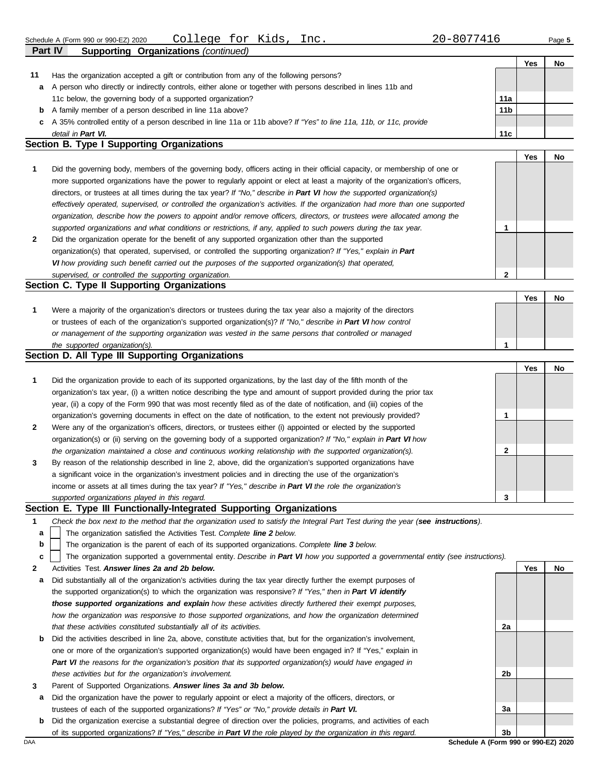|                                            | Part IV<br>Supporting Organizations (continued)                                                                    |                 |     |           |  |  |
|--------------------------------------------|--------------------------------------------------------------------------------------------------------------------|-----------------|-----|-----------|--|--|
|                                            |                                                                                                                    |                 | Yes | No        |  |  |
| 11                                         | Has the organization accepted a gift or contribution from any of the following persons?                            |                 |     |           |  |  |
| a                                          | A person who directly or indirectly controls, either alone or together with persons described in lines 11b and     |                 |     |           |  |  |
|                                            | 11c below, the governing body of a supported organization?                                                         | 11a             |     |           |  |  |
| b                                          | A family member of a person described in line 11a above?                                                           | 11 <sub>b</sub> |     |           |  |  |
| c                                          | A 35% controlled entity of a person described in line 11a or 11b above? If "Yes" to line 11a, 11b, or 11c, provide |                 |     |           |  |  |
|                                            | detail in Part VI.                                                                                                 | 11c             |     |           |  |  |
| Section B. Type I Supporting Organizations |                                                                                                                    |                 |     |           |  |  |
|                                            |                                                                                                                    |                 | Yes | <b>No</b> |  |  |
|                                            |                                                                                                                    |                 |     |           |  |  |

| $\mathbf{1}$   | Did the governing body, members of the governing body, officers acting in their official capacity, or membership of one or     |
|----------------|--------------------------------------------------------------------------------------------------------------------------------|
|                | more supported organizations have the power to regularly appoint or elect at least a majority of the organization's officers,  |
|                | directors, or trustees at all times during the tax year? If "No," describe in Part VI how the supported organization(s)        |
|                | effectively operated, supervised, or controlled the organization's activities. If the organization had more than one supported |
|                | organization, describe how the powers to appoint and/or remove officers, directors, or trustees were allocated among the       |
|                | supported organizations and what conditions or restrictions, if any, applied to such powers during the tax year.               |
| $\overline{2}$ | Did the organization operate for the benefit of any supported organization other than the supported                            |

| <u>Providence and and the computer of the context of any adoptation and context and copported</u>               |  |  |  |  |  |
|-----------------------------------------------------------------------------------------------------------------|--|--|--|--|--|
| organization(s) that operated, supervised, or controlled the supporting organization? If "Yes," explain in Part |  |  |  |  |  |
| VI how providing such benefit carried out the purposes of the supported organization(s) that operated,          |  |  |  |  |  |
| supervised, or controlled the supporting organization.                                                          |  |  |  |  |  |
| <b>Section C. Type II Supporting Organizations</b>                                                              |  |  |  |  |  |

|  | Were a majority of the organization's directors or trustees during the tax year also a majority of the directors |  |  |  |  |  |  |  |
|--|------------------------------------------------------------------------------------------------------------------|--|--|--|--|--|--|--|
|  | or trustees of each of the organization's supported organization(s)? If "No," describe in Part VI how control    |  |  |  |  |  |  |  |
|  | or management of the supporting organization was vested in the same persons that controlled or managed           |  |  |  |  |  |  |  |
|  | the supported organization(s).                                                                                   |  |  |  |  |  |  |  |

## **Section D. All Type III Supporting Organizations**

|              |                                                                                                                        |   | Yes | No |
|--------------|------------------------------------------------------------------------------------------------------------------------|---|-----|----|
| 1            | Did the organization provide to each of its supported organizations, by the last day of the fifth month of the         |   |     |    |
|              | organization's tax year, (i) a written notice describing the type and amount of support provided during the prior tax  |   |     |    |
|              | year, (ii) a copy of the Form 990 that was most recently filed as of the date of notification, and (iii) copies of the |   |     |    |
|              | organization's governing documents in effect on the date of notification, to the extent not previously provided?       |   |     |    |
| $\mathbf{2}$ | Were any of the organization's officers, directors, or trustees either (i) appointed or elected by the supported       |   |     |    |
|              | organization(s) or (ii) serving on the governing body of a supported organization? If "No," explain in Part VI how     |   |     |    |
|              | the organization maintained a close and continuous working relationship with the supported organization(s).            | 2 |     |    |
| $\mathbf{3}$ | By reason of the relationship described in line 2, above, did the organization's supported organizations have          |   |     |    |
|              | a significant voice in the organization's investment policies and in directing the use of the organization's           |   |     |    |
|              | income or assets at all times during the tax year? If "Yes," describe in Part VI the role the organization's           |   |     |    |
|              | supported organizations played in this regard.                                                                         | 3 |     |    |

#### **Section E. Type III Functionally-Integrated Supporting Organizations**

| Check the box next to the method that the organization used to satisfy the Integral Part Test during the year (see instructions). |  |  |
|-----------------------------------------------------------------------------------------------------------------------------------|--|--|
|                                                                                                                                   |  |  |

The organization satisfied the Activities Test. *Complete line 2 below.* **a**

The organization is the parent of each of its supported organizations. *Complete line 3 below.* **b**

The organization supported a governmental entity. *Describe in Part VI how you supported a governmental entity (see instructions).* **c**

- **2** Activities Test. *Answer lines 2a and 2b below.*
- **a** Did substantially all of the organization's activities during the tax year directly further the exempt purposes of the supported organization(s) to which the organization was responsive? *If "Yes," then in Part VI identify those supported organizations and explain how these activities directly furthered their exempt purposes,*  how the organization was responsive to those supported organizations, and how the organization determined *that these activities constituted substantially all of its activities.*
- **b** Did the activities described in line 2a, above, constitute activities that, but for the organization's involvement, one or more of the organization's supported organization(s) would have been engaged in? If "Yes," explain in *Part VI the reasons for the organization's position that its supported organization(s) would have engaged in these activities but for the organization's involvement.*
- **3** Parent of Supported Organizations. *Answer lines 3a and 3b below.*
- **a** Did the organization have the power to regularly appoint or elect a majority of the officers, directors, or trustees of each of the supported organizations? *If "Yes" or "No," provide details in Part VI.*
- **b** Did the organization exercise a substantial degree of direction over the policies, programs, and activities of each of its supported organizations? *If "Yes," describe in Part VI the role played by the organization in this regard.*

**Yes No 2a 2b 3a 3b**

**2**

**1**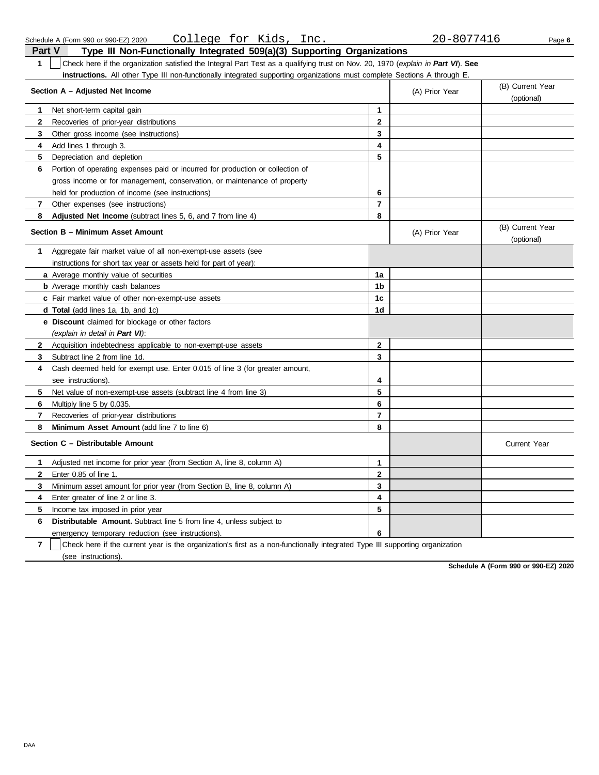DAA

| Section A - Adjusted Net Income |                                                                                |                | (A) Prior Year | (B) Current Year<br>(optional) |
|---------------------------------|--------------------------------------------------------------------------------|----------------|----------------|--------------------------------|
| 1.                              | Net short-term capital gain                                                    | $\mathbf{1}$   |                |                                |
| $\mathbf{2}$                    | Recoveries of prior-year distributions                                         | $\mathbf{2}$   |                |                                |
| 3                               | Other gross income (see instructions)                                          | 3              |                |                                |
| 4                               | Add lines 1 through 3.                                                         | 4              |                |                                |
| 5                               | Depreciation and depletion                                                     | 5              |                |                                |
| 6                               | Portion of operating expenses paid or incurred for production or collection of |                |                |                                |
|                                 | gross income or for management, conservation, or maintenance of property       |                |                |                                |
|                                 | held for production of income (see instructions)                               | 6              |                |                                |
| $\overline{7}$                  | Other expenses (see instructions)                                              | $\overline{7}$ |                |                                |
| 8                               | Adjusted Net Income (subtract lines 5, 6, and 7 from line 4)                   | 8              |                |                                |
|                                 | Section B - Minimum Asset Amount                                               |                | (A) Prior Year | (B) Current Year<br>(optional) |
| 1                               | Aggregate fair market value of all non-exempt-use assets (see                  |                |                |                                |
|                                 | instructions for short tax year or assets held for part of year):              |                |                |                                |
|                                 | a Average monthly value of securities                                          | 1a             |                |                                |
|                                 | <b>b</b> Average monthly cash balances                                         | 1b             |                |                                |
|                                 | c Fair market value of other non-exempt-use assets                             | 1c             |                |                                |
|                                 | <b>d Total</b> (add lines 1a, 1b, and 1c)                                      | 1d             |                |                                |
|                                 | e Discount claimed for blockage or other factors                               |                |                |                                |
|                                 | (explain in detail in Part VI):                                                |                |                |                                |
| $\mathbf{2}$                    | Acquisition indebtedness applicable to non-exempt-use assets                   | $\mathbf{2}$   |                |                                |
| 3                               | Subtract line 2 from line 1d.                                                  | 3              |                |                                |
| 4                               | Cash deemed held for exempt use. Enter 0.015 of line 3 (for greater amount,    |                |                |                                |
|                                 | see instructions).                                                             | 4              |                |                                |
| 5                               | Net value of non-exempt-use assets (subtract line 4 from line 3)               | 5              |                |                                |
| 6                               | Multiply line 5 by 0.035.                                                      | 6              |                |                                |
| 7                               | Recoveries of prior-year distributions                                         | $\overline{7}$ |                |                                |
| 8                               | Minimum Asset Amount (add line 7 to line 6)                                    | 8              |                |                                |
|                                 | Section C - Distributable Amount                                               |                |                | <b>Current Year</b>            |
| 1                               | Adjusted net income for prior year (from Section A, line 8, column A)          | 1              |                |                                |
| $\mathbf{2}$                    | Enter 0.85 of line 1.                                                          | $\mathbf{2}$   |                |                                |
| 3                               | Minimum asset amount for prior year (from Section B, line 8, column A)         | 3              |                |                                |
| 4                               | Enter greater of line 2 or line 3.                                             | 4              |                |                                |
| 5                               | Income tax imposed in prior year                                               | 5              |                |                                |
| 6                               | <b>Distributable Amount.</b> Subtract line 5 from line 4, unless subject to    |                |                |                                |
|                                 | emergency temporary reduction (see instructions).                              | 6              |                |                                |

**7** (see instructions). Check here if the current year is the organization's first as a non-functionally integrated Type III supporting organization

**Schedule A (Form 990 or 990-EZ) 2020**

**Part V Type III Non-Functionally Integrated 509(a)(3) Supporting Organizations 1** Check here if the organization satisfied the Integral Part Test as a qualifying trust on Nov. 20, 1970 (*explain in Part VI*). **See instructions.** All other Type III non-functionally integrated supporting organizations must complete Sections A through E.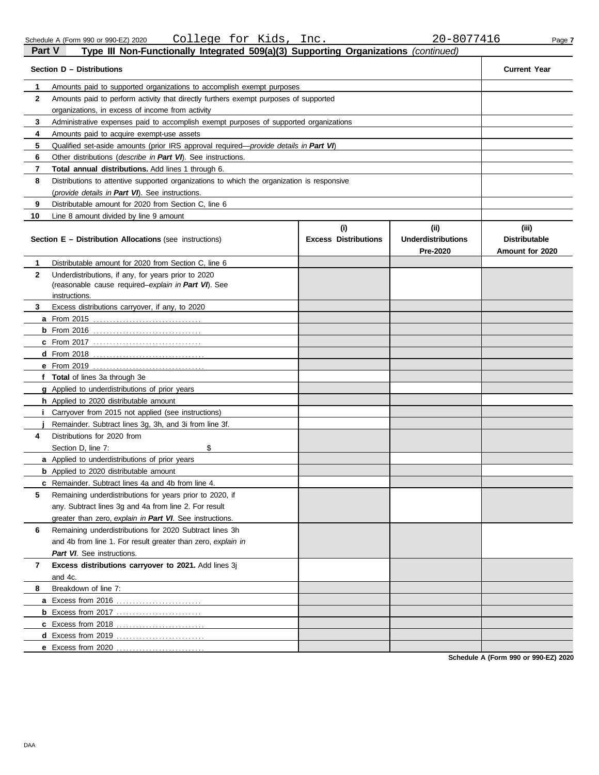| Part V       | Type III Non-Functionally Integrated 509(a)(3) Supporting Organizations (continued)                                         |                             |                                       |                                         |  |  |
|--------------|-----------------------------------------------------------------------------------------------------------------------------|-----------------------------|---------------------------------------|-----------------------------------------|--|--|
|              | Section D - Distributions                                                                                                   |                             |                                       | <b>Current Year</b>                     |  |  |
| 1            | Amounts paid to supported organizations to accomplish exempt purposes                                                       |                             |                                       |                                         |  |  |
| $\mathbf{2}$ | Amounts paid to perform activity that directly furthers exempt purposes of supported                                        |                             |                                       |                                         |  |  |
|              | organizations, in excess of income from activity                                                                            |                             |                                       |                                         |  |  |
| 3            | Administrative expenses paid to accomplish exempt purposes of supported organizations                                       |                             |                                       |                                         |  |  |
| 4            | Amounts paid to acquire exempt-use assets                                                                                   |                             |                                       |                                         |  |  |
| 5            | Qualified set-aside amounts (prior IRS approval required— <i>provide details in Part VI</i> )                               |                             |                                       |                                         |  |  |
| 6            | Other distributions ( <i>describe in Part VI</i> ). See instructions.                                                       |                             |                                       |                                         |  |  |
| 7            | <b>Total annual distributions.</b> Add lines 1 through 6.                                                                   |                             |                                       |                                         |  |  |
| 8            | Distributions to attentive supported organizations to which the organization is responsive                                  |                             |                                       |                                         |  |  |
|              | (provide details in Part VI). See instructions.                                                                             |                             |                                       |                                         |  |  |
| 9            | Distributable amount for 2020 from Section C, line 6                                                                        |                             |                                       |                                         |  |  |
| 10           | Line 8 amount divided by line 9 amount                                                                                      |                             |                                       |                                         |  |  |
|              |                                                                                                                             | (i)                         | (ii)                                  | (iii)                                   |  |  |
|              | <b>Section E - Distribution Allocations (see instructions)</b>                                                              | <b>Excess Distributions</b> | <b>Underdistributions</b><br>Pre-2020 | <b>Distributable</b><br>Amount for 2020 |  |  |
| 1            | Distributable amount for 2020 from Section C, line 6                                                                        |                             |                                       |                                         |  |  |
| 2            | Underdistributions, if any, for years prior to 2020<br>(reasonable cause required-explain in Part VI). See<br>instructions. |                             |                                       |                                         |  |  |
| 3.           | Excess distributions carryover, if any, to 2020                                                                             |                             |                                       |                                         |  |  |
|              | <b>a</b> From 2015                                                                                                          |                             |                                       |                                         |  |  |
|              | $b$ From 2016                                                                                                               |                             |                                       |                                         |  |  |
|              |                                                                                                                             |                             |                                       |                                         |  |  |
|              | $d$ From 2018                                                                                                               |                             |                                       |                                         |  |  |
|              | <b>e</b> From 2019                                                                                                          |                             |                                       |                                         |  |  |
|              | f Total of lines 3a through 3e                                                                                              |                             |                                       |                                         |  |  |
|              | <b>g</b> Applied to underdistributions of prior years                                                                       |                             |                                       |                                         |  |  |
|              | h Applied to 2020 distributable amount                                                                                      |                             |                                       |                                         |  |  |
|              | <i>i</i> Carryover from 2015 not applied (see instructions)                                                                 |                             |                                       |                                         |  |  |
|              | Remainder. Subtract lines 3g, 3h, and 3i from line 3f.                                                                      |                             |                                       |                                         |  |  |
| 4            | Distributions for 2020 from                                                                                                 |                             |                                       |                                         |  |  |
|              | \$<br>Section D, line 7:                                                                                                    |                             |                                       |                                         |  |  |
|              | <b>a</b> Applied to underdistributions of prior years                                                                       |                             |                                       |                                         |  |  |
|              | <b>b</b> Applied to 2020 distributable amount                                                                               |                             |                                       |                                         |  |  |
|              | <b>c</b> Remainder. Subtract lines 4a and 4b from line 4.                                                                   |                             |                                       |                                         |  |  |
| 5            | Remaining underdistributions for years prior to 2020, if                                                                    |                             |                                       |                                         |  |  |
|              | any. Subtract lines 3q and 4a from line 2. For result                                                                       |                             |                                       |                                         |  |  |
|              | greater than zero, explain in Part VI. See instructions.                                                                    |                             |                                       |                                         |  |  |
| 6            | Remaining underdistributions for 2020 Subtract lines 3h                                                                     |                             |                                       |                                         |  |  |
|              | and 4b from line 1. For result greater than zero, explain in                                                                |                             |                                       |                                         |  |  |
|              | Part VI. See instructions.                                                                                                  |                             |                                       |                                         |  |  |
| 7            | Excess distributions carryover to 2021. Add lines 3j                                                                        |                             |                                       |                                         |  |  |
| 8            | and 4c.<br>Breakdown of line 7:                                                                                             |                             |                                       |                                         |  |  |
|              |                                                                                                                             |                             |                                       |                                         |  |  |
|              | <b>a</b> Excess from 2016                                                                                                   |                             |                                       |                                         |  |  |
|              | <b>b</b> Excess from 2017                                                                                                   |                             |                                       |                                         |  |  |
|              |                                                                                                                             |                             |                                       |                                         |  |  |
|              |                                                                                                                             |                             |                                       |                                         |  |  |
|              | e Excess from 2020                                                                                                          |                             |                                       |                                         |  |  |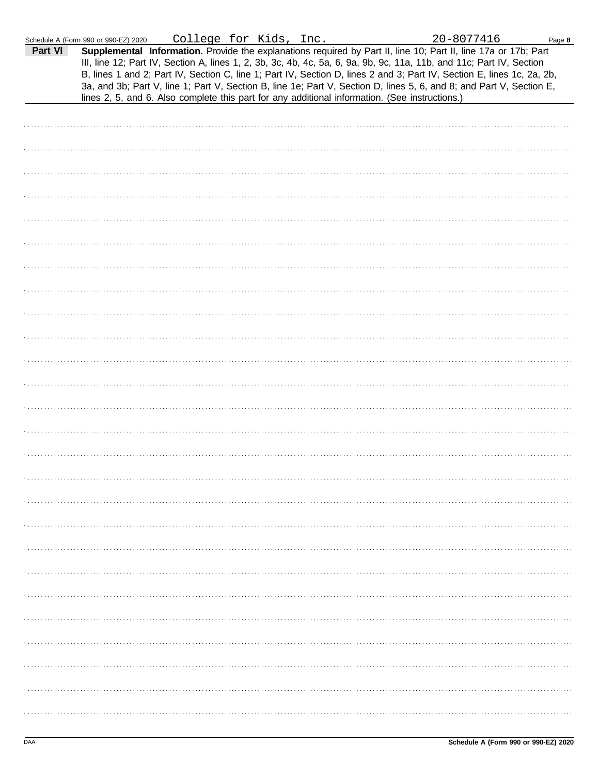|         | Schedule A (Form 990 or 990-EZ) 2020                                                                                                                                                                                                                                                                                                                                                                                                                                                                                                                                                        | College for Kids, Inc. |  | 20-8077416 | Page 8 |
|---------|---------------------------------------------------------------------------------------------------------------------------------------------------------------------------------------------------------------------------------------------------------------------------------------------------------------------------------------------------------------------------------------------------------------------------------------------------------------------------------------------------------------------------------------------------------------------------------------------|------------------------|--|------------|--------|
| Part VI | Supplemental Information. Provide the explanations required by Part II, line 10; Part II, line 17a or 17b; Part<br>III, line 12; Part IV, Section A, lines 1, 2, 3b, 3c, 4b, 4c, 5a, 6, 9a, 9b, 9c, 11a, 11b, and 11c; Part IV, Section<br>B, lines 1 and 2; Part IV, Section C, line 1; Part IV, Section D, lines 2 and 3; Part IV, Section E, lines 1c, 2a, 2b,<br>3a, and 3b; Part V, line 1; Part V, Section B, line 1e; Part V, Section D, lines 5, 6, and 8; and Part V, Section E,<br>lines 2, 5, and 6. Also complete this part for any additional information. (See instructions.) |                        |  |            |        |
|         |                                                                                                                                                                                                                                                                                                                                                                                                                                                                                                                                                                                             |                        |  |            |        |
|         |                                                                                                                                                                                                                                                                                                                                                                                                                                                                                                                                                                                             |                        |  |            |        |
|         |                                                                                                                                                                                                                                                                                                                                                                                                                                                                                                                                                                                             |                        |  |            |        |
|         |                                                                                                                                                                                                                                                                                                                                                                                                                                                                                                                                                                                             |                        |  |            |        |
|         |                                                                                                                                                                                                                                                                                                                                                                                                                                                                                                                                                                                             |                        |  |            |        |
|         |                                                                                                                                                                                                                                                                                                                                                                                                                                                                                                                                                                                             |                        |  |            |        |
|         |                                                                                                                                                                                                                                                                                                                                                                                                                                                                                                                                                                                             |                        |  |            |        |
|         |                                                                                                                                                                                                                                                                                                                                                                                                                                                                                                                                                                                             |                        |  |            |        |
|         |                                                                                                                                                                                                                                                                                                                                                                                                                                                                                                                                                                                             |                        |  |            |        |
|         |                                                                                                                                                                                                                                                                                                                                                                                                                                                                                                                                                                                             |                        |  |            |        |
|         |                                                                                                                                                                                                                                                                                                                                                                                                                                                                                                                                                                                             |                        |  |            |        |
|         |                                                                                                                                                                                                                                                                                                                                                                                                                                                                                                                                                                                             |                        |  |            |        |
|         |                                                                                                                                                                                                                                                                                                                                                                                                                                                                                                                                                                                             |                        |  |            |        |
|         |                                                                                                                                                                                                                                                                                                                                                                                                                                                                                                                                                                                             |                        |  |            |        |
|         |                                                                                                                                                                                                                                                                                                                                                                                                                                                                                                                                                                                             |                        |  |            |        |
|         |                                                                                                                                                                                                                                                                                                                                                                                                                                                                                                                                                                                             |                        |  |            |        |
|         |                                                                                                                                                                                                                                                                                                                                                                                                                                                                                                                                                                                             |                        |  |            |        |
|         |                                                                                                                                                                                                                                                                                                                                                                                                                                                                                                                                                                                             |                        |  |            |        |
|         |                                                                                                                                                                                                                                                                                                                                                                                                                                                                                                                                                                                             |                        |  |            |        |
|         |                                                                                                                                                                                                                                                                                                                                                                                                                                                                                                                                                                                             |                        |  |            |        |
|         |                                                                                                                                                                                                                                                                                                                                                                                                                                                                                                                                                                                             |                        |  |            |        |
|         |                                                                                                                                                                                                                                                                                                                                                                                                                                                                                                                                                                                             |                        |  |            |        |
|         |                                                                                                                                                                                                                                                                                                                                                                                                                                                                                                                                                                                             |                        |  |            |        |
|         |                                                                                                                                                                                                                                                                                                                                                                                                                                                                                                                                                                                             |                        |  |            |        |
|         |                                                                                                                                                                                                                                                                                                                                                                                                                                                                                                                                                                                             |                        |  |            |        |
|         |                                                                                                                                                                                                                                                                                                                                                                                                                                                                                                                                                                                             |                        |  |            |        |
|         |                                                                                                                                                                                                                                                                                                                                                                                                                                                                                                                                                                                             |                        |  |            |        |
|         |                                                                                                                                                                                                                                                                                                                                                                                                                                                                                                                                                                                             |                        |  |            |        |
|         |                                                                                                                                                                                                                                                                                                                                                                                                                                                                                                                                                                                             |                        |  |            |        |
|         |                                                                                                                                                                                                                                                                                                                                                                                                                                                                                                                                                                                             |                        |  |            |        |
|         |                                                                                                                                                                                                                                                                                                                                                                                                                                                                                                                                                                                             |                        |  |            |        |
|         |                                                                                                                                                                                                                                                                                                                                                                                                                                                                                                                                                                                             |                        |  |            |        |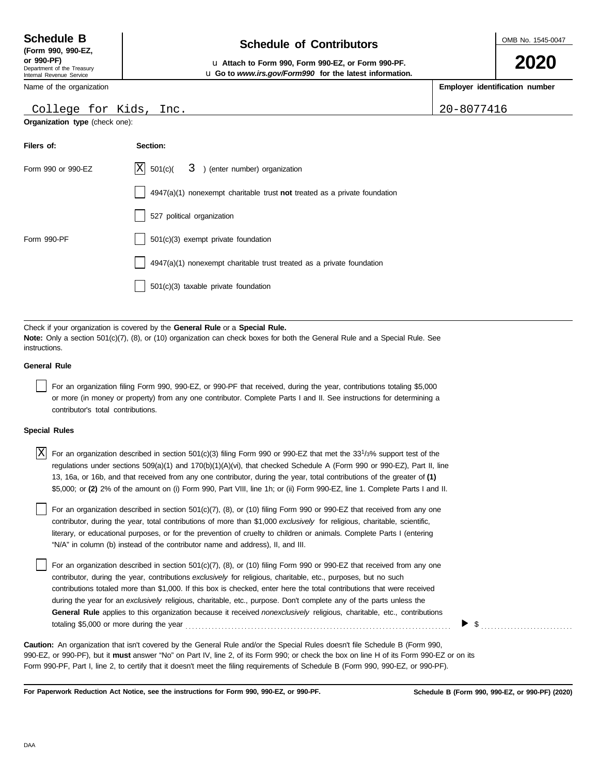DAA

Department of the Treasury Internal Revenue Service **(Form 990, 990-EZ,**

Name of the organization

# **Schedule of Contributors Schedule B**

**or 990-PF)** u **Attach to Form 990, Form 990-EZ, or Form 990-PF.** u **Go to** *www.irs.gov/Form990* **for the latest information.**

**Employer identification number**

 $Inc.$  20-8077416

|  | College for Kids |
|--|------------------|

**Organization type** (check one):

| Filers of:         | Section:                                                                    |
|--------------------|-----------------------------------------------------------------------------|
| Form 990 or 990-EZ | $ X $ 501(c)( $3$ ) (enter number) organization                             |
|                    | $4947(a)(1)$ nonexempt charitable trust not treated as a private foundation |
|                    | 527 political organization                                                  |
| Form 990-PF        | 501(c)(3) exempt private foundation                                         |
|                    | 4947(a)(1) nonexempt charitable trust treated as a private foundation       |
|                    | $501(c)(3)$ taxable private foundation                                      |

Check if your organization is covered by the **General Rule** or a **Special Rule. Note:** Only a section 501(c)(7), (8), or (10) organization can check boxes for both the General Rule and a Special Rule. See instructions.

## **General Rule**

For an organization filing Form 990, 990-EZ, or 990-PF that received, during the year, contributions totaling \$5,000 or more (in money or property) from any one contributor. Complete Parts I and II. See instructions for determining a contributor's total contributions.

### **Special Rules**

| $X$ For an organization described in section 501(c)(3) filing Form 990 or 990-EZ that met the 33 <sup>1</sup> /3% support test of the |  |
|---------------------------------------------------------------------------------------------------------------------------------------|--|
| regulations under sections 509(a)(1) and 170(b)(1)(A)(vi), that checked Schedule A (Form 990 or 990-EZ), Part II, line                |  |
| 13, 16a, or 16b, and that received from any one contributor, during the year, total contributions of the greater of (1)               |  |
| \$5,000; or (2) 2% of the amount on (i) Form 990, Part VIII, line 1h; or (ii) Form 990-EZ, line 1. Complete Parts I and II.           |  |

literary, or educational purposes, or for the prevention of cruelty to children or animals. Complete Parts I (entering For an organization described in section 501(c)(7), (8), or (10) filing Form 990 or 990-EZ that received from any one contributor, during the year, total contributions of more than \$1,000 *exclusively* for religious, charitable, scientific, "N/A" in column (b) instead of the contributor name and address), II, and III.

For an organization described in section 501(c)(7), (8), or (10) filing Form 990 or 990-EZ that received from any one contributor, during the year, contributions *exclusively* for religious, charitable, etc., purposes, but no such contributions totaled more than \$1,000. If this box is checked, enter here the total contributions that were received during the year for an *exclusively* religious, charitable, etc., purpose. Don't complete any of the parts unless the **General Rule** applies to this organization because it received *nonexclusively* religious, charitable, etc., contributions totaling \$5,000 or more during the year . . . . . . . . . . . . . . . . . . . . . . . . . . . . . . . . . . . . . . . . . . . . . . . . . . . . . . . . . . . . . . . . . . . . . . . . . . . . . . . . .

990-EZ, or 990-PF), but it **must** answer "No" on Part IV, line 2, of its Form 990; or check the box on line H of its Form 990-EZ or on its Form 990-PF, Part I, line 2, to certify that it doesn't meet the filing requirements of Schedule B (Form 990, 990-EZ, or 990-PF). **Caution:** An organization that isn't covered by the General Rule and/or the Special Rules doesn't file Schedule B (Form 990,

**For Paperwork Reduction Act Notice, see the instructions for Form 990, 990-EZ, or 990-PF.**

 $\blacktriangleright$   $\$\,$ 



OMB No. 1545-0047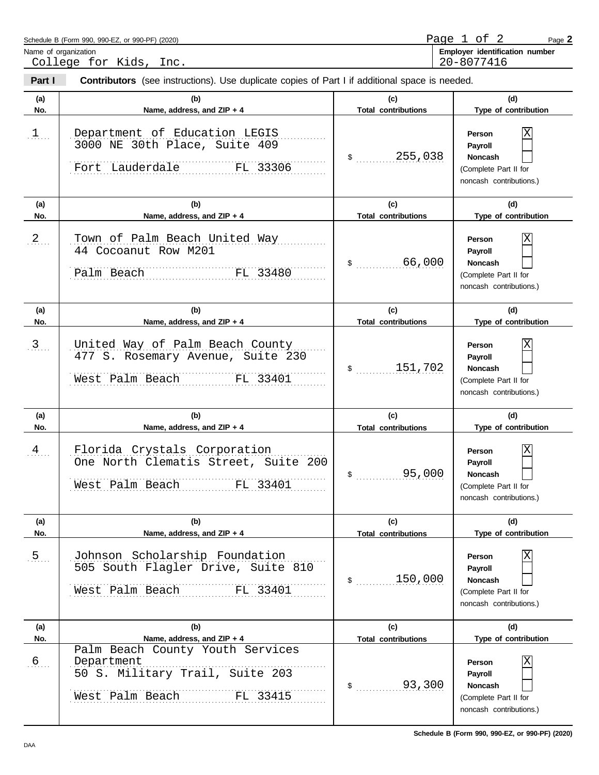| Schedule B (Form 990, 990-EZ, or 990-PF) (2020) |                                   | Page. |
|-------------------------------------------------|-----------------------------------|-------|
| Name of organization                            | identification number<br>Emplover |       |

Name of organization<br>College for Kids, Inc.

20-8077416

| Part I            | <b>Contributors</b> (see instructions). Use duplicate copies of Part I if additional space is needed.                                          |                                                |                                                                                                                      |
|-------------------|------------------------------------------------------------------------------------------------------------------------------------------------|------------------------------------------------|----------------------------------------------------------------------------------------------------------------------|
| (a)<br>No.        | (b)<br>Name, address, and ZIP + 4                                                                                                              | (c)<br><b>Total contributions</b>              | (d)<br>Type of contribution                                                                                          |
| 1                 | Department of Education LEGIS<br>3000 NE 30th Place, Suite 409<br>Fort Lauderdale FL 33306                                                     | \$255,038                                      | Person<br>Payroll<br><b>Noncash</b><br>(Complete Part II for<br>noncash contributions.)                              |
| (a)               | (b)                                                                                                                                            | (c)                                            | (d)                                                                                                                  |
| No.               | Name, address, and ZIP + 4                                                                                                                     | <b>Total contributions</b>                     | Type of contribution                                                                                                 |
| 2                 | Town of Palm Beach United Way<br>44 Cocoanut Row M201<br>FL 33480<br>Palm Beach                                                                | 66,000<br>$\sim$                               | Person<br>Payroll<br><b>Noncash</b><br>(Complete Part II for<br>noncash contributions.)                              |
| (a)               | (b)                                                                                                                                            | (c)                                            | (d)                                                                                                                  |
| No.               | Name, address, and ZIP + 4                                                                                                                     | <b>Total contributions</b>                     | Type of contribution                                                                                                 |
| $\frac{3}{2}$     | United Way of Palm Beach County<br>477 S. Rosemary Avenue, Suite 230<br>West Palm Beach FL 33401                                               | \$151,702                                      | Person<br>Payroll<br><b>Noncash</b><br>(Complete Part II for<br>noncash contributions.)                              |
| (a)<br>No.        | (b)<br>Name, address, and ZIP + 4                                                                                                              | (c)<br><b>Total contributions</b>              | (d)<br>Type of contribution                                                                                          |
| $\frac{4}{2}$     | Florida Crystals Corporation<br>One North Clematis Street, Suite 200<br>West Palm Beach FL 33401                                               | 95,000<br>$\mathsf{\$}$                        | Χ<br>Person<br>Payroll<br><b>Noncash</b><br>(Complete Part II for<br>noncash contributions.)                         |
| (a)<br>No.        | (b)<br>Name, address, and ZIP + 4                                                                                                              | (c)<br><b>Total contributions</b>              | (d)<br>Type of contribution                                                                                          |
| .5.               | Johnson Scholarship Foundation<br>505 South Flagler Drive, Suite 810<br>FL 33401<br>West Palm Beach                                            | 150,000<br>$\sim$                              | Χ<br>Person<br>Payroll<br><b>Noncash</b><br>(Complete Part II for<br>noncash contributions.)                         |
| (a)               | (b)                                                                                                                                            | (c)                                            | (d)                                                                                                                  |
| No.<br>$\sqrt{6}$ | Name, address, and ZIP + 4<br>Palm Beach County Youth Services<br>Department<br>50 S. Military Trail, Suite 203<br>FL 33415<br>West Palm Beach | <b>Total contributions</b><br>93,300<br>$\sim$ | Type of contribution<br>Χ<br>Person<br>Payroll<br><b>Noncash</b><br>(Complete Part II for<br>noncash contributions.) |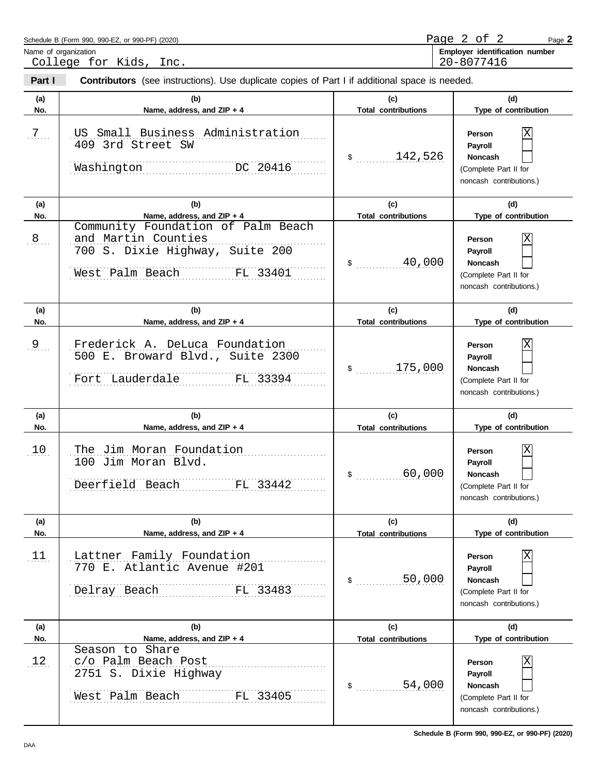| Schedule B (Form 990, 990-EZ, or 990-PF) (2020) | Page |  |                                | Page |
|-------------------------------------------------|------|--|--------------------------------|------|
| Name of organization                            |      |  | Employer identification number |      |

College for Kids, Inc.

20-8077416

| Part I         | <b>Contributors</b> (see instructions). Use duplicate copies of Part I if additional space is needed.                    |                                   |                                                                                              |
|----------------|--------------------------------------------------------------------------------------------------------------------------|-----------------------------------|----------------------------------------------------------------------------------------------|
| (a)<br>No.     | (b)<br>Name, address, and ZIP + 4                                                                                        | (c)<br><b>Total contributions</b> | (d)<br>Type of contribution                                                                  |
| 7              | US Small Business Administration<br>409 3rd Street SW<br>DC 20416<br>Washington                                          | \$142,526                         | Person<br>Payroll<br><b>Noncash</b><br>(Complete Part II for<br>noncash contributions.)      |
| (a)            | (b)                                                                                                                      | (c)                               | (d)                                                                                          |
| No.            | Name, address, and ZIP + 4                                                                                               | <b>Total contributions</b>        | Type of contribution                                                                         |
| 8 <sub>1</sub> | Community Foundation of Palm Beach<br>and Martin Counties<br>700 S. Dixie Highway, Suite 200<br>West Palm Beach FL 33401 | 40,000<br>$\sim$                  | Person<br>Payroll<br><b>Noncash</b><br>(Complete Part II for<br>noncash contributions.)      |
| (a)            | (b)                                                                                                                      | (c)                               | (d)                                                                                          |
| No.            | Name, address, and ZIP + 4                                                                                               | <b>Total contributions</b>        | Type of contribution                                                                         |
| $9_{\ldots}$   | Frederick A. DeLuca Foundation<br>500 E. Broward Blvd., Suite 2300<br>Fort Lauderdale<br>FL 33394                        | \$175,000                         | Person<br>Payroll<br><b>Noncash</b><br>(Complete Part II for<br>noncash contributions.)      |
| (a)<br>No.     | (b)<br>Name, address, and ZIP + 4                                                                                        | (c)<br><b>Total contributions</b> | (d)<br>Type of contribution                                                                  |
| 10             | The Jim Moran Foundation<br>100 Jim Moran Blvd.<br>Deerfield Beach FL 33442                                              | 60,000<br>$\frac{1}{2}$           | Χ<br>Person<br>Payroll<br><b>Noncash</b><br>(Complete Part II for<br>noncash contributions.) |
| (a)<br>No.     | (b)<br>Name, address, and ZIP + 4                                                                                        | (c)<br><b>Total contributions</b> | (d)<br>Type of contribution                                                                  |
| 11             | Lattner Family Foundation<br>770 E. Atlantic Avenue #201<br>FL 33483<br>Delray Beach                                     | 50,000<br>$\sim$                  | Χ<br>Person<br>Payroll<br>Noncash<br>(Complete Part II for<br>noncash contributions.)        |
| (a)            | (b)                                                                                                                      | (c)                               | (d)                                                                                          |
| No.            | Name, address, and ZIP + 4<br>Season to Share                                                                            | <b>Total contributions</b>        | Type of contribution                                                                         |
| 12             | c/o Palm Beach Post<br>2751 S. Dixie Highway<br>West Palm Beach<br>FL 33405                                              | 54,000<br>$\sim$                  | Χ<br>Person<br>Payroll<br>Noncash<br>(Complete Part II for<br>noncash contributions.)        |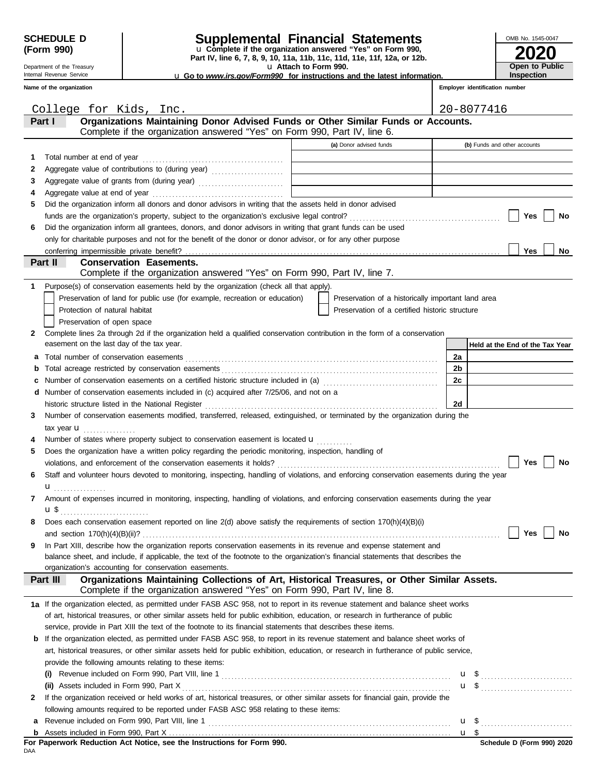Department of the Treasury Internal Revenue Service

# **SCHEDULE D Supplemental Financial Statements**

**Part IV, line 6, 7, 8, 9, 10, 11a, 11b, 11c, 11d, 11e, 11f, 12a, or 12b.** u **Complete if the organization answered "Yes" on Form 990,**

u **Attach to Form 990.** 

| <b>u</b> Go to <i>www.irs.gov/Form990</i> for instructions and the latest information. |  |  |  |
|----------------------------------------------------------------------------------------|--|--|--|
|                                                                                        |  |  |  |

**2020** OMB No. 1545-0047 **Open to Public Inspection**

|   | Name of the organization                                                                                                                                                              |                                                             |    | Employer identification number  |
|---|---------------------------------------------------------------------------------------------------------------------------------------------------------------------------------------|-------------------------------------------------------------|----|---------------------------------|
|   | College for Kids, Inc.                                                                                                                                                                |                                                             |    | 20-8077416                      |
|   | Organizations Maintaining Donor Advised Funds or Other Similar Funds or Accounts.<br>Part I                                                                                           |                                                             |    |                                 |
|   | Complete if the organization answered "Yes" on Form 990, Part IV, line 6.                                                                                                             |                                                             |    |                                 |
|   |                                                                                                                                                                                       | (a) Donor advised funds                                     |    | (b) Funds and other accounts    |
| 1 |                                                                                                                                                                                       |                                                             |    |                                 |
| 2 |                                                                                                                                                                                       | the control of the control of the control of the control of |    |                                 |
| 3 | Aggregate value of grants from (during year)                                                                                                                                          |                                                             |    |                                 |
| 4 | Aggregate value at end of year                                                                                                                                                        |                                                             |    |                                 |
| 5 | Did the organization inform all donors and donor advisors in writing that the assets held in donor advised                                                                            |                                                             |    |                                 |
|   |                                                                                                                                                                                       |                                                             |    | Yes<br>No                       |
| 6 | Did the organization inform all grantees, donors, and donor advisors in writing that grant funds can be used                                                                          |                                                             |    |                                 |
|   | only for charitable purposes and not for the benefit of the donor or donor advisor, or for any other purpose                                                                          |                                                             |    |                                 |
|   | conferring impermissible private benefit?                                                                                                                                             |                                                             |    | <b>Yes</b><br>No                |
|   | Part II<br><b>Conservation Easements.</b><br>Complete if the organization answered "Yes" on Form 990, Part IV, line 7.                                                                |                                                             |    |                                 |
|   | Purpose(s) of conservation easements held by the organization (check all that apply).                                                                                                 |                                                             |    |                                 |
|   | Preservation of land for public use (for example, recreation or education)                                                                                                            | Preservation of a historically important land area          |    |                                 |
|   | Protection of natural habitat                                                                                                                                                         | Preservation of a certified historic structure              |    |                                 |
|   | Preservation of open space                                                                                                                                                            |                                                             |    |                                 |
| 2 | Complete lines 2a through 2d if the organization held a qualified conservation contribution in the form of a conservation                                                             |                                                             |    |                                 |
|   | easement on the last day of the tax year.                                                                                                                                             |                                                             |    | Held at the End of the Tax Year |
| а |                                                                                                                                                                                       |                                                             | 2a |                                 |
| b |                                                                                                                                                                                       |                                                             | 2b |                                 |
| с | Number of conservation easements on a certified historic structure included in (a) [11] Number of conservation easements on a certified historic structure included in (a)            |                                                             | 2c |                                 |
| d | Number of conservation easements included in (c) acquired after 7/25/06, and not on a                                                                                                 |                                                             |    |                                 |
|   | historic structure listed in the National Register                                                                                                                                    |                                                             | 2d |                                 |
| 3 | Number of conservation easements modified, transferred, released, extinguished, or terminated by the organization during the                                                          |                                                             |    |                                 |
|   | tax year <b>u</b>                                                                                                                                                                     |                                                             |    |                                 |
|   | Number of states where property subject to conservation easement is located $\mathbf{u}$                                                                                              |                                                             |    |                                 |
| 5 | Does the organization have a written policy regarding the periodic monitoring, inspection, handling of                                                                                |                                                             |    |                                 |
|   |                                                                                                                                                                                       |                                                             |    | Yes<br>No                       |
| 6 | Staff and volunteer hours devoted to monitoring, inspecting, handling of violations, and enforcing conservation easements during the year                                             |                                                             |    |                                 |
|   | .                                                                                                                                                                                     |                                                             |    |                                 |
|   | Amount of expenses incurred in monitoring, inspecting, handling of violations, and enforcing conservation easements during the year                                                   |                                                             |    |                                 |
|   | $\mathbf{u}$ \$                                                                                                                                                                       |                                                             |    |                                 |
|   | Does each conservation easement reported on line 2(d) above satisfy the requirements of section 170(h)(4)(B)(i)                                                                       |                                                             |    |                                 |
|   | and section $170(h)(4)(B)(ii)?$                                                                                                                                                       |                                                             |    | Yes<br>No                       |
| 9 | In Part XIII, describe how the organization reports conservation easements in its revenue and expense statement and                                                                   |                                                             |    |                                 |
|   | balance sheet, and include, if applicable, the text of the footnote to the organization's financial statements that describes the                                                     |                                                             |    |                                 |
|   | organization's accounting for conservation easements.                                                                                                                                 |                                                             |    |                                 |
|   | Organizations Maintaining Collections of Art, Historical Treasures, or Other Similar Assets.<br>Part III<br>Complete if the organization answered "Yes" on Form 990, Part IV, line 8. |                                                             |    |                                 |
|   | 1a If the organization elected, as permitted under FASB ASC 958, not to report in its revenue statement and balance sheet works                                                       |                                                             |    |                                 |
|   | of art, historical treasures, or other similar assets held for public exhibition, education, or research in furtherance of public                                                     |                                                             |    |                                 |
|   | service, provide in Part XIII the text of the footnote to its financial statements that describes these items.                                                                        |                                                             |    |                                 |
| b | If the organization elected, as permitted under FASB ASC 958, to report in its revenue statement and balance sheet works of                                                           |                                                             |    |                                 |
|   | art, historical treasures, or other similar assets held for public exhibition, education, or research in furtherance of public service,                                               |                                                             |    |                                 |
|   | provide the following amounts relating to these items:                                                                                                                                |                                                             |    |                                 |
|   |                                                                                                                                                                                       |                                                             |    |                                 |
|   | (ii) Assets included in Form 990, Part X                                                                                                                                              |                                                             |    |                                 |
| 2 | If the organization received or held works of art, historical treasures, or other similar assets for financial gain, provide the                                                      |                                                             |    |                                 |
|   | following amounts required to be reported under FASB ASC 958 relating to these items:                                                                                                 |                                                             |    |                                 |

Revenue included on Form 990, Part VIII, line 1 . . . . . . . . . . . . . . . . . . . . . . . . . . . . . . . . . . . . . . . . . . . . . . . . . . . . . . . . . . . . . . . . . . . . . . . . . . **a**

\$ . . . . . . . . . . . . . . . . . . . . . . . . . . . . u

<u>u \$</u>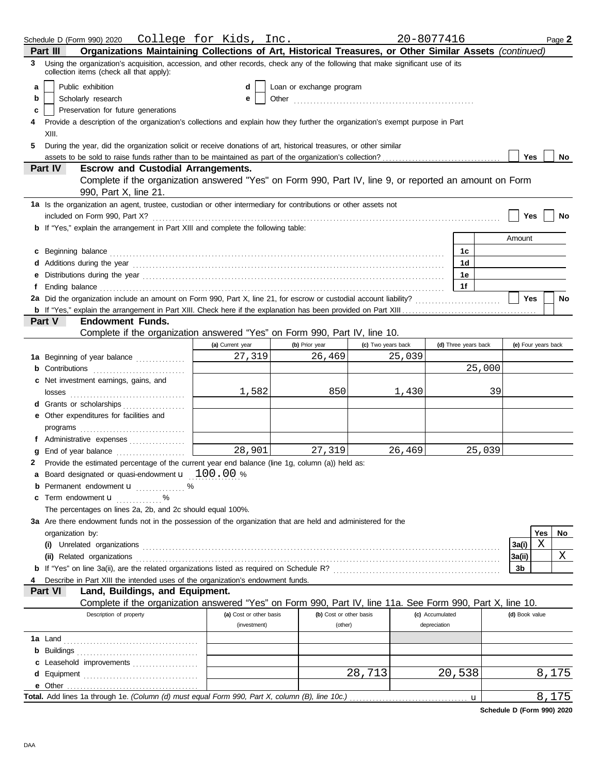|   | Schedule D (Form 990) 2020                                                                                                                                                                                                           | College for Kids, Inc.  |                          |                    |        | 20-8077416           | Page 2              |
|---|--------------------------------------------------------------------------------------------------------------------------------------------------------------------------------------------------------------------------------------|-------------------------|--------------------------|--------------------|--------|----------------------|---------------------|
|   | Organizations Maintaining Collections of Art, Historical Treasures, or Other Similar Assets (continued)<br>Part III                                                                                                                  |                         |                          |                    |        |                      |                     |
| 3 | Using the organization's acquisition, accession, and other records, check any of the following that make significant use of its<br>collection items (check all that apply):                                                          |                         |                          |                    |        |                      |                     |
| a | Public exhibition                                                                                                                                                                                                                    | d                       | Loan or exchange program |                    |        |                      |                     |
| b | Scholarly research                                                                                                                                                                                                                   | е                       |                          |                    |        |                      |                     |
| c | Preservation for future generations                                                                                                                                                                                                  |                         |                          |                    |        |                      |                     |
|   | Provide a description of the organization's collections and explain how they further the organization's exempt purpose in Part                                                                                                       |                         |                          |                    |        |                      |                     |
|   | XIII.                                                                                                                                                                                                                                |                         |                          |                    |        |                      |                     |
| 5 | During the year, did the organization solicit or receive donations of art, historical treasures, or other similar                                                                                                                    |                         |                          |                    |        |                      |                     |
|   |                                                                                                                                                                                                                                      |                         |                          |                    |        |                      | Yes<br>No           |
|   | Part IV<br><b>Escrow and Custodial Arrangements.</b>                                                                                                                                                                                 |                         |                          |                    |        |                      |                     |
|   | Complete if the organization answered "Yes" on Form 990, Part IV, line 9, or reported an amount on Form<br>990, Part X, line 21.                                                                                                     |                         |                          |                    |        |                      |                     |
|   | 1a Is the organization an agent, trustee, custodian or other intermediary for contributions or other assets not                                                                                                                      |                         |                          |                    |        |                      |                     |
|   | included on Form 990, Part X?                                                                                                                                                                                                        |                         |                          |                    |        |                      | Yes<br>No           |
|   | <b>b</b> If "Yes," explain the arrangement in Part XIII and complete the following table:                                                                                                                                            |                         |                          |                    |        |                      |                     |
|   |                                                                                                                                                                                                                                      |                         |                          |                    |        |                      | Amount              |
|   |                                                                                                                                                                                                                                      |                         |                          |                    |        | 1c                   |                     |
|   | c Beginning balance <b>contract the contract of the contract of the contract of the contract of the contract of the contract of the contract of the contract of the contract of the contract of the contract of the contract of </b> |                         |                          |                    |        | 1d                   |                     |
|   | Additions during the year contained and according to the year contained and according the year contained and according the year contained and according the year contained and according to the state of the state of the stat       |                         |                          |                    |        | 1e                   |                     |
|   |                                                                                                                                                                                                                                      |                         |                          |                    |        | 1f                   |                     |
|   |                                                                                                                                                                                                                                      |                         |                          |                    |        |                      | <b>Yes</b><br>No    |
|   |                                                                                                                                                                                                                                      |                         |                          |                    |        |                      |                     |
|   | Part V<br><b>Endowment Funds.</b>                                                                                                                                                                                                    |                         |                          |                    |        |                      |                     |
|   | Complete if the organization answered "Yes" on Form 990, Part IV, line 10.                                                                                                                                                           |                         |                          |                    |        |                      |                     |
|   |                                                                                                                                                                                                                                      | (a) Current year        | (b) Prior year           | (c) Two years back |        | (d) Three years back | (e) Four years back |
|   | 1a Beginning of year balance                                                                                                                                                                                                         | 27,319                  | 26,469                   |                    | 25,039 |                      |                     |
|   | <b>b</b> Contributions <b>contributions</b>                                                                                                                                                                                          |                         |                          |                    |        |                      | 25,000              |
|   | c Net investment earnings, gains, and                                                                                                                                                                                                |                         |                          |                    |        |                      |                     |
|   | losses                                                                                                                                                                                                                               | 1,582                   | 850                      |                    | 1,430  |                      | 39                  |
|   | d Grants or scholarships                                                                                                                                                                                                             |                         |                          |                    |        |                      |                     |
|   | e Other expenditures for facilities and                                                                                                                                                                                              |                         |                          |                    |        |                      |                     |
|   |                                                                                                                                                                                                                                      |                         |                          |                    |        |                      |                     |
|   | f Administrative expenses                                                                                                                                                                                                            |                         |                          |                    |        |                      |                     |
|   | End of year balance                                                                                                                                                                                                                  | 28,901                  | 27,319                   |                    | 26,469 |                      | 25,039              |
|   | 2 Provide the estimated percentage of the current year end balance (line 1g, column (a)) held as:                                                                                                                                    |                         |                          |                    |        |                      |                     |
|   | a Board designated or quasi-endowment <b>u</b> 100.00 %                                                                                                                                                                              |                         |                          |                    |        |                      |                     |
|   | <b>b</b> Permanent endowment <b>u</b> %                                                                                                                                                                                              |                         |                          |                    |        |                      |                     |
|   | <b>c</b> Term endowment $\mathbf{u}$ %                                                                                                                                                                                               |                         |                          |                    |        |                      |                     |
|   | The percentages on lines 2a, 2b, and 2c should equal 100%.                                                                                                                                                                           |                         |                          |                    |        |                      |                     |
|   | 3a Are there endowment funds not in the possession of the organization that are held and administered for the                                                                                                                        |                         |                          |                    |        |                      |                     |
|   | organization by:                                                                                                                                                                                                                     |                         |                          |                    |        |                      | No<br>Yes           |
|   |                                                                                                                                                                                                                                      |                         |                          |                    |        |                      | X<br>3a(i)          |
|   | (ii) Related organizations <b>contracts</b> and contracts are contracted as a contract of the contract of the contract or contract or contract or contract or contract or contract or contract or contract or contract or contract   |                         |                          |                    |        |                      | X<br>3a(ii)         |
|   |                                                                                                                                                                                                                                      |                         |                          |                    |        |                      | 3b                  |
|   | Describe in Part XIII the intended uses of the organization's endowment funds.                                                                                                                                                       |                         |                          |                    |        |                      |                     |
|   | Land, Buildings, and Equipment.<br>Part VI                                                                                                                                                                                           |                         |                          |                    |        |                      |                     |
|   | Complete if the organization answered "Yes" on Form 990, Part IV, line 11a. See Form 990, Part X, line 10.                                                                                                                           |                         |                          |                    |        |                      |                     |
|   | Description of property                                                                                                                                                                                                              | (a) Cost or other basis | (b) Cost or other basis  |                    |        | (c) Accumulated      | (d) Book value      |
|   |                                                                                                                                                                                                                                      | (investment)            | (other)                  |                    |        | depreciation         |                     |
|   |                                                                                                                                                                                                                                      |                         |                          |                    |        |                      |                     |
|   |                                                                                                                                                                                                                                      |                         |                          |                    |        |                      |                     |
|   | c Leasehold improvements                                                                                                                                                                                                             |                         |                          |                    |        |                      |                     |
|   |                                                                                                                                                                                                                                      |                         |                          | 28,713             |        | 20,538               | 8,175               |
|   |                                                                                                                                                                                                                                      |                         |                          |                    |        |                      |                     |
|   | Total. Add lines 1a through 1e. (Column (d) must equal Form 990, Part X, column (B), line 10c.)                                                                                                                                      |                         |                          |                    |        | u                    | 8,175               |

**Schedule D (Form 990) 2020**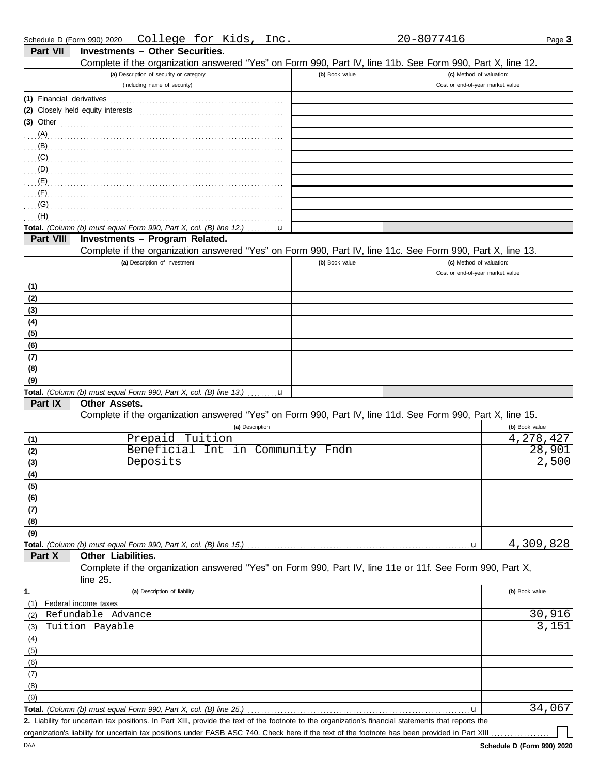| Part VII  | <b>Investments - Other Securities.</b><br>Complete if the organization answered "Yes" on Form 990, Part IV, line 11b. See Form 990, Part X, line 12.                                                                                             |                |                                                              |                       |
|-----------|--------------------------------------------------------------------------------------------------------------------------------------------------------------------------------------------------------------------------------------------------|----------------|--------------------------------------------------------------|-----------------------|
|           | (a) Description of security or category<br>(including name of security)                                                                                                                                                                          | (b) Book value | (c) Method of valuation:<br>Cost or end-of-year market value |                       |
|           |                                                                                                                                                                                                                                                  |                |                                                              |                       |
|           |                                                                                                                                                                                                                                                  |                |                                                              |                       |
|           |                                                                                                                                                                                                                                                  |                |                                                              |                       |
|           | (3) Other $\ldots$ and $\ldots$ and $\ldots$ and $\ldots$                                                                                                                                                                                        |                |                                                              |                       |
|           |                                                                                                                                                                                                                                                  |                |                                                              |                       |
|           | $\overline{B}$ .                                                                                                                                                                                                                                 |                |                                                              |                       |
|           | $\overline{C}$<br>$(D)$ . The contract of the contract of the contract of the contract of the contract of the contract of the contract of the contract of the contract of the contract of the contract of the contract of the contract of the co |                |                                                              |                       |
|           |                                                                                                                                                                                                                                                  |                |                                                              |                       |
|           |                                                                                                                                                                                                                                                  |                |                                                              |                       |
| (G)       |                                                                                                                                                                                                                                                  |                |                                                              |                       |
| (H)       | and the contract of the contract of the contract of the contract of the contract of the contract of the contract of the contract of the contract of the contract of the contract of the contract of the contract of the contra                   |                |                                                              |                       |
|           | Total. (Column (b) must equal Form 990, Part X, col. (B) line 12.)<br>u                                                                                                                                                                          |                |                                                              |                       |
| Part VIII | Investments - Program Related.                                                                                                                                                                                                                   |                |                                                              |                       |
|           | Complete if the organization answered "Yes" on Form 990, Part IV, line 11c. See Form 990, Part X, line 13.                                                                                                                                       |                |                                                              |                       |
|           | (a) Description of investment                                                                                                                                                                                                                    | (b) Book value | (c) Method of valuation:                                     |                       |
|           |                                                                                                                                                                                                                                                  |                | Cost or end-of-year market value                             |                       |
| (1)       |                                                                                                                                                                                                                                                  |                |                                                              |                       |
| (2)       |                                                                                                                                                                                                                                                  |                |                                                              |                       |
| (3)       |                                                                                                                                                                                                                                                  |                |                                                              |                       |
| (4)       |                                                                                                                                                                                                                                                  |                |                                                              |                       |
| (5)       |                                                                                                                                                                                                                                                  |                |                                                              |                       |
| (6)       |                                                                                                                                                                                                                                                  |                |                                                              |                       |
| (7)       |                                                                                                                                                                                                                                                  |                |                                                              |                       |
| (8)       |                                                                                                                                                                                                                                                  |                |                                                              |                       |
| (9)       |                                                                                                                                                                                                                                                  |                |                                                              |                       |
|           | <b>Total.</b> (Column (b) must equal Form 990, Part X, col. (B) line 13.) $\ldots \ldots \mathbf{u}$                                                                                                                                             |                |                                                              |                       |
| Part IX   | Other Assets.                                                                                                                                                                                                                                    |                |                                                              |                       |
|           | Complete if the organization answered "Yes" on Form 990, Part IV, line 11d. See Form 990, Part X, line 15.                                                                                                                                       |                |                                                              |                       |
|           | (a) Description                                                                                                                                                                                                                                  |                |                                                              | (b) Book value        |
| (1)       | Tuition<br>Prepaid                                                                                                                                                                                                                               |                |                                                              | 4,278,427             |
| (2)       | Beneficial<br>Int<br>in                                                                                                                                                                                                                          | Community Fndn |                                                              | $\overline{28}$ , 901 |
| (3)       | Deposits                                                                                                                                                                                                                                         |                |                                                              | 2,500                 |
| (4)       |                                                                                                                                                                                                                                                  |                |                                                              |                       |
| (5)       |                                                                                                                                                                                                                                                  |                |                                                              |                       |
| (6)       |                                                                                                                                                                                                                                                  |                |                                                              |                       |
| (7)       |                                                                                                                                                                                                                                                  |                |                                                              |                       |
| (8)       |                                                                                                                                                                                                                                                  |                |                                                              |                       |
| (9)       |                                                                                                                                                                                                                                                  |                |                                                              |                       |
|           | Total. (Column (b) must equal Form 990, Part X, col. (B) line 15.)                                                                                                                                                                               |                | $\mathbf u$                                                  | 4,309,828             |
| Part X    | Other Liabilities.                                                                                                                                                                                                                               |                |                                                              |                       |
|           | Complete if the organization answered "Yes" on Form 990, Part IV, line 11e or 11f. See Form 990, Part X,                                                                                                                                         |                |                                                              |                       |
|           | line 25.                                                                                                                                                                                                                                         |                |                                                              |                       |
| 1.        | (a) Description of liability                                                                                                                                                                                                                     |                |                                                              | (b) Book value        |
| (1)       | Federal income taxes                                                                                                                                                                                                                             |                |                                                              |                       |
| (2)       | Refundable Advance                                                                                                                                                                                                                               |                |                                                              | 30,916                |
| (3)       | Tuition Payable                                                                                                                                                                                                                                  |                |                                                              | 3,151                 |
| (4)       |                                                                                                                                                                                                                                                  |                |                                                              |                       |
| (5)       |                                                                                                                                                                                                                                                  |                |                                                              |                       |
| (6)       |                                                                                                                                                                                                                                                  |                |                                                              |                       |
| (7)       |                                                                                                                                                                                                                                                  |                |                                                              |                       |
| (8)       |                                                                                                                                                                                                                                                  |                |                                                              |                       |
| (9)       |                                                                                                                                                                                                                                                  |                |                                                              |                       |
|           | Total. (Column (b) must equal Form 990, Part X, col. (B) line 25.)                                                                                                                                                                               |                | u                                                            | 34,067                |
|           | 2. Liability for uncertain tax positions. In Part XIII, provide the text of the footnote to the organization's financial statements that reports the                                                                                             |                |                                                              |                       |

organization's liability for uncertain tax positions under FASB ASC 740. Check here if the text of the footnote has been provided in Part XIII .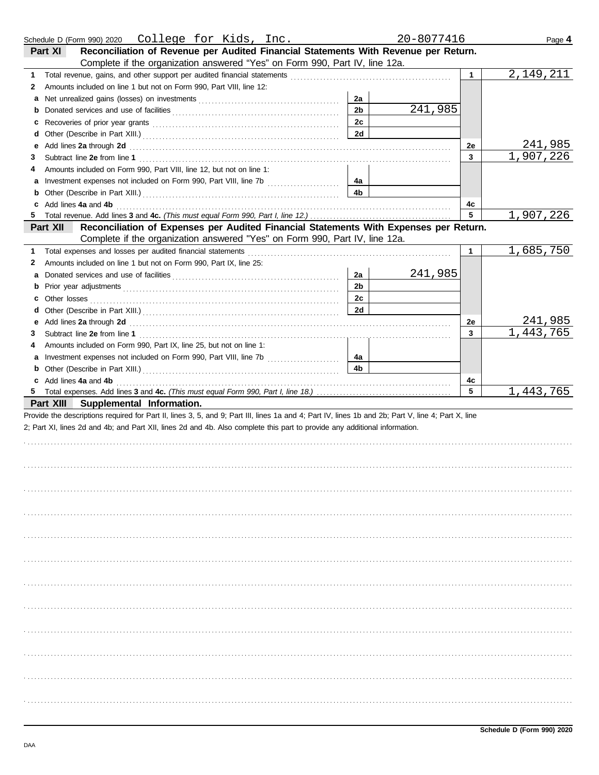| Schedule D (Form 990) 2020  College for Kids, Inc.                                                                                                                                                                                       |                      | 20-8077416 |                       | Page 4               |
|------------------------------------------------------------------------------------------------------------------------------------------------------------------------------------------------------------------------------------------|----------------------|------------|-----------------------|----------------------|
| Reconciliation of Revenue per Audited Financial Statements With Revenue per Return.<br>Part XI                                                                                                                                           |                      |            |                       |                      |
| Complete if the organization answered "Yes" on Form 990, Part IV, line 12a.                                                                                                                                                              |                      |            |                       |                      |
| 1.                                                                                                                                                                                                                                       |                      |            | $\mathbf{1}$          | 2,149,211            |
| Amounts included on line 1 but not on Form 990, Part VIII, line 12:<br>2                                                                                                                                                                 |                      |            |                       |                      |
| a                                                                                                                                                                                                                                        | 2a                   |            |                       |                      |
| b                                                                                                                                                                                                                                        | 2 <sub>b</sub>       | 241,985    |                       |                      |
| c                                                                                                                                                                                                                                        | 2c                   |            |                       |                      |
| d                                                                                                                                                                                                                                        | 2d                   |            |                       |                      |
| Add lines 2a through 2d <b>Martin Community Community</b> and the state of the state of the state of the state of the state of the state of the state of the state of the state of the state of the state of the state of the state<br>е |                      |            | 2e                    | <u> 241,985</u>      |
| 3                                                                                                                                                                                                                                        |                      |            | $\mathbf{3}$          | 1,907,226            |
| Amounts included on Form 990, Part VIII, line 12, but not on line 1:                                                                                                                                                                     |                      |            |                       |                      |
| а                                                                                                                                                                                                                                        | 4a                   |            |                       |                      |
| b                                                                                                                                                                                                                                        | 4 <sub>b</sub>       |            |                       |                      |
| Add lines 4a and 4b<br>c                                                                                                                                                                                                                 |                      |            | 4c                    |                      |
| 5                                                                                                                                                                                                                                        |                      |            | 5                     | 1,907,226            |
| Reconciliation of Expenses per Audited Financial Statements With Expenses per Return.<br>Part XII                                                                                                                                        |                      |            |                       |                      |
| Complete if the organization answered "Yes" on Form 990, Part IV, line 12a.                                                                                                                                                              |                      |            |                       |                      |
| Total expenses and losses per audited financial statements<br>1.<br>Amounts included on line 1 but not on Form 990, Part IX, line 25:                                                                                                    |                      |            | $\mathbf{1}$          | 1,685,750            |
| 2                                                                                                                                                                                                                                        |                      | 241,985    |                       |                      |
| a                                                                                                                                                                                                                                        | 2a<br>2 <sub>b</sub> |            |                       |                      |
| b                                                                                                                                                                                                                                        |                      |            |                       |                      |
| c                                                                                                                                                                                                                                        | 2c                   |            |                       |                      |
| d                                                                                                                                                                                                                                        | 2d                   |            |                       |                      |
| Add lines 2a through 2d <b>contained a contained a contained a contained a contained a contained a contained a contained a</b><br>е                                                                                                      |                      |            | 2е                    | 241,985<br>1,443,765 |
| 3                                                                                                                                                                                                                                        |                      |            | $\mathbf{3}$          |                      |
| Amounts included on Form 990, Part IX, line 25, but not on line 1:                                                                                                                                                                       |                      |            |                       |                      |
| а                                                                                                                                                                                                                                        | 4a                   |            |                       |                      |
| b                                                                                                                                                                                                                                        | 4 <sub>b</sub>       |            |                       |                      |
| Add lines 4a and 4b<br>c                                                                                                                                                                                                                 |                      |            | 4c<br>$5\phantom{.0}$ |                      |
| 5                                                                                                                                                                                                                                        |                      |            |                       | 1,443,765            |
| Part XIII<br>Supplemental Information.                                                                                                                                                                                                   |                      |            |                       |                      |
| Provide the descriptions required for Part II, lines 3, 5, and 9; Part III, lines 1a and 4; Part IV, lines 1b and 2b; Part V, line 4; Part X, line                                                                                       |                      |            |                       |                      |
| 2; Part XI, lines 2d and 4b; and Part XII, lines 2d and 4b. Also complete this part to provide any additional information.                                                                                                               |                      |            |                       |                      |
|                                                                                                                                                                                                                                          |                      |            |                       |                      |
|                                                                                                                                                                                                                                          |                      |            |                       |                      |
|                                                                                                                                                                                                                                          |                      |            |                       |                      |
|                                                                                                                                                                                                                                          |                      |            |                       |                      |
|                                                                                                                                                                                                                                          |                      |            |                       |                      |
|                                                                                                                                                                                                                                          |                      |            |                       |                      |
|                                                                                                                                                                                                                                          |                      |            |                       |                      |
|                                                                                                                                                                                                                                          |                      |            |                       |                      |
|                                                                                                                                                                                                                                          |                      |            |                       |                      |
|                                                                                                                                                                                                                                          |                      |            |                       |                      |
|                                                                                                                                                                                                                                          |                      |            |                       |                      |
|                                                                                                                                                                                                                                          |                      |            |                       |                      |
|                                                                                                                                                                                                                                          |                      |            |                       |                      |
|                                                                                                                                                                                                                                          |                      |            |                       |                      |
|                                                                                                                                                                                                                                          |                      |            |                       |                      |
|                                                                                                                                                                                                                                          |                      |            |                       |                      |
|                                                                                                                                                                                                                                          |                      |            |                       |                      |
|                                                                                                                                                                                                                                          |                      |            |                       |                      |
|                                                                                                                                                                                                                                          |                      |            |                       |                      |
|                                                                                                                                                                                                                                          |                      |            |                       |                      |
|                                                                                                                                                                                                                                          |                      |            |                       |                      |
|                                                                                                                                                                                                                                          |                      |            |                       |                      |
|                                                                                                                                                                                                                                          |                      |            |                       |                      |
|                                                                                                                                                                                                                                          |                      |            |                       |                      |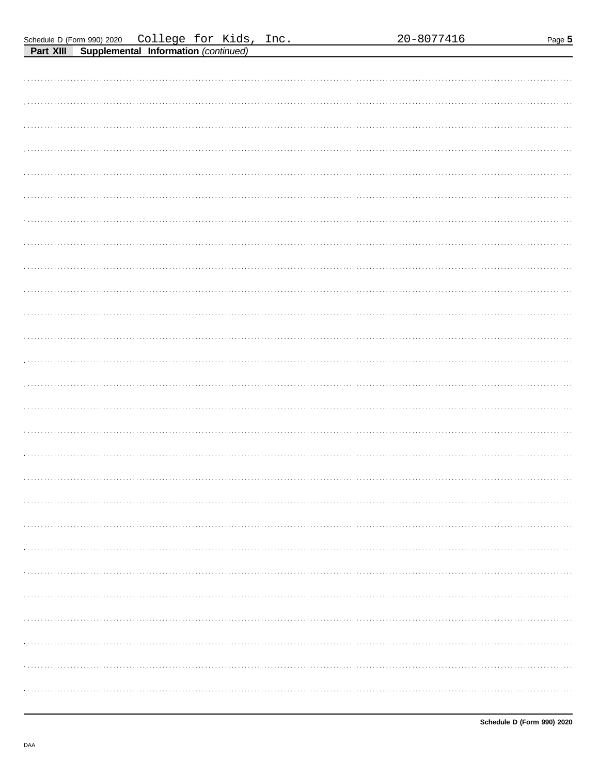| 20-8077416 |  |
|------------|--|
|------------|--|

Page 5

| Schedule D (Form 990) 2020  College for Kids, Inc.                                                                                                                                                                                                                                                                                                                                                                                                                                     |  |  |
|----------------------------------------------------------------------------------------------------------------------------------------------------------------------------------------------------------------------------------------------------------------------------------------------------------------------------------------------------------------------------------------------------------------------------------------------------------------------------------------|--|--|
| $\blacksquare$ . You $\blacksquare$ $\blacksquare$ $\blacksquare$ $\blacksquare$ $\blacksquare$ $\blacksquare$ $\blacksquare$ $\blacksquare$ $\blacksquare$ $\blacksquare$ $\blacksquare$ $\blacksquare$ $\blacksquare$ $\blacksquare$ $\blacksquare$ $\blacksquare$ $\blacksquare$ $\blacksquare$ $\blacksquare$ $\blacksquare$ $\blacksquare$ $\blacksquare$ $\blacksquare$ $\blacksquare$ $\blacksquare$ $\blacksquare$ $\blacksquare$ $\blacksquare$ $\blacksquare$ $\blacksquare$ |  |  |

| <b>Part XIII</b><br>Supplemental Information (continued) |
|----------------------------------------------------------|
|                                                          |
|                                                          |
|                                                          |
|                                                          |
|                                                          |
|                                                          |
|                                                          |
|                                                          |
|                                                          |
|                                                          |
|                                                          |
|                                                          |
|                                                          |
|                                                          |
|                                                          |
|                                                          |
|                                                          |
|                                                          |
|                                                          |
|                                                          |
|                                                          |
|                                                          |
|                                                          |
|                                                          |
|                                                          |
|                                                          |
|                                                          |
|                                                          |
|                                                          |
|                                                          |
|                                                          |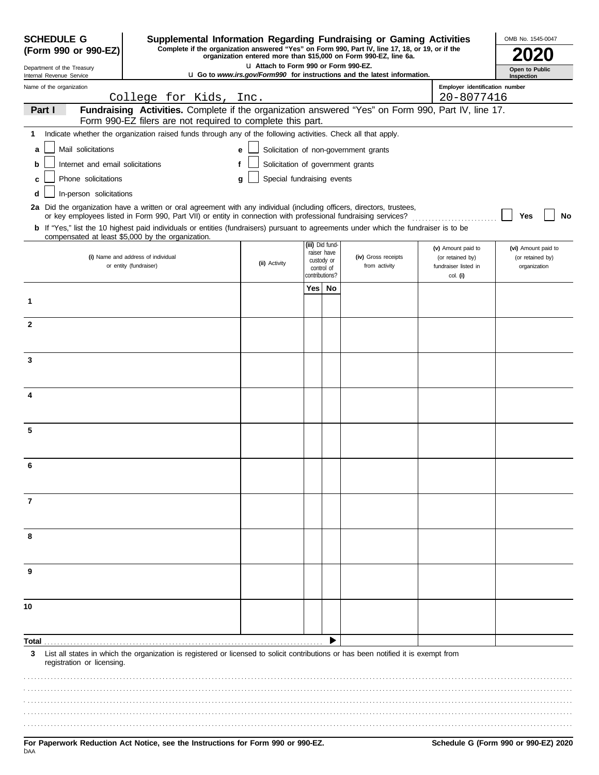| <b>SCHEDULE G</b>                                      | Supplemental Information Regarding Fundraising or Gaming Activities                                                                                                                                                                      |                                       |     |                                |                                                                                 |                                          | OMB No. 1545-0047                |
|--------------------------------------------------------|------------------------------------------------------------------------------------------------------------------------------------------------------------------------------------------------------------------------------------------|---------------------------------------|-----|--------------------------------|---------------------------------------------------------------------------------|------------------------------------------|----------------------------------|
| (Form 990 or 990-EZ)                                   | Complete if the organization answered "Yes" on Form 990, Part IV, line 17, 18, or 19, or if the                                                                                                                                          |                                       |     |                                | organization entered more than \$15,000 on Form 990-EZ, line 6a.                |                                          |                                  |
| Department of the Treasury<br>Internal Revenue Service |                                                                                                                                                                                                                                          | LI Attach to Form 990 or Form 990-EZ. |     |                                | <b>u</b> Go to www.irs.gov/Form990 for instructions and the latest information. |                                          | Open to Public<br>Inspection     |
| Name of the organization                               |                                                                                                                                                                                                                                          |                                       |     |                                |                                                                                 | Employer identification number           |                                  |
| Part I                                                 | College for Kids, Inc.<br>Fundraising Activities. Complete if the organization answered "Yes" on Form 990, Part IV, line 17.                                                                                                             |                                       |     |                                |                                                                                 | 20-8077416                               |                                  |
|                                                        | Form 990-EZ filers are not required to complete this part.                                                                                                                                                                               |                                       |     |                                |                                                                                 |                                          |                                  |
| 1                                                      | Indicate whether the organization raised funds through any of the following activities. Check all that apply.                                                                                                                            |                                       |     |                                |                                                                                 |                                          |                                  |
| Mail solicitations<br>a                                |                                                                                                                                                                                                                                          | e                                     |     |                                | Solicitation of non-government grants                                           |                                          |                                  |
| Internet and email solicitations<br>b                  |                                                                                                                                                                                                                                          | Solicitation of government grants     |     |                                |                                                                                 |                                          |                                  |
| Phone solicitations                                    |                                                                                                                                                                                                                                          | Special fundraising events<br>g       |     |                                |                                                                                 |                                          |                                  |
| In-person solicitations<br>d                           |                                                                                                                                                                                                                                          |                                       |     |                                |                                                                                 |                                          |                                  |
|                                                        | 2a Did the organization have a written or oral agreement with any individual (including officers, directors, trustees,<br>or key employees listed in Form 990, Part VII) or entity in connection with professional fundraising services? |                                       |     |                                |                                                                                 |                                          | No<br>Yes                        |
|                                                        | b If "Yes," list the 10 highest paid individuals or entities (fundraisers) pursuant to agreements under which the fundraiser is to be<br>compensated at least \$5,000 by the organization.                                               |                                       |     |                                |                                                                                 |                                          |                                  |
|                                                        |                                                                                                                                                                                                                                          |                                       |     | (iii) Did fund-<br>raiser have |                                                                                 | (v) Amount paid to                       | (vi) Amount paid to              |
|                                                        | (i) Name and address of individual<br>or entity (fundraiser)                                                                                                                                                                             | (ii) Activity                         |     | custody or<br>control of       | (iv) Gross receipts<br>from activity                                            | (or retained by)<br>fundraiser listed in | (or retained by)<br>organization |
|                                                        |                                                                                                                                                                                                                                          |                                       |     | contributions?                 |                                                                                 | col. (i)                                 |                                  |
|                                                        |                                                                                                                                                                                                                                          |                                       | Yes | No                             |                                                                                 |                                          |                                  |
| 1                                                      |                                                                                                                                                                                                                                          |                                       |     |                                |                                                                                 |                                          |                                  |
| $\mathbf{2}$                                           |                                                                                                                                                                                                                                          |                                       |     |                                |                                                                                 |                                          |                                  |
|                                                        |                                                                                                                                                                                                                                          |                                       |     |                                |                                                                                 |                                          |                                  |
| 3                                                      |                                                                                                                                                                                                                                          |                                       |     |                                |                                                                                 |                                          |                                  |
|                                                        |                                                                                                                                                                                                                                          |                                       |     |                                |                                                                                 |                                          |                                  |
|                                                        |                                                                                                                                                                                                                                          |                                       |     |                                |                                                                                 |                                          |                                  |
| 4                                                      |                                                                                                                                                                                                                                          |                                       |     |                                |                                                                                 |                                          |                                  |
|                                                        |                                                                                                                                                                                                                                          |                                       |     |                                |                                                                                 |                                          |                                  |
| 5                                                      |                                                                                                                                                                                                                                          |                                       |     |                                |                                                                                 |                                          |                                  |
|                                                        |                                                                                                                                                                                                                                          |                                       |     |                                |                                                                                 |                                          |                                  |
| 6                                                      |                                                                                                                                                                                                                                          |                                       |     |                                |                                                                                 |                                          |                                  |
|                                                        |                                                                                                                                                                                                                                          |                                       |     |                                |                                                                                 |                                          |                                  |
| $\overline{7}$                                         |                                                                                                                                                                                                                                          |                                       |     |                                |                                                                                 |                                          |                                  |
|                                                        |                                                                                                                                                                                                                                          |                                       |     |                                |                                                                                 |                                          |                                  |
|                                                        |                                                                                                                                                                                                                                          |                                       |     |                                |                                                                                 |                                          |                                  |
| 8                                                      |                                                                                                                                                                                                                                          |                                       |     |                                |                                                                                 |                                          |                                  |
|                                                        |                                                                                                                                                                                                                                          |                                       |     |                                |                                                                                 |                                          |                                  |
| 9                                                      |                                                                                                                                                                                                                                          |                                       |     |                                |                                                                                 |                                          |                                  |
|                                                        |                                                                                                                                                                                                                                          |                                       |     |                                |                                                                                 |                                          |                                  |
| 10                                                     |                                                                                                                                                                                                                                          |                                       |     |                                |                                                                                 |                                          |                                  |
|                                                        |                                                                                                                                                                                                                                          |                                       |     |                                |                                                                                 |                                          |                                  |
| Total.                                                 |                                                                                                                                                                                                                                          |                                       |     |                                |                                                                                 |                                          |                                  |
| 3                                                      | List all states in which the organization is registered or licensed to solicit contributions or has been notified it is exempt from                                                                                                      |                                       |     |                                |                                                                                 |                                          |                                  |
| registration or licensing.                             |                                                                                                                                                                                                                                          |                                       |     |                                |                                                                                 |                                          |                                  |
|                                                        |                                                                                                                                                                                                                                          |                                       |     |                                |                                                                                 |                                          |                                  |
|                                                        |                                                                                                                                                                                                                                          |                                       |     |                                |                                                                                 |                                          |                                  |
|                                                        |                                                                                                                                                                                                                                          |                                       |     |                                |                                                                                 |                                          |                                  |
|                                                        |                                                                                                                                                                                                                                          |                                       |     |                                |                                                                                 |                                          |                                  |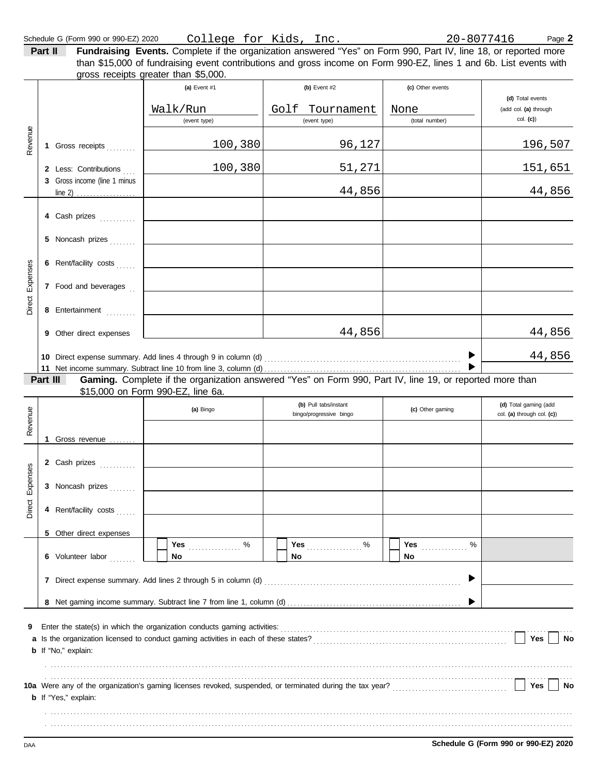| Part II |                                                                                                                    |                                      | Fundraising Events. Complete if the organization answered "Yes" on Form 990, Part IV, line 18, or reported more |                  |  |  |  |  |  |
|---------|--------------------------------------------------------------------------------------------------------------------|--------------------------------------|-----------------------------------------------------------------------------------------------------------------|------------------|--|--|--|--|--|
|         | than \$15,000 of fundraising event contributions and gross income on Form 990-EZ, lines 1 and 6b. List events with |                                      |                                                                                                                 |                  |  |  |  |  |  |
|         |                                                                                                                    | gross receipts greater than \$5,000. |                                                                                                                 |                  |  |  |  |  |  |
|         |                                                                                                                    | $(a)$ Event #1                       | $(b)$ Event #2                                                                                                  | (c) Other events |  |  |  |  |  |
|         | (d) Total events                                                                                                   |                                      |                                                                                                                 |                  |  |  |  |  |  |

|          |          |                                                       | Walk/Run<br>(event type)                                                 | Golf Tournament<br>(event type)                                                                                                                                                                                        | None<br>(total number) | <b>International Control</b><br>(add col. (a) through<br>col. (c) |
|----------|----------|-------------------------------------------------------|--------------------------------------------------------------------------|------------------------------------------------------------------------------------------------------------------------------------------------------------------------------------------------------------------------|------------------------|-------------------------------------------------------------------|
| Revenue  |          |                                                       |                                                                          |                                                                                                                                                                                                                        |                        |                                                                   |
|          |          | 1 Gross receipts                                      | 100,380                                                                  | 96,127                                                                                                                                                                                                                 |                        | <u> 196,507</u>                                                   |
|          |          | 2 Less: Contributions<br>3 Gross income (line 1 minus | 100,380                                                                  | 51,271                                                                                                                                                                                                                 |                        | <u>151,651</u>                                                    |
|          |          | line 2) $\ldots$                                      |                                                                          | 44,856                                                                                                                                                                                                                 |                        | 44,856                                                            |
|          |          | 4 Cash prizes                                         |                                                                          |                                                                                                                                                                                                                        |                        |                                                                   |
|          | 5.       | Noncash prizes                                        |                                                                          |                                                                                                                                                                                                                        |                        |                                                                   |
| Expenses |          | 6 Rent/facility costs                                 |                                                                          |                                                                                                                                                                                                                        |                        |                                                                   |
|          |          | 7 Food and beverages.                                 |                                                                          |                                                                                                                                                                                                                        |                        |                                                                   |
| Direct   |          | 8 Entertainment                                       |                                                                          |                                                                                                                                                                                                                        |                        |                                                                   |
|          |          | 9 Other direct expenses                               |                                                                          | 44,856                                                                                                                                                                                                                 |                        | 44,856                                                            |
|          |          |                                                       |                                                                          |                                                                                                                                                                                                                        |                        | 44,856                                                            |
|          | Part III |                                                       |                                                                          | Gaming. Complete if the organization answered "Yes" on Form 990, Part IV, line 19, or reported more than                                                                                                               |                        |                                                                   |
|          |          |                                                       | \$15,000 on Form 990-EZ, line 6a.                                        |                                                                                                                                                                                                                        |                        |                                                                   |
| Revenue  |          |                                                       | (a) Bingo                                                                | (b) Pull tabs/instant<br>bingo/progressive bingo                                                                                                                                                                       | (c) Other gaming       | (d) Total gaming (add<br>col. (a) through col. (c))               |
|          |          | 1 Gross revenue                                       |                                                                          |                                                                                                                                                                                                                        |                        |                                                                   |
|          |          | 2 Cash prizes                                         |                                                                          |                                                                                                                                                                                                                        |                        |                                                                   |
| Expenses |          | 3 Noncash prizes                                      |                                                                          |                                                                                                                                                                                                                        |                        |                                                                   |
| Direct   |          | 4 Rent/facility costs                                 |                                                                          |                                                                                                                                                                                                                        |                        |                                                                   |
|          |          | 5 Other direct expenses                               |                                                                          |                                                                                                                                                                                                                        |                        |                                                                   |
|          |          | 6 Volunteer labor                                     | Yes<br>%<br>No                                                           | Yes<br>%<br>No                                                                                                                                                                                                         | Yes<br>%<br>No         |                                                                   |
|          | 7        |                                                       |                                                                          |                                                                                                                                                                                                                        |                        |                                                                   |
|          |          |                                                       |                                                                          |                                                                                                                                                                                                                        |                        |                                                                   |
| 9        |          |                                                       | Enter the state(s) in which the organization conducts gaming activities: |                                                                                                                                                                                                                        |                        |                                                                   |
|          |          |                                                       |                                                                          |                                                                                                                                                                                                                        |                        | Yes<br>No                                                         |
|          |          | <b>b</b> If "No," explain:                            |                                                                          |                                                                                                                                                                                                                        |                        |                                                                   |
|          |          |                                                       |                                                                          |                                                                                                                                                                                                                        |                        |                                                                   |
|          |          | <b>b</b> If "Yes," explain:                           |                                                                          | 10a Were any of the organization's gaming licenses revoked, suspended, or terminated during the tax year?<br>10a Were any of the organization's gaming licenses revoked, suspended, or terminated during the tax year? |                        | Yes<br>No                                                         |
|          |          |                                                       |                                                                          |                                                                                                                                                                                                                        |                        |                                                                   |
| DAA      |          |                                                       |                                                                          |                                                                                                                                                                                                                        |                        | Schedule G (Form 990 or 990-EZ) 2020                              |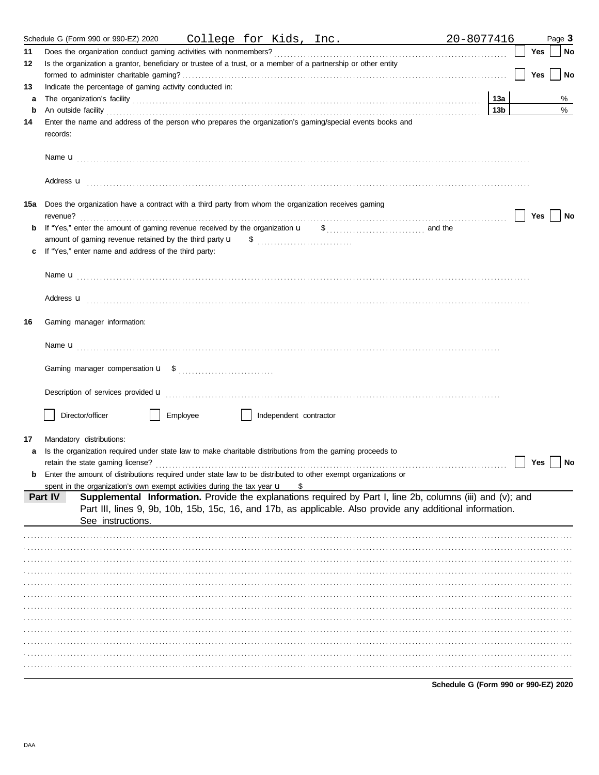|     | Schedule G (Form 990 or 990-EZ) 2020<br>College for Kids, Inc.                                                                                                                                                                 | 20-8077416      |     | Page 3 |
|-----|--------------------------------------------------------------------------------------------------------------------------------------------------------------------------------------------------------------------------------|-----------------|-----|--------|
| 11  |                                                                                                                                                                                                                                |                 | Yes | No     |
| 12  | Is the organization a grantor, beneficiary or trustee of a trust, or a member of a partnership or other entity                                                                                                                 |                 |     |        |
|     |                                                                                                                                                                                                                                |                 | Yes | No     |
| 13  | Indicate the percentage of gaming activity conducted in:                                                                                                                                                                       |                 |     |        |
| а   | The organization's facility encourance and contact the contact of the contact of the contact of the contact of the contact of the contact of the contact of the contact of the contact of the contact of the contact of the co | 13а             |     | %      |
| b   | An outside facility with the contract of the contract of the contract of the contract of the contract of the contract of the contract of the contract of the contract of the contract of the contract of the contract of the c | 13 <sub>b</sub> |     | $\%$   |
| 14  | Enter the name and address of the person who prepares the organization's gaming/special events books and<br>records:                                                                                                           |                 |     |        |
|     |                                                                                                                                                                                                                                |                 |     |        |
|     | Address <b>u</b>                                                                                                                                                                                                               |                 |     |        |
| 15a | Does the organization have a contract with a third party from whom the organization receives gaming                                                                                                                            |                 | Yes | No     |
|     |                                                                                                                                                                                                                                |                 |     |        |
|     |                                                                                                                                                                                                                                |                 |     |        |
|     | If "Yes," enter name and address of the third party:                                                                                                                                                                           |                 |     |        |
|     |                                                                                                                                                                                                                                |                 |     |        |
|     | Address <b>u</b>                                                                                                                                                                                                               |                 |     |        |
| 16  | Gaming manager information:                                                                                                                                                                                                    |                 |     |        |
|     |                                                                                                                                                                                                                                |                 |     |        |
|     |                                                                                                                                                                                                                                |                 |     |        |
|     | Description of services provided <b>u</b> electron contract the contract of services provided <b>u</b>                                                                                                                         |                 |     |        |
|     | Director/officer<br>Employee<br>Independent contractor                                                                                                                                                                         |                 |     |        |
|     |                                                                                                                                                                                                                                |                 |     |        |
| 17  | Mandatory distributions:                                                                                                                                                                                                       |                 |     |        |
|     | Is the organization required under state law to make charitable distributions from the gaming proceeds to                                                                                                                      |                 |     |        |
|     | retain the state gaming license?<br><b>b</b> Enter the amount of distributions required under state law to be distributed to other exempt organizations or                                                                     |                 | Yes | No     |
|     | spent in the organization's own exempt activities during the tax year $\mathbf u$<br>S                                                                                                                                         |                 |     |        |
|     | Supplemental Information. Provide the explanations required by Part I, line 2b, columns (iii) and (v); and<br>Part IV                                                                                                          |                 |     |        |
|     | Part III, lines 9, 9b, 10b, 15b, 15c, 16, and 17b, as applicable. Also provide any additional information.                                                                                                                     |                 |     |        |
|     | See instructions.                                                                                                                                                                                                              |                 |     |        |
|     |                                                                                                                                                                                                                                |                 |     |        |
|     |                                                                                                                                                                                                                                |                 |     |        |
|     |                                                                                                                                                                                                                                |                 |     |        |
|     |                                                                                                                                                                                                                                |                 |     |        |
|     |                                                                                                                                                                                                                                |                 |     |        |
|     |                                                                                                                                                                                                                                |                 |     |        |
|     |                                                                                                                                                                                                                                |                 |     |        |
|     |                                                                                                                                                                                                                                |                 |     |        |
|     |                                                                                                                                                                                                                                |                 |     |        |
|     |                                                                                                                                                                                                                                |                 |     |        |
|     |                                                                                                                                                                                                                                |                 |     |        |
|     |                                                                                                                                                                                                                                |                 |     |        |
|     |                                                                                                                                                                                                                                |                 |     |        |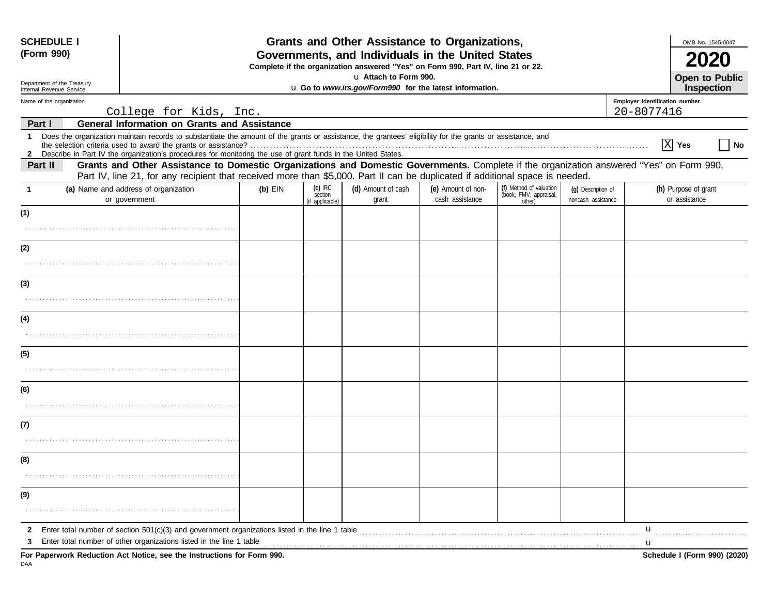| <b>SCHEDULE I</b><br>(Form 990) |                                                                                                                 |                                                                                                                                                                                                                                                                                                               | Grants and Other Assistance to Organizations,<br>Governments, and Individuals in the United States<br>Complete if the organization answered "Yes" on Form 990, Part IV, line 21 or 22. |                                         |                             |                                       |                                                             |                                          |                | OMB No. 1545-0047                     |
|---------------------------------|-----------------------------------------------------------------------------------------------------------------|---------------------------------------------------------------------------------------------------------------------------------------------------------------------------------------------------------------------------------------------------------------------------------------------------------------|----------------------------------------------------------------------------------------------------------------------------------------------------------------------------------------|-----------------------------------------|-----------------------------|---------------------------------------|-------------------------------------------------------------|------------------------------------------|----------------|---------------------------------------|
|                                 | Department of the Treasury                                                                                      | u Attach to Form 990.                                                                                                                                                                                                                                                                                         |                                                                                                                                                                                        |                                         |                             |                                       |                                                             |                                          | Open to Public |                                       |
|                                 | u Go to www.irs.gov/Form990 for the latest information.<br>Internal Revenue Service<br>Name of the organization |                                                                                                                                                                                                                                                                                                               |                                                                                                                                                                                        |                                         |                             |                                       | Employer identification number                              | Inspection                               |                |                                       |
|                                 |                                                                                                                 | College for Kids, Inc.                                                                                                                                                                                                                                                                                        |                                                                                                                                                                                        |                                         |                             |                                       |                                                             |                                          | 20-8077416     |                                       |
| Part I                          |                                                                                                                 | <b>General Information on Grants and Assistance</b>                                                                                                                                                                                                                                                           |                                                                                                                                                                                        |                                         |                             |                                       |                                                             |                                          |                |                                       |
| $\mathbf 1$<br>$\mathbf{z}$     |                                                                                                                 | Does the organization maintain records to substantiate the amount of the grants or assistance, the grantees' eligibility for the grants or assistance, and<br>Describe in Part IV the organization's procedures for monitoring the use of grant funds in the United States.                                   |                                                                                                                                                                                        |                                         |                             |                                       |                                                             |                                          |                | $\overline{X}$ Yes<br><b>No</b>       |
| Part II                         |                                                                                                                 | Grants and Other Assistance to Domestic Organizations and Domestic Governments. Complete if the organization answered "Yes" on Form 990,<br>Part IV, line 21, for any recipient that received more than \$5,000. Part II can be duplicated if additional space is needed.                                     |                                                                                                                                                                                        |                                         |                             |                                       |                                                             |                                          |                |                                       |
| $\mathbf{1}$                    |                                                                                                                 | (a) Name and address of organization<br>or government                                                                                                                                                                                                                                                         | $(b)$ EIN                                                                                                                                                                              | $(c)$ IRC<br>section<br>(if applicable) | (d) Amount of cash<br>grant | (e) Amount of non-<br>cash assistance | (f) Method of valuation<br>(book, FMV, appraisal,<br>other) | (g) Description of<br>noncash assistance |                | (h) Purpose of grant<br>or assistance |
| (1)                             |                                                                                                                 |                                                                                                                                                                                                                                                                                                               |                                                                                                                                                                                        |                                         |                             |                                       |                                                             |                                          |                |                                       |
| (2)                             |                                                                                                                 |                                                                                                                                                                                                                                                                                                               |                                                                                                                                                                                        |                                         |                             |                                       |                                                             |                                          |                |                                       |
|                                 |                                                                                                                 |                                                                                                                                                                                                                                                                                                               |                                                                                                                                                                                        |                                         |                             |                                       |                                                             |                                          |                |                                       |
| (3)                             |                                                                                                                 |                                                                                                                                                                                                                                                                                                               |                                                                                                                                                                                        |                                         |                             |                                       |                                                             |                                          |                |                                       |
|                                 |                                                                                                                 |                                                                                                                                                                                                                                                                                                               |                                                                                                                                                                                        |                                         |                             |                                       |                                                             |                                          |                |                                       |
| (4)                             |                                                                                                                 |                                                                                                                                                                                                                                                                                                               |                                                                                                                                                                                        |                                         |                             |                                       |                                                             |                                          |                |                                       |
| (5)                             |                                                                                                                 |                                                                                                                                                                                                                                                                                                               |                                                                                                                                                                                        |                                         |                             |                                       |                                                             |                                          |                |                                       |
|                                 |                                                                                                                 |                                                                                                                                                                                                                                                                                                               |                                                                                                                                                                                        |                                         |                             |                                       |                                                             |                                          |                |                                       |
| (6)                             |                                                                                                                 |                                                                                                                                                                                                                                                                                                               |                                                                                                                                                                                        |                                         |                             |                                       |                                                             |                                          |                |                                       |
| (7)                             |                                                                                                                 |                                                                                                                                                                                                                                                                                                               |                                                                                                                                                                                        |                                         |                             |                                       |                                                             |                                          |                |                                       |
|                                 |                                                                                                                 |                                                                                                                                                                                                                                                                                                               |                                                                                                                                                                                        |                                         |                             |                                       |                                                             |                                          |                |                                       |
| (8)                             |                                                                                                                 |                                                                                                                                                                                                                                                                                                               |                                                                                                                                                                                        |                                         |                             |                                       |                                                             |                                          |                |                                       |
| (9)                             |                                                                                                                 |                                                                                                                                                                                                                                                                                                               |                                                                                                                                                                                        |                                         |                             |                                       |                                                             |                                          |                |                                       |
| 2                               |                                                                                                                 |                                                                                                                                                                                                                                                                                                               |                                                                                                                                                                                        |                                         |                             |                                       |                                                             |                                          | u              |                                       |
|                                 |                                                                                                                 | Enter total number of other organizations listed in the line 1 table <i>manufacture in the content of the line</i> 1 table manufacture in the line 1 table manufacture in the line of the line of the line 1 table manufacture in t<br>For Paperwork Reduction Act Notice, see the Instructions for Form 990. |                                                                                                                                                                                        |                                         |                             |                                       |                                                             |                                          | u              | Schedule I (Form 990) (2020)          |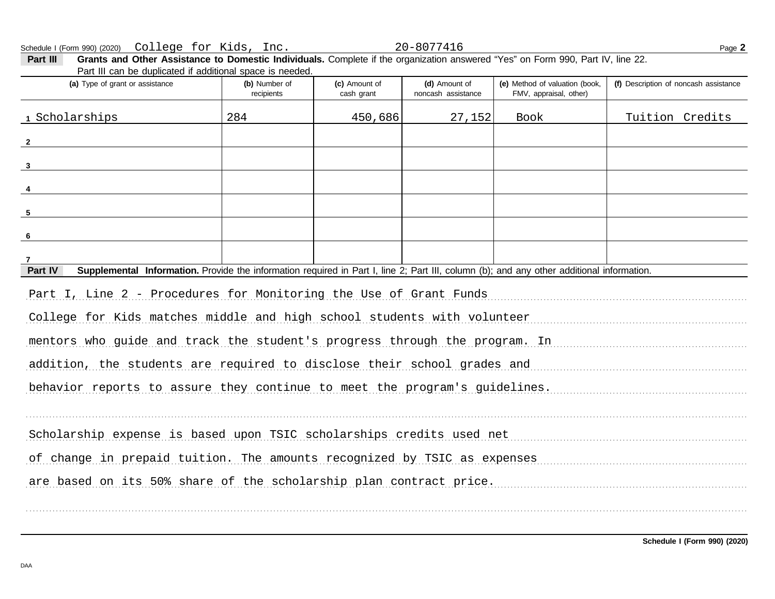FMV, appraisal, other) **(d)** Amount of **(e)** Method of valuation (book, cash grant **(a)** Type of grant or assistance **(b)** Number of **(c)** Amount of **Part III Grants and Other Assistance to Domestic Individuals.** Complete if the organization answered "Yes" on Form 990, Part IV, line 22. Part III can be duplicated if additional space is needed. Schedule I (Form 990) (2020) Page **2** College for Kids, Inc. 20-8077416 recipients and the cash areas in the noncash assistance **(f)** Description of noncash assistance **Part IV** Supplemental Information. Provide the information required in Part I, line 2; Part III, column (b); and any other additional information. Part I, Line 2 - Procedures for Monitoring the Use of Grant Funds [19] Part I, Line 2 - Procedures for Monitoring the Use of Grant Funds College for Kids matches middle and high school students with volunteer manuscriptum control of the matches mentors who guide and track the student's progress through the program. In manuscrimon manuscrimon addition, the students are required to disclose their school grades and manuscriminant controller behavior reports to assure they continue to meet the program's guidelines. . . . . . . . . . . . . . . . . . . . . . . . . . . . . . . . . . . . . . . . . . . . . . . . . . . . . . . . . . . . . . . . . . . . . . . . . . . . . . . . . . . . . . . . . . . . . . . . . . . . . . . . . . . . . . . . . . . . . . . . . . . . . . . . . . . . . . . . . . . . . . . . . . . . . . . . . . . . . . . . . . . . . . . . . . . . . . . . . . . . . . . . . . . . . . . . . . . . . . . . . . . . . . . . . . . . . . . . . . . . Scholarship expense is based upon TSIC scholarships credits used net manuscriminant expense is based upon TSIC scholarships credits used net of change in prepaid tuition. The amounts recognized by TSIC as expenses are based on its 50% share of the scholarship plan contract price. . . . . . . . . . . . . . . . . . . . . . . . . . . . . . . . . . . . . . . . . . . . . . . . . . . . . . . . . . . . . . . . . . . . . . . . . . . . . . . . . . . . . . . . . . . . . . . . . . . . . . . . . . . . . . . . . . . . . . . . . . . . . . . . . . . . . . . . . . . . . . . . . . . . . . . . . . . . . . . . . . . . . . . . . . . . . . . . . . . . . . . . . . . . . . . . . . . . . . . . . . . . . . . . . . . . . . . . . . . . **1 2 3 4 5 6 7** Scholarships 284 450,686 27,152 Book Tuition Credits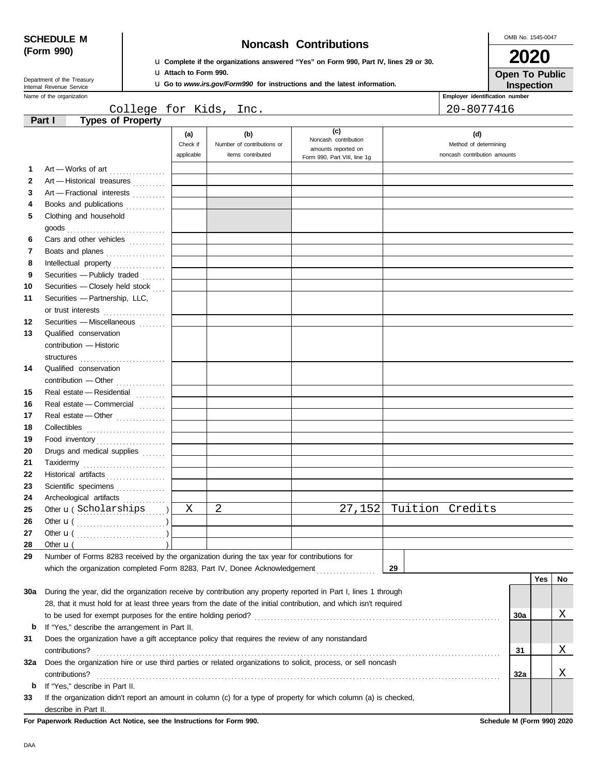DAA

| <b>SCHEDULE M</b> |  |  |
|-------------------|--|--|
| (Form 990)        |  |  |

Department of the Treasury<br>Internal Revenue Service

# **SCHEDULE M Noncash Contributions**

u **Complete if the organizations answered "Yes" on Form 990, Part IV, lines 29 or 30.** u **Attach to Form 990.**

u **Go to** *www.irs.gov/Form990* **for instructions and the latest information.**

**2020**

| P                 |  |  |
|-------------------|--|--|
| <b>Inspection</b> |  |  |

|     | Name of the organization                                                                                           |                               |                                                        |                                                    |                 | Employer identification number                               |     |     |          |
|-----|--------------------------------------------------------------------------------------------------------------------|-------------------------------|--------------------------------------------------------|----------------------------------------------------|-----------------|--------------------------------------------------------------|-----|-----|----------|
|     | College for Kids, Inc.                                                                                             |                               |                                                        |                                                    |                 | 20-8077416                                                   |     |     |          |
|     | <b>Types of Property</b><br>Part I                                                                                 |                               |                                                        |                                                    |                 |                                                              |     |     |          |
|     |                                                                                                                    | (a)<br>Check if<br>applicable | (b)<br>Number of contributions or<br>items contributed | (c)<br>Noncash contribution<br>amounts reported on |                 | (d)<br>Method of determining<br>noncash contribution amounts |     |     |          |
|     |                                                                                                                    |                               |                                                        | Form 990, Part VIII, line 1g                       |                 |                                                              |     |     |          |
| 1   | Art - Works of art                                                                                                 |                               |                                                        |                                                    |                 |                                                              |     |     |          |
| 2   | Art - Historical treasures                                                                                         |                               |                                                        |                                                    |                 |                                                              |     |     |          |
| 3   | Art - Fractional interests                                                                                         |                               |                                                        |                                                    |                 |                                                              |     |     |          |
| 4   | Books and publications                                                                                             |                               |                                                        |                                                    |                 |                                                              |     |     |          |
| 5   | Clothing and household                                                                                             |                               |                                                        |                                                    |                 |                                                              |     |     |          |
|     | goods<br>                                                                                                          |                               |                                                        |                                                    |                 |                                                              |     |     |          |
| 6   | Cars and other vehicles                                                                                            |                               |                                                        |                                                    |                 |                                                              |     |     |          |
| 7   | Boats and planes                                                                                                   |                               |                                                        |                                                    |                 |                                                              |     |     |          |
| 8   | Intellectual property                                                                                              |                               |                                                        |                                                    |                 |                                                              |     |     |          |
| 9   | Securities - Publicly traded                                                                                       |                               |                                                        |                                                    |                 |                                                              |     |     |          |
| 10  | Securities - Closely held stock                                                                                    |                               |                                                        |                                                    |                 |                                                              |     |     |          |
| 11  | Securities - Partnership, LLC,                                                                                     |                               |                                                        |                                                    |                 |                                                              |     |     |          |
|     | or trust interests                                                                                                 |                               |                                                        |                                                    |                 |                                                              |     |     |          |
| 12  | Securities - Miscellaneous                                                                                         |                               |                                                        |                                                    |                 |                                                              |     |     |          |
| 13  | Qualified conservation                                                                                             |                               |                                                        |                                                    |                 |                                                              |     |     |          |
|     | contribution - Historic                                                                                            |                               |                                                        |                                                    |                 |                                                              |     |     |          |
|     | structures                                                                                                         |                               |                                                        |                                                    |                 |                                                              |     |     |          |
| 14  | Qualified conservation                                                                                             |                               |                                                        |                                                    |                 |                                                              |     |     |          |
|     | contribution - Other                                                                                               |                               |                                                        |                                                    |                 |                                                              |     |     |          |
| 15  | Real estate - Residential                                                                                          |                               |                                                        |                                                    |                 |                                                              |     |     |          |
| 16  | Real estate - Commercial                                                                                           |                               |                                                        |                                                    |                 |                                                              |     |     |          |
| 17  | Real estate - Other                                                                                                |                               |                                                        |                                                    |                 |                                                              |     |     |          |
| 18  | Collectibles                                                                                                       |                               |                                                        |                                                    |                 |                                                              |     |     |          |
| 19  | Food inventory                                                                                                     |                               |                                                        |                                                    |                 |                                                              |     |     |          |
| 20  | Drugs and medical supplies                                                                                         |                               |                                                        |                                                    |                 |                                                              |     |     |          |
| 21  | Taxidermy                                                                                                          |                               |                                                        |                                                    |                 |                                                              |     |     |          |
| 22  | Historical artifacts                                                                                               |                               |                                                        |                                                    |                 |                                                              |     |     |          |
| 23  | Scientific specimens                                                                                               |                               |                                                        |                                                    |                 |                                                              |     |     |          |
| 24  | Archeological artifacts                                                                                            |                               |                                                        |                                                    |                 |                                                              |     |     |          |
| 25  | Other <b>u</b> (Scholarships                                                                                       | Χ                             | 2                                                      | 27,152                                             | Tuition Credits |                                                              |     |     |          |
| 26  |                                                                                                                    |                               |                                                        |                                                    |                 |                                                              |     |     |          |
| 27  |                                                                                                                    |                               |                                                        |                                                    |                 |                                                              |     |     |          |
| 28  | Other $\mathbf{u}$ (                                                                                               |                               |                                                        |                                                    |                 |                                                              |     |     |          |
| 29  | Number of Forms 8283 received by the organization during the tax year for contributions for                        |                               |                                                        |                                                    |                 |                                                              |     |     |          |
|     | which the organization completed Form 8283, Part IV, Donee Acknowledgement                                         |                               |                                                        |                                                    | 29              |                                                              |     |     |          |
|     |                                                                                                                    |                               |                                                        |                                                    |                 |                                                              |     | Yes | No       |
| 30a | During the year, did the organization receive by contribution any property reported in Part I, lines 1 through     |                               |                                                        |                                                    |                 |                                                              |     |     |          |
|     | 28, that it must hold for at least three years from the date of the initial contribution, and which isn't required |                               |                                                        |                                                    |                 |                                                              |     |     |          |
|     |                                                                                                                    |                               |                                                        |                                                    |                 |                                                              | 30a |     | Χ        |
| b   | If "Yes," describe the arrangement in Part II.                                                                     |                               |                                                        |                                                    |                 |                                                              |     |     |          |
| 31  | Does the organization have a gift acceptance policy that requires the review of any nonstandard                    |                               |                                                        |                                                    |                 |                                                              |     |     |          |
|     | contributions?                                                                                                     |                               |                                                        |                                                    |                 |                                                              | 31  |     | <u>X</u> |
| 32a | Does the organization hire or use third parties or related organizations to solicit, process, or sell noncash      |                               |                                                        |                                                    |                 |                                                              |     |     |          |
|     | contributions?                                                                                                     |                               |                                                        |                                                    |                 |                                                              | 32a |     | <u>X</u> |
| b   | If "Yes," describe in Part II.                                                                                     |                               |                                                        |                                                    |                 |                                                              |     |     |          |
| 33  | If the organization didn't report an amount in column (c) for a type of property for which column (a) is checked,  |                               |                                                        |                                                    |                 |                                                              |     |     |          |
|     | describe in Part II.                                                                                               |                               |                                                        |                                                    |                 |                                                              |     |     |          |

**For Paperwork Reduction Act Notice, see the Instructions for Form 990. Schedule M (Form 990) 2020**

**The Communication** 

OMB No. 1545-0047

|  | <b>Open To Public</b> |
|--|-----------------------|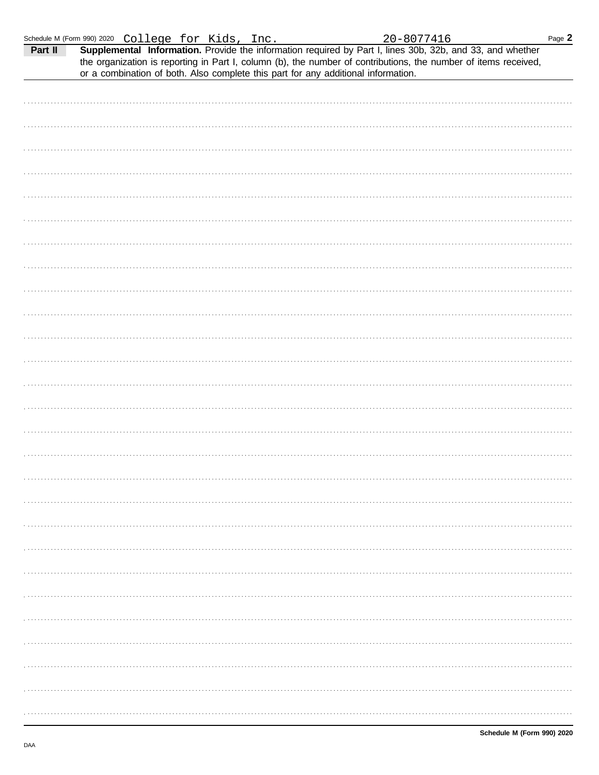| Schedule M (Form 990) 2020 College for Kids, Inc. |  |  |  |  |
|---------------------------------------------------|--|--|--|--|
|---------------------------------------------------|--|--|--|--|

| Part II | or a combination of both. Also complete this part for any additional information. |  | Supplemental Information. Provide the information required by Part I, lines 30b, 32b, and 33, and whether<br>the organization is reporting in Part I, column (b), the number of contributions, the number of items received, |  |
|---------|-----------------------------------------------------------------------------------|--|------------------------------------------------------------------------------------------------------------------------------------------------------------------------------------------------------------------------------|--|
|         |                                                                                   |  |                                                                                                                                                                                                                              |  |
|         |                                                                                   |  |                                                                                                                                                                                                                              |  |
|         |                                                                                   |  |                                                                                                                                                                                                                              |  |
|         |                                                                                   |  |                                                                                                                                                                                                                              |  |
|         |                                                                                   |  |                                                                                                                                                                                                                              |  |
|         |                                                                                   |  |                                                                                                                                                                                                                              |  |
|         |                                                                                   |  |                                                                                                                                                                                                                              |  |
|         |                                                                                   |  |                                                                                                                                                                                                                              |  |
|         |                                                                                   |  |                                                                                                                                                                                                                              |  |
|         |                                                                                   |  |                                                                                                                                                                                                                              |  |
|         |                                                                                   |  |                                                                                                                                                                                                                              |  |
|         |                                                                                   |  |                                                                                                                                                                                                                              |  |
|         |                                                                                   |  |                                                                                                                                                                                                                              |  |
|         |                                                                                   |  |                                                                                                                                                                                                                              |  |
|         |                                                                                   |  |                                                                                                                                                                                                                              |  |
|         |                                                                                   |  |                                                                                                                                                                                                                              |  |
|         |                                                                                   |  |                                                                                                                                                                                                                              |  |
|         |                                                                                   |  |                                                                                                                                                                                                                              |  |
|         |                                                                                   |  |                                                                                                                                                                                                                              |  |
|         |                                                                                   |  |                                                                                                                                                                                                                              |  |
|         |                                                                                   |  |                                                                                                                                                                                                                              |  |
|         |                                                                                   |  |                                                                                                                                                                                                                              |  |
|         |                                                                                   |  |                                                                                                                                                                                                                              |  |
|         |                                                                                   |  |                                                                                                                                                                                                                              |  |
|         |                                                                                   |  |                                                                                                                                                                                                                              |  |
|         |                                                                                   |  |                                                                                                                                                                                                                              |  |
|         |                                                                                   |  |                                                                                                                                                                                                                              |  |
|         |                                                                                   |  |                                                                                                                                                                                                                              |  |
|         |                                                                                   |  |                                                                                                                                                                                                                              |  |
|         |                                                                                   |  |                                                                                                                                                                                                                              |  |
|         |                                                                                   |  |                                                                                                                                                                                                                              |  |
|         |                                                                                   |  |                                                                                                                                                                                                                              |  |
|         |                                                                                   |  |                                                                                                                                                                                                                              |  |
|         |                                                                                   |  |                                                                                                                                                                                                                              |  |
|         |                                                                                   |  |                                                                                                                                                                                                                              |  |
|         |                                                                                   |  |                                                                                                                                                                                                                              |  |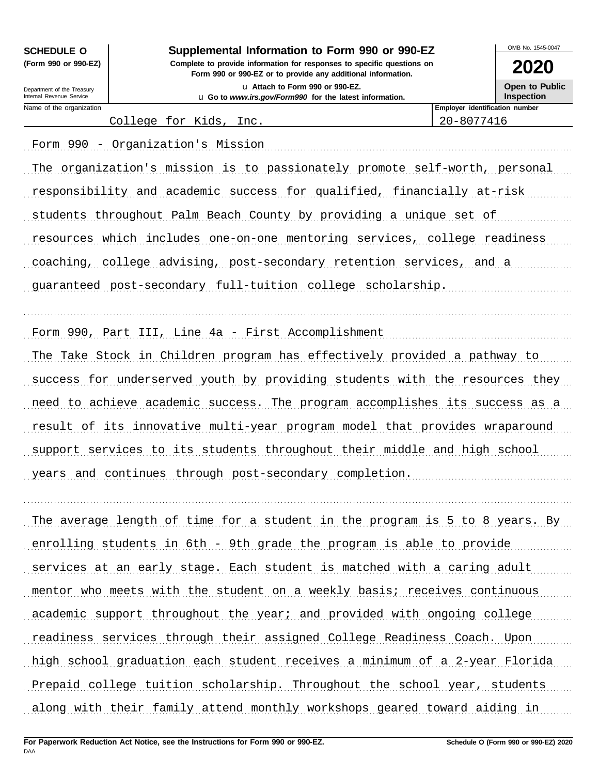Internal Revenue Service Department of the Treasury

## **SCHEDULE O Supplemental Information to Form 990 or 990-EZ**

**Form 990 or 990-EZ or to provide any additional information. (Form 990 or 990-EZ) Complete to provide information for responses to specific questions on** u **Attach to Form 990 or 990-EZ.** u **Go to** *www.irs.gov/Form990* **for the latest information.**

OMB No. 1545-0047

**2020 Open to Public**

Name of the organization **Employer identification number Employer identification number Inspection**

College for Kids, Inc. 20-8077416

Form 990 - Organization's Mission (1998) (1999) Form (1999) - Creation of Mission (1999) - Creation's Mission The organization's mission is to passionately promote self-worth, personal responsibility and academic success for qualified, financially at-risk students throughout Palm Beach County by providing a unique set of resources which includes one-on-one mentoring services, college readiness coaching, college advising, post-secondary retention services, and a guaranteed post-secondary full-tuition college scholarship.

Form 990, Part III, Line 4a - First Accomplishment (1999) (1999) The Take Stock in Children program has effectively provided a pathway to success for underserved youth by providing students with the resources they need to achieve academic success. The program accomplishes its success as a result of its innovative multi-year program model that provides wraparound support services to its students throughout their middle and high school years and continues through post-secondary completion.

. . . . . . . . . . . . . . . . . . . . . . . . . . . . . . . . . . . . . . . . . . . . . . . . . . . . . . . . . . . . . . . . . . . . . . . . . . . . . . . . . . . . . . . . . . . . . . . . . . . . . . . . . . . . . . . . . . . . . . . . . . . . . . . . . . . . . . . . . . . . . . . . . . . . . . . . . . . . . . . . . . . . . . .

. . . . . . . . . . . . . . . . . . . . . . . . . . . . . . . . . . . . . . . . . . . . . . . . . . . . . . . . . . . . . . . . . . . . . . . . . . . . . . . . . . . . . . . . . . . . . . . . . . . . . . . . . . . . . . . . . . . . . . . . . . . . . . . . . . . . . . . . . . . . . . . . . . . . . . . . . . . . . . . . . . . . . . .

The average length of time for a student in the program is 5 to 8 years. By enrolling students in 6th - 9th grade the program is able to provide services at an early stage. Each student is matched with a caring adult mentor who meets with the student on a weekly basis; receives continuous academic support throughout the year; and provided with ongoing college readiness services through their assigned College Readiness Coach. Upon high school graduation each student receives a minimum of a 2-year Florida Prepaid college tuition scholarship. Throughout the school year, students along with their family attend monthly workshops geared toward aiding in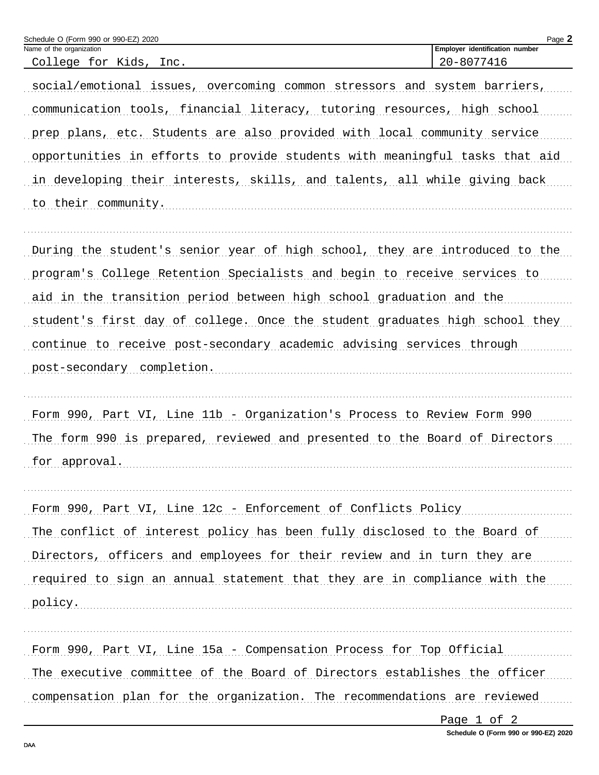| Schedule O (Form 990 or 990-EZ) 2020                                        | Page 2                         |  |
|-----------------------------------------------------------------------------|--------------------------------|--|
| Name of the organization                                                    | Employer identification number |  |
| College for Kids, Inc.                                                      | 20-8077416                     |  |
| social/emotional issues, overcoming common stressors and system barriers,   |                                |  |
| communication tools, financial literacy, tutoring resources, high school    |                                |  |
| prep plans, etc. Students are also provided with local community service    |                                |  |
| opportunities in efforts to provide students with meaningful tasks that aid |                                |  |
| in developing their interests, skills, and talents, all while giving back   |                                |  |
| to their community.                                                         |                                |  |
|                                                                             |                                |  |
| During the student's senior year of high school, they are introduced to the |                                |  |
| program's College Retention Specialists and begin to receive services to    |                                |  |
| aid in the transition period between high school graduation and the         |                                |  |
| student's first day of college. Once the student graduates high school they |                                |  |
| continue to receive post-secondary academic advising services through       |                                |  |
| post-secondary completion.                                                  |                                |  |
|                                                                             |                                |  |
| Form 990, Part VI, Line 11b - Organization's Process to Review Form 990     |                                |  |
| The form 990 is prepared, reviewed and presented to the Board of Directors  |                                |  |
| for approval.                                                               |                                |  |
|                                                                             |                                |  |
| Form 990, Part VI, Line 12c - Enforcement of Conflicts Policy               |                                |  |
| The conflict of interest policy has been fully disclosed to the Board of    |                                |  |
| Directors, officers and employees for their review and in turn they are     |                                |  |
| required to sign an annual statement that they are in compliance with the   |                                |  |
| policy.                                                                     |                                |  |
|                                                                             |                                |  |
| Form 990, Part VI, Line 15a - Compensation Process for Top Official         |                                |  |
| The executive committee of the Board of Directors establishes the officer   |                                |  |
|                                                                             |                                |  |

compensation plan for the organization. The recommendations are reviewed

Page 1 of 2